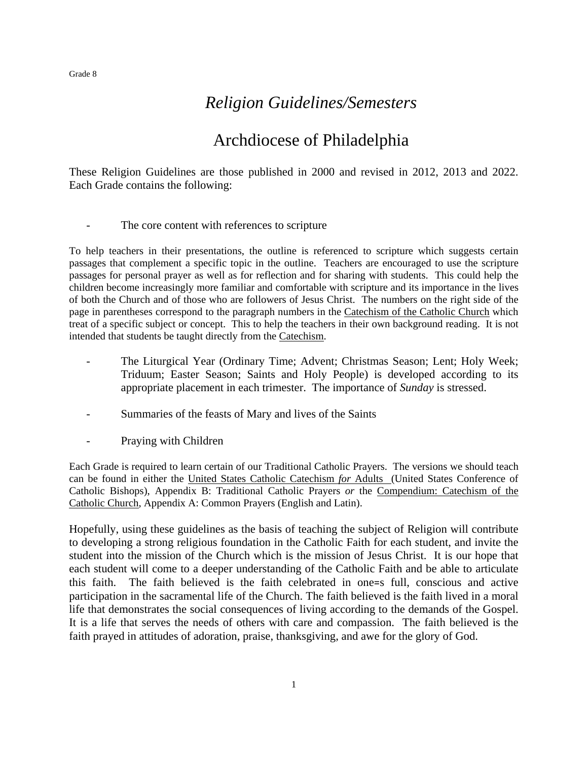# *Religion Guidelines/Semesters*

# Archdiocese of Philadelphia

These Religion Guidelines are those published in 2000 and revised in 2012, 2013 and 2022. Each Grade contains the following:

The core content with references to scripture

To help teachers in their presentations, the outline is referenced to scripture which suggests certain passages that complement a specific topic in the outline. Teachers are encouraged to use the scripture passages for personal prayer as well as for reflection and for sharing with students. This could help the children become increasingly more familiar and comfortable with scripture and its importance in the lives of both the Church and of those who are followers of Jesus Christ. The numbers on the right side of the page in parentheses correspond to the paragraph numbers in the Catechism of the Catholic Church which treat of a specific subject or concept. This to help the teachers in their own background reading. It is not intended that students be taught directly from the Catechism.

- The Liturgical Year (Ordinary Time; Advent; Christmas Season; Lent; Holy Week; Triduum; Easter Season; Saints and Holy People) is developed according to its appropriate placement in each trimester. The importance of *Sunday* is stressed.
- Summaries of the feasts of Mary and lives of the Saints
- Praying with Children

Each Grade is required to learn certain of our Traditional Catholic Prayers. The versions we should teach can be found in either the United States Catholic Catechism *for* Adults (United States Conference of Catholic Bishops), Appendix B: Traditional Catholic Prayers *or* the Compendium: Catechism of the Catholic Church, Appendix A: Common Prayers (English and Latin).

Hopefully, using these guidelines as the basis of teaching the subject of Religion will contribute to developing a strong religious foundation in the Catholic Faith for each student, and invite the student into the mission of the Church which is the mission of Jesus Christ. It is our hope that each student will come to a deeper understanding of the Catholic Faith and be able to articulate this faith. The faith believed is the faith celebrated in one=s full, conscious and active participation in the sacramental life of the Church. The faith believed is the faith lived in a moral life that demonstrates the social consequences of living according to the demands of the Gospel. It is a life that serves the needs of others with care and compassion. The faith believed is the faith prayed in attitudes of adoration, praise, thanksgiving, and awe for the glory of God.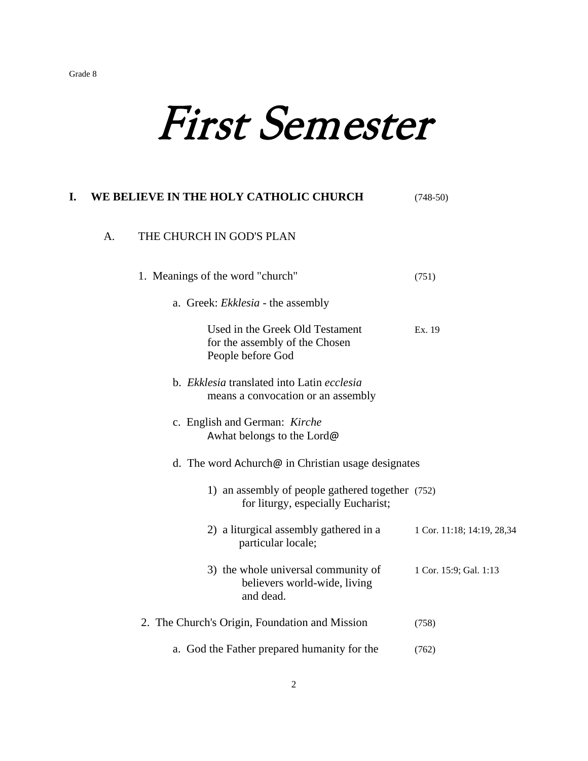# First Semester

# **I. WE BELIEVE IN THE HOLY CATHOLIC CHURCH** (748-50) A. THE CHURCH IN GOD'S PLAN 1. Meanings of the word "church" (751) a. Greek: *Ekklesia* - the assembly Used in the Greek Old Testament Ex. 19 for the assembly of the Chosen People before God b. *Ekklesia* translated into Latin *ecclesia*  means a convocation or an assembly c. English and German: *Kirche* Awhat belongs to the Lord@ d. The word Achurch@ in Christian usage designates 1) an assembly of people gathered together (752) for liturgy, especially Eucharist; 2) a liturgical assembly gathered in a  $1 \text{ Cor. } 11:18$ ; 14:19, 28,34 particular locale; 3) the whole universal community of 1 Cor. 15:9; Gal. 1:13 believers world-wide, living and dead. 2. The Church's Origin, Foundation and Mission (758) a. God the Father prepared humanity for the (762)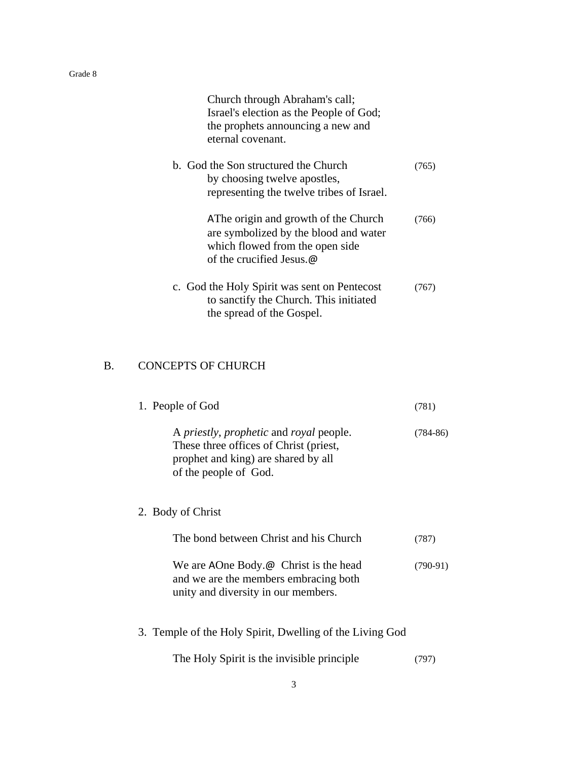| Church through Abraham's call;<br>Israel's election as the People of God;<br>the prophets announcing a new and<br>eternal covenant.          |       |
|----------------------------------------------------------------------------------------------------------------------------------------------|-------|
| b. God the Son structured the Church<br>by choosing twelve apostles,<br>representing the twelve tribes of Israel.                            | (765) |
| AThe origin and growth of the Church<br>are symbolized by the blood and water<br>which flowed from the open side<br>of the crucified Jesus.@ | (766) |
| c. God the Holy Spirit was sent on Pentecost<br>to sanctify the Church. This initiated<br>the spread of the Gospel.                          | (767) |

# B. CONCEPTS OF CHURCH

| 1. People of God                                                                                                                                  | (781)      |
|---------------------------------------------------------------------------------------------------------------------------------------------------|------------|
| A priestly, prophetic and royal people.<br>These three offices of Christ (priest,<br>prophet and king) are shared by all<br>of the people of God. | $(784-86)$ |
| 2. Body of Christ                                                                                                                                 |            |
| The bond between Christ and his Church                                                                                                            | (787)      |
| We are AOne Body. $\omega$ Christ is the head<br>and we are the members embracing both<br>unity and diversity in our members.                     | $(790-91)$ |
| 3. Temple of the Holy Spirit, Dwelling of the Living God                                                                                          |            |
| The Holy Spirit is the invisible principle.                                                                                                       | (797)      |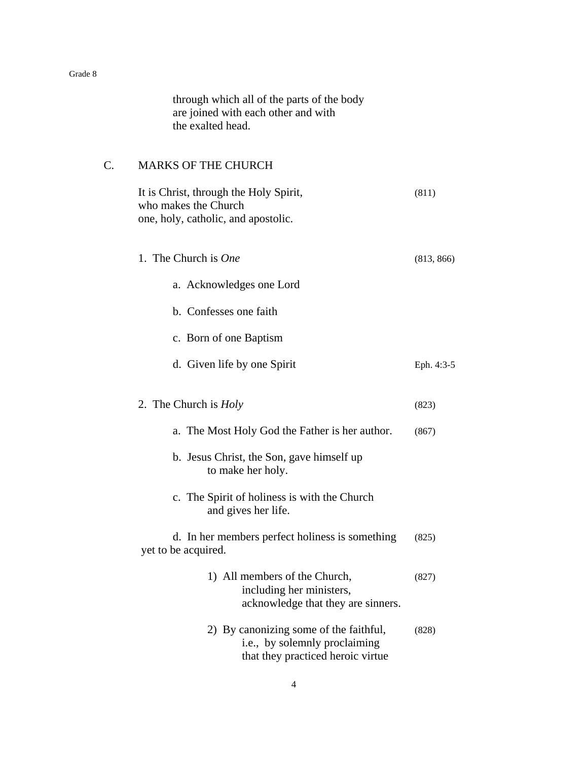through which all of the parts of the body are joined with each other and with the exalted head.

# C. MARKS OF THE CHURCH

| It is Christ, through the Holy Spirit,<br>who makes the Church<br>one, holy, catholic, and apostolic.        | (811)      |
|--------------------------------------------------------------------------------------------------------------|------------|
| 1. The Church is <i>One</i>                                                                                  | (813, 866) |
| a. Acknowledges one Lord                                                                                     |            |
| b. Confesses one faith                                                                                       |            |
| c. Born of one Baptism                                                                                       |            |
| d. Given life by one Spirit                                                                                  | Eph. 4:3-5 |
| 2. The Church is <i>Holy</i>                                                                                 | (823)      |
| a. The Most Holy God the Father is her author.                                                               | (867)      |
| b. Jesus Christ, the Son, gave himself up<br>to make her holy.                                               |            |
| c. The Spirit of holiness is with the Church<br>and gives her life.                                          |            |
| d. In her members perfect holiness is something<br>yet to be acquired.                                       | (825)      |
| 1) All members of the Church,<br>including her ministers,<br>acknowledge that they are sinners.              | (827)      |
| 2) By canonizing some of the faithful,<br>i.e., by solemnly proclaiming<br>that they practiced heroic virtue | (828)      |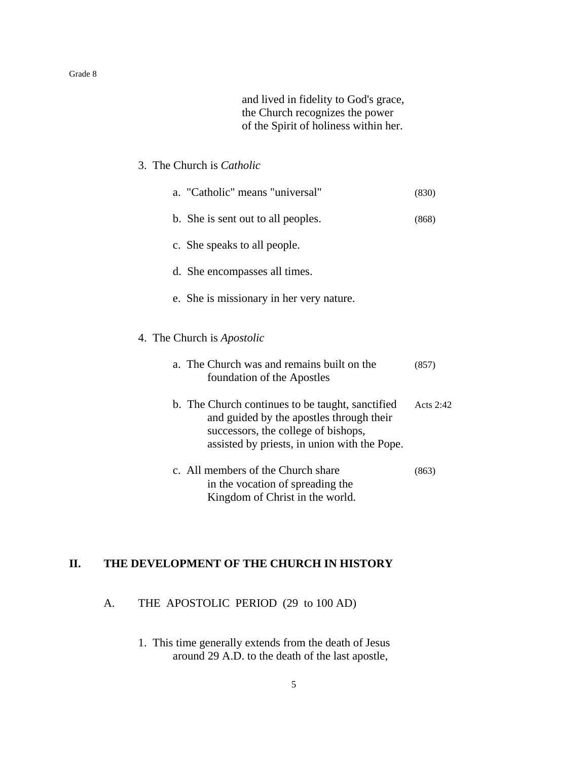and lived in fidelity to God's grace, the Church recognizes the power of the Spirit of holiness within her.

# 3. The Church is *Catholic*

| a. "Catholic" means "universal"                                                                                                                                                     | (830)     |
|-------------------------------------------------------------------------------------------------------------------------------------------------------------------------------------|-----------|
| b. She is sent out to all peoples.                                                                                                                                                  | (868)     |
| c. She speaks to all people.                                                                                                                                                        |           |
| d. She encompasses all times.                                                                                                                                                       |           |
| e. She is missionary in her very nature.                                                                                                                                            |           |
| 4. The Church is <i>Apostolic</i>                                                                                                                                                   |           |
| a. The Church was and remains built on the<br>foundation of the Apostles                                                                                                            | (857)     |
| b. The Church continues to be taught, sanctified<br>and guided by the apostles through their<br>successors, the college of bishops,<br>assisted by priests, in union with the Pope. | Acts 2:42 |
| c. All members of the Church share<br>in the vocation of spreading the<br>Kingdom of Christ in the world.                                                                           | (863)     |

# **II. THE DEVELOPMENT OF THE CHURCH IN HISTORY**

A. THE APOSTOLIC PERIOD (29 to 100 AD)

1. This time generally extends from the death of Jesus around 29 A.D. to the death of the last apostle,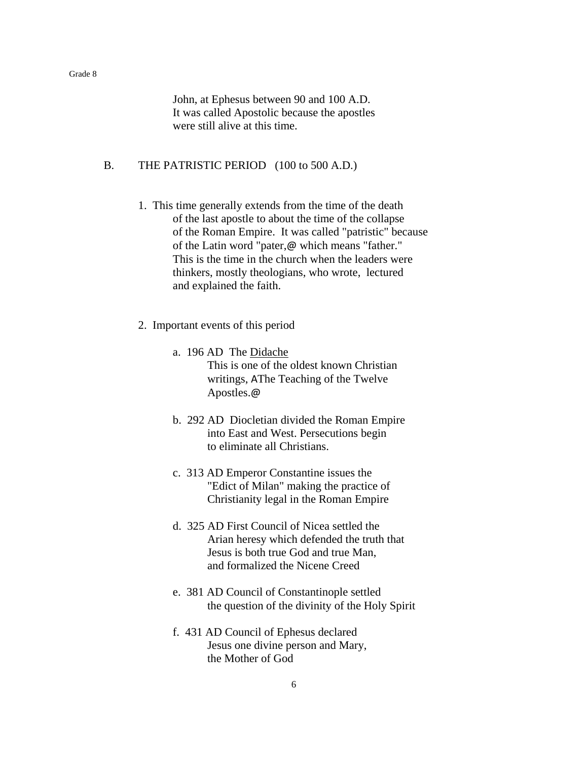John, at Ephesus between 90 and 100 A.D. It was called Apostolic because the apostles were still alive at this time.

#### B. THE PATRISTIC PERIOD (100 to 500 A.D.)

- 1. This time generally extends from the time of the death of the last apostle to about the time of the collapse of the Roman Empire. It was called "patristic" because of the Latin word "pater,@ which means "father." This is the time in the church when the leaders were thinkers, mostly theologians, who wrote, lectured and explained the faith.
- 2. Important events of this period
	- a. 196 AD The Didache This is one of the oldest known Christian writings, AThe Teaching of the Twelve Apostles.@
	- b. 292 AD Diocletian divided the Roman Empire into East and West. Persecutions begin to eliminate all Christians.
	- c. 313 AD Emperor Constantine issues the "Edict of Milan" making the practice of Christianity legal in the Roman Empire
	- d. 325 AD First Council of Nicea settled the Arian heresy which defended the truth that Jesus is both true God and true Man, and formalized the Nicene Creed
	- e. 381 AD Council of Constantinople settled the question of the divinity of the Holy Spirit
	- f. 431 AD Council of Ephesus declared Jesus one divine person and Mary, the Mother of God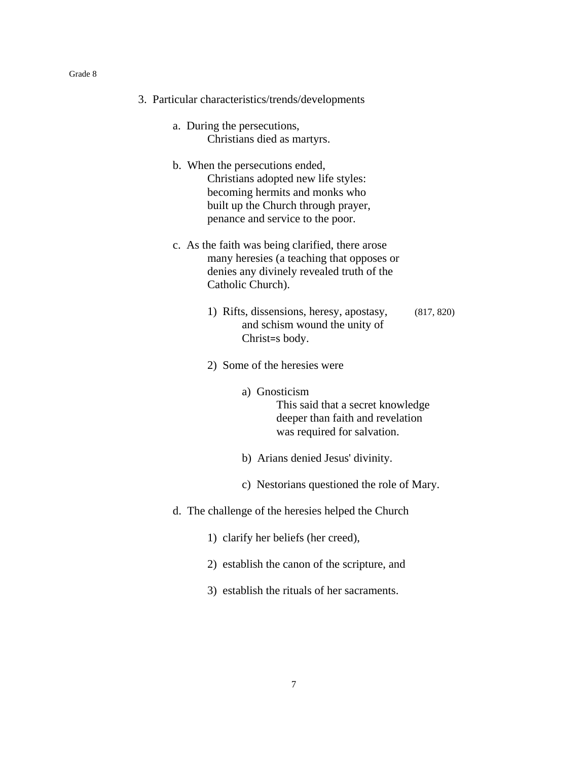| 3. Particular characteristics/trends/developments                                                                                                                                   |            |
|-------------------------------------------------------------------------------------------------------------------------------------------------------------------------------------|------------|
| a. During the persecutions,<br>Christians died as martyrs.                                                                                                                          |            |
| b. When the persecutions ended,<br>Christians adopted new life styles:<br>becoming hermits and monks who<br>built up the Church through prayer,<br>penance and service to the poor. |            |
| c. As the faith was being clarified, there arose<br>many here sies (a teaching that opposes or<br>denies any divinely revealed truth of the<br>Catholic Church).                    |            |
| 1) Rifts, dissensions, heresy, apostasy,<br>and schism wound the unity of<br>Christ=s body.                                                                                         | (817, 820) |
| 2) Some of the heresies were                                                                                                                                                        |            |
| a) Gnosticism<br>This said that a secret knowledge<br>deeper than faith and revelation<br>was required for salvation.                                                               |            |
| b) Arians denied Jesus' divinity.                                                                                                                                                   |            |

- c) Nestorians questioned the role of Mary.
- d. The challenge of the heresies helped the Church
	- 1) clarify her beliefs (her creed),
	- 2) establish the canon of the scripture, and
	- 3) establish the rituals of her sacraments.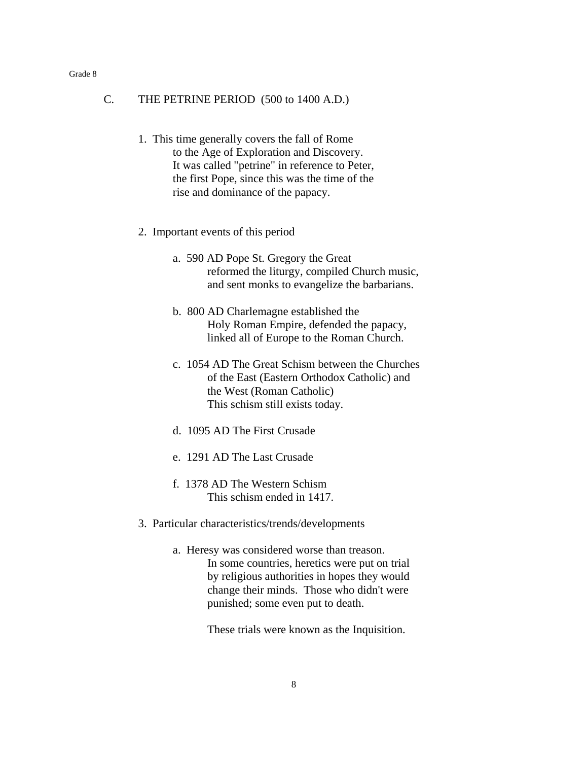#### C. THE PETRINE PERIOD (500 to 1400 A.D.)

- 1. This time generally covers the fall of Rome to the Age of Exploration and Discovery. It was called "petrine" in reference to Peter, the first Pope, since this was the time of the rise and dominance of the papacy.
- 2. Important events of this period
	- a. 590 AD Pope St. Gregory the Great reformed the liturgy, compiled Church music, and sent monks to evangelize the barbarians.
	- b. 800 AD Charlemagne established the Holy Roman Empire, defended the papacy, linked all of Europe to the Roman Church.
	- c. 1054 AD The Great Schism between the Churches of the East (Eastern Orthodox Catholic) and the West (Roman Catholic) This schism still exists today.
	- d. 1095 AD The First Crusade
	- e. 1291 AD The Last Crusade
	- f. 1378 AD The Western Schism This schism ended in 1417.
- 3. Particular characteristics/trends/developments
	- a. Heresy was considered worse than treason. In some countries, heretics were put on trial by religious authorities in hopes they would change their minds. Those who didn't were punished; some even put to death.

These trials were known as the Inquisition.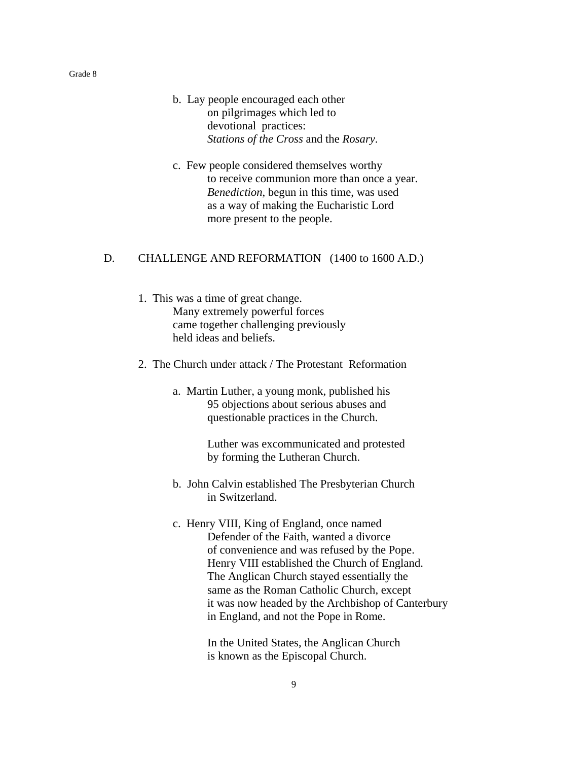- b. Lay people encouraged each other on pilgrimages which led to devotional practices: *Stations of the Cross* and the *Rosary*.
- c. Few people considered themselves worthy to receive communion more than once a year. *Benediction*, begun in this time, was used as a way of making the Eucharistic Lord more present to the people.

#### D. CHALLENGE AND REFORMATION (1400 to 1600 A.D.)

- 1. This was a time of great change. Many extremely powerful forces came together challenging previously held ideas and beliefs.
- 2. The Church under attack / The Protestant Reformation
	- a. Martin Luther, a young monk, published his 95 objections about serious abuses and questionable practices in the Church.

Luther was excommunicated and protested by forming the Lutheran Church.

- b. John Calvin established The Presbyterian Church in Switzerland.
- c. Henry VIII, King of England, once named Defender of the Faith, wanted a divorce of convenience and was refused by the Pope. Henry VIII established the Church of England. The Anglican Church stayed essentially the same as the Roman Catholic Church, except it was now headed by the Archbishop of Canterbury in England, and not the Pope in Rome.

In the United States, the Anglican Church is known as the Episcopal Church.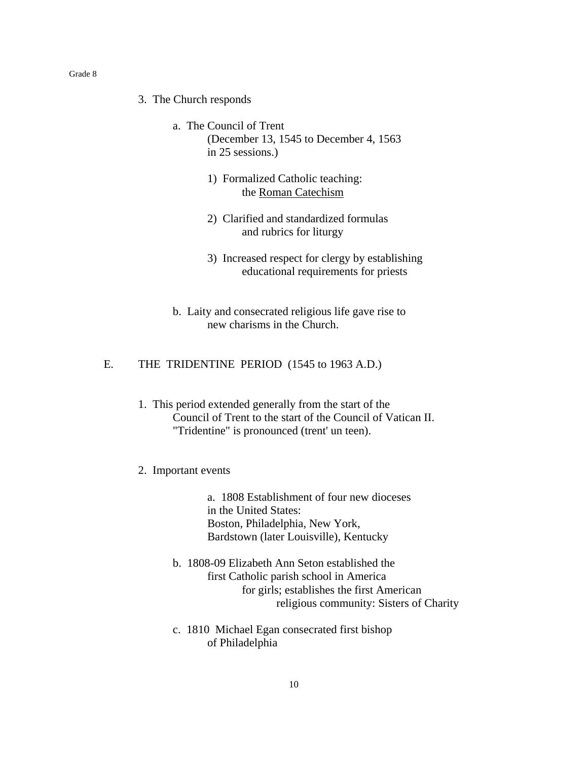- 3. The Church responds
	- a. The Council of Trent (December 13, 1545 to December 4, 1563 in 25 sessions.)
		- 1) Formalized Catholic teaching: the Roman Catechism
		- 2) Clarified and standardized formulas and rubrics for liturgy
		- 3) Increased respect for clergy by establishing educational requirements for priests
	- b. Laity and consecrated religious life gave rise to new charisms in the Church.

# E. THE TRIDENTINE PERIOD (1545 to 1963 A.D.)

1. This period extended generally from the start of the Council of Trent to the start of the Council of Vatican II. "Tridentine" is pronounced (trent' un teen).

#### 2. Important events

 a. 1808 Establishment of four new dioceses in the United States: Boston, Philadelphia, New York, Bardstown (later Louisville), Kentucky

- b. 1808-09 Elizabeth Ann Seton established the first Catholic parish school in America for girls; establishes the first American religious community: Sisters of Charity
- c. 1810 Michael Egan consecrated first bishop of Philadelphia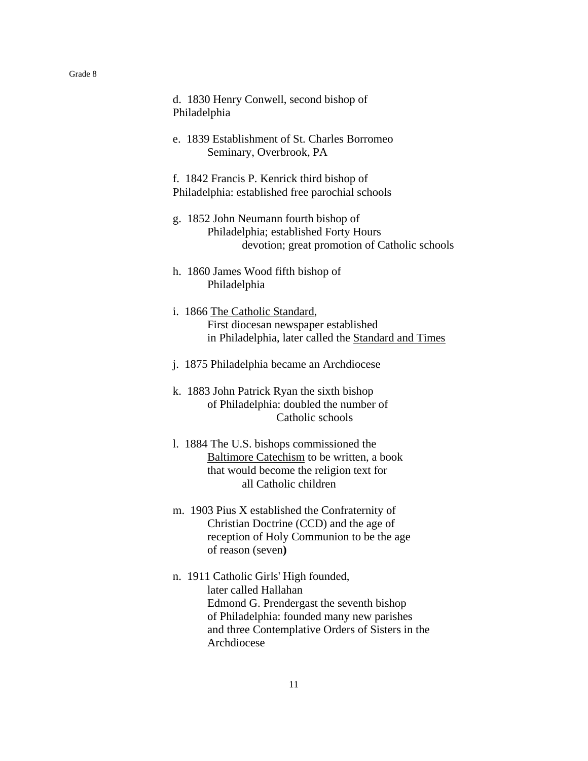| d. 1830 Henry Conwell, second bishop of<br>Philadelphia                                                                                                      |
|--------------------------------------------------------------------------------------------------------------------------------------------------------------|
| e. 1839 Establishment of St. Charles Borromeo<br>Seminary, Overbrook, PA                                                                                     |
| f. 1842 Francis P. Kenrick third bishop of<br>Philadelphia: established free parochial schools                                                               |
| g. 1852 John Neumann fourth bishop of<br>Philadelphia; established Forty Hours<br>devotion; great promotion of Catholic schools                              |
| h. 1860 James Wood fifth bishop of<br>Philadelphia                                                                                                           |
| i. 1866 The Catholic Standard,<br>First diocesan newspaper established<br>in Philadelphia, later called the Standard and Times                               |
| j. 1875 Philadelphia became an Archdiocese                                                                                                                   |
| k. 1883 John Patrick Ryan the sixth bishop<br>of Philadelphia: doubled the number of<br>Catholic schools                                                     |
| 1. 1884 The U.S. bishops commissioned the<br>Baltimore Catechism to be written, a book<br>that would become the religion text for<br>all Catholic children   |
| m. 1903 Pius X established the Confraternity of<br>Christian Doctrine (CCD) and the age of<br>reception of Holy Communion to be the age<br>of reason (seven) |
| n. 1911 Catholic Girls' High founded,<br>later called Hallahan<br>Edmond G. Prendergast the seventh bishop<br>of Philadelphia: founded many new parishes     |

and three Contemplative Orders of Sisters in the Archdiocese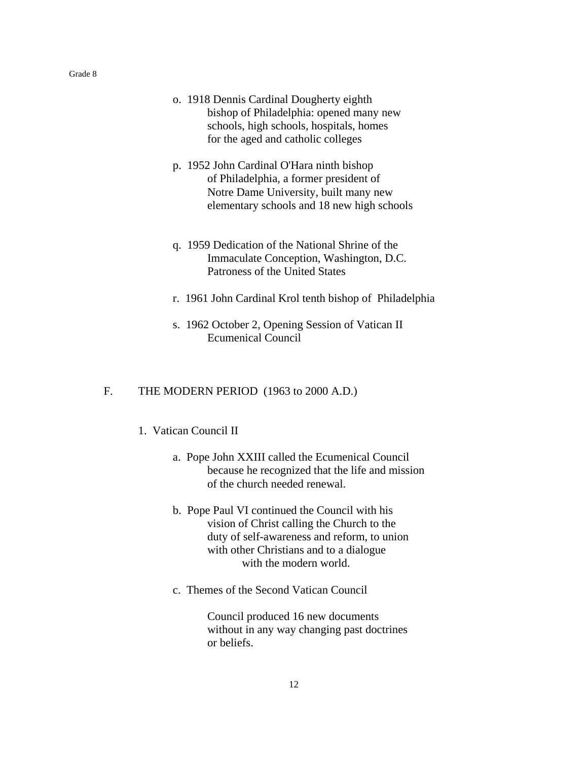- o. 1918 Dennis Cardinal Dougherty eighth bishop of Philadelphia: opened many new schools, high schools, hospitals, homes for the aged and catholic colleges
- p. 1952 John Cardinal O'Hara ninth bishop of Philadelphia, a former president of Notre Dame University, built many new elementary schools and 18 new high schools
- q. 1959 Dedication of the National Shrine of the Immaculate Conception, Washington, D.C. Patroness of the United States
- r. 1961 John Cardinal Krol tenth bishop of Philadelphia
- s. 1962 October 2, Opening Session of Vatican II Ecumenical Council

#### F. THE MODERN PERIOD (1963 to 2000 A.D.)

# 1. Vatican Council II

- a. Pope John XXIII called the Ecumenical Council because he recognized that the life and mission of the church needed renewal.
- b. Pope Paul VI continued the Council with his vision of Christ calling the Church to the duty of self-awareness and reform, to union with other Christians and to a dialogue with the modern world.
- c. Themes of the Second Vatican Council

Council produced 16 new documents without in any way changing past doctrines or beliefs.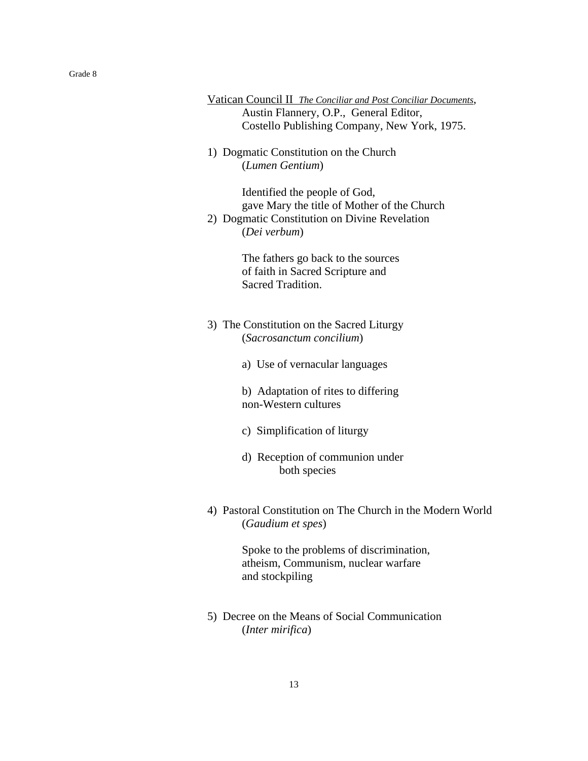- Vatican Council II *The Conciliar and Post Conciliar Documents*, Austin Flannery, O.P., General Editor, Costello Publishing Company, New York, 1975.
- 1) Dogmatic Constitution on the Church (*Lumen Gentium*)

Identified the people of God, gave Mary the title of Mother of the Church

2) Dogmatic Constitution on Divine Revelation (*Dei verbum*)

> The fathers go back to the sources of faith in Sacred Scripture and Sacred Tradition.

- 3) The Constitution on the Sacred Liturgy (*Sacrosanctum concilium*)
	- a) Use of vernacular languages

b) Adaptation of rites to differing non-Western cultures

- c) Simplification of liturgy
- d) Reception of communion under both species
- 4) Pastoral Constitution on The Church in the Modern World (*Gaudium et spes*)

Spoke to the problems of discrimination, atheism, Communism, nuclear warfare and stockpiling

5) Decree on the Means of Social Communication (*Inter mirifica*)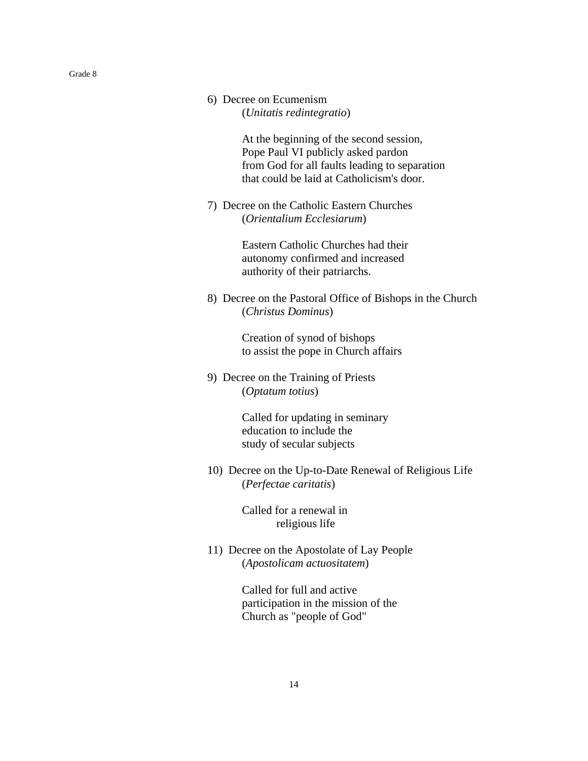At the beginning of the second session, Pope Paul VI publicly asked pardon from God for all faults leading to separation that could be laid at Catholicism's door.

7) Decree on the Catholic Eastern Churches (*Orientalium Ecclesiarum*)

> Eastern Catholic Churches had their autonomy confirmed and increased authority of their patriarchs.

8) Decree on the Pastoral Office of Bishops in the Church (*Christus Dominus*)

> Creation of synod of bishops to assist the pope in Church affairs

9) Decree on the Training of Priests (*Optatum totius*)

> Called for updating in seminary education to include the study of secular subjects

10) Decree on the Up-to-Date Renewal of Religious Life (*Perfectae caritatis*)

> Called for a renewal in religious life

11) Decree on the Apostolate of Lay People (*Apostolicam actuositatem*)

> Called for full and active participation in the mission of the Church as "people of God"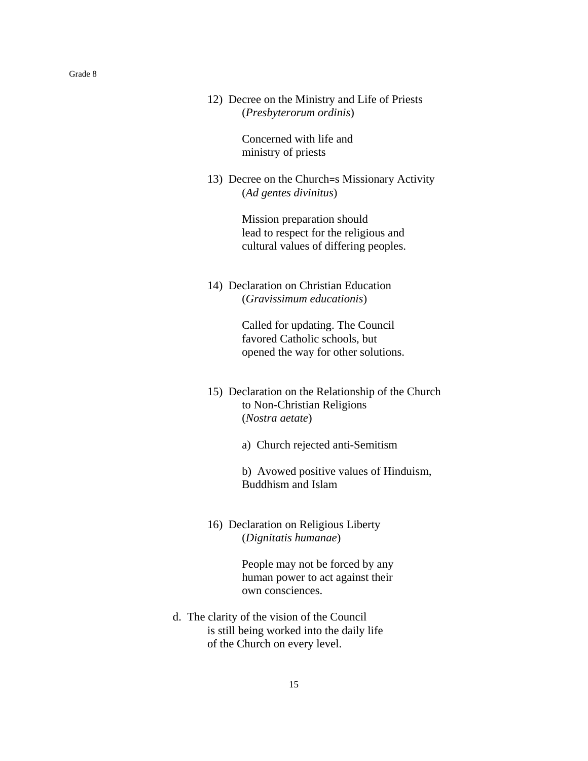12) Decree on the Ministry and Life of Priests (*Presbyterorum ordinis*)

> Concerned with life and ministry of priests

13) Decree on the Church=s Missionary Activity (*Ad gentes divinitus*)

> Mission preparation should lead to respect for the religious and cultural values of differing peoples.

14) Declaration on Christian Education (*Gravissimum educationis*)

> Called for updating. The Council favored Catholic schools, but opened the way for other solutions.

- 15) Declaration on the Relationship of the Church to Non-Christian Religions (*Nostra aetate*)
	- a) Church rejected anti-Semitism

b) Avowed positive values of Hinduism, Buddhism and Islam

16) Declaration on Religious Liberty (*Dignitatis humanae*)

> People may not be forced by any human power to act against their own consciences.

d. The clarity of the vision of the Council is still being worked into the daily life of the Church on every level.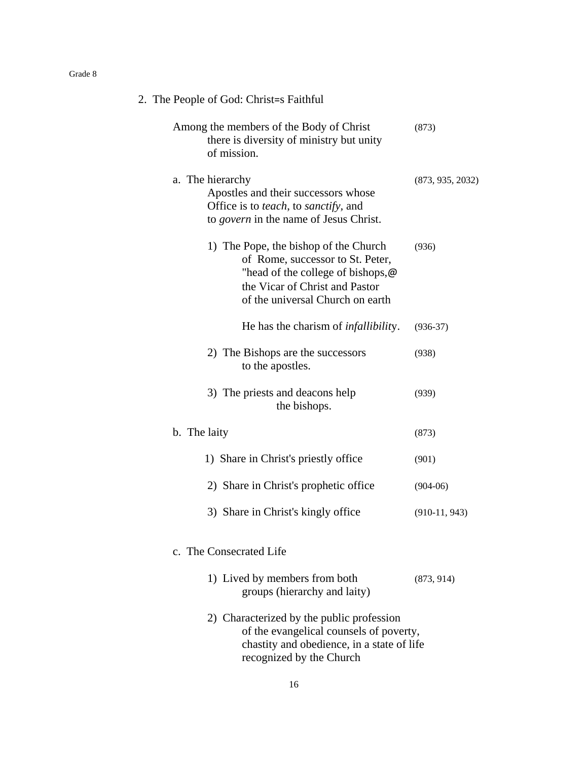| 2. The People of God: Christ=s Faithful                                                                                                                                                      |                  |
|----------------------------------------------------------------------------------------------------------------------------------------------------------------------------------------------|------------------|
| Among the members of the Body of Christ<br>there is diversity of ministry but unity<br>of mission.                                                                                           | (873)            |
| a. The hierarchy<br>Apostles and their successors whose<br>Office is to <i>teach</i> , to <i>sanctify</i> , and<br>to <i>govern</i> in the name of Jesus Christ.                             | (873, 935, 2032) |
| 1) The Pope, the bishop of the Church<br>of Rome, successor to St. Peter,<br>"head of the college of bishops, $\omega$<br>the Vicar of Christ and Pastor<br>of the universal Church on earth | (936)            |
| He has the charism of <i>infallibility</i> .                                                                                                                                                 | $(936-37)$       |
| 2) The Bishops are the successors<br>to the apostles.                                                                                                                                        | (938)            |
| 3) The priests and deacons help<br>the bishops.                                                                                                                                              | (939)            |
| b. The laity                                                                                                                                                                                 | (873)            |
| 1) Share in Christ's priestly office                                                                                                                                                         | (901)            |
| 2) Share in Christ's prophetic office                                                                                                                                                        | $(904-06)$       |
| 3) Share in Christ's kingly office                                                                                                                                                           | $(910-11, 943)$  |
| c. The Consecrated Life                                                                                                                                                                      |                  |
| 1) Lived by members from both<br>groups (hierarchy and laity)                                                                                                                                | (873, 914)       |
| 2) Characterized by the public profession<br>of the evangelical counsels of poverty,<br>chastity and obedience, in a state of life<br>recognized by the Church                               |                  |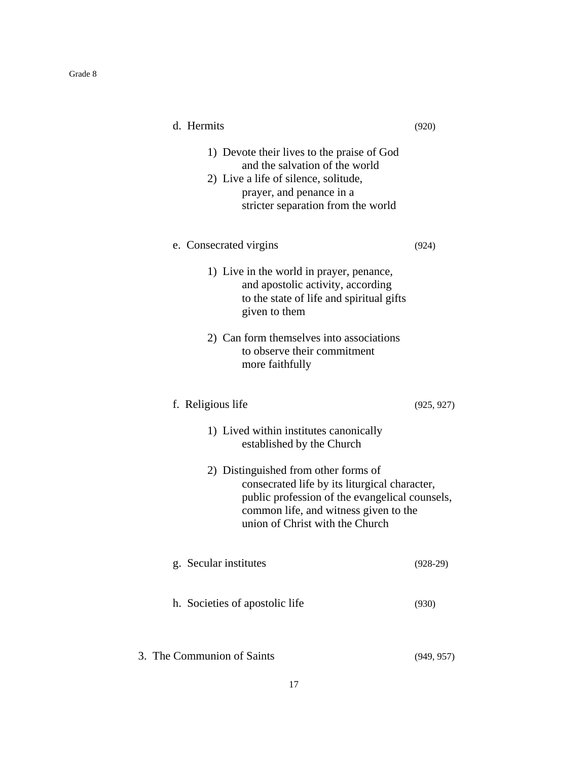| d. Hermits                                                                                                                                                                                                          | (920)      |
|---------------------------------------------------------------------------------------------------------------------------------------------------------------------------------------------------------------------|------------|
| 1) Devote their lives to the praise of God<br>and the salvation of the world<br>2) Live a life of silence, solitude,<br>prayer, and penance in a<br>stricter separation from the world                              |            |
| e. Consecrated virgins                                                                                                                                                                                              | (924)      |
| 1) Live in the world in prayer, penance,<br>and apostolic activity, according<br>to the state of life and spiritual gifts<br>given to them                                                                          |            |
| 2) Can form themselves into associations<br>to observe their commitment<br>more faithfully                                                                                                                          |            |
| f. Religious life                                                                                                                                                                                                   | (925, 927) |
| 1) Lived within institutes canonically<br>established by the Church                                                                                                                                                 |            |
| 2) Distinguished from other forms of<br>consecrated life by its liturgical character,<br>public profession of the evangelical counsels,<br>common life, and witness given to the<br>union of Christ with the Church |            |
| g. Secular institutes                                                                                                                                                                                               | $(928-29)$ |
| h. Societies of apostolic life                                                                                                                                                                                      | (930)      |
| 3. The Communion of Saints                                                                                                                                                                                          | (949, 957) |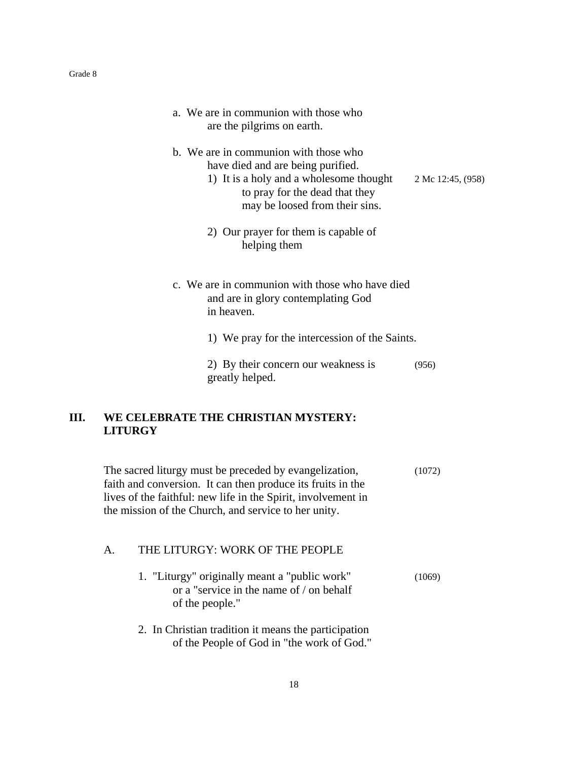|    | a. We are in communion with those who<br>are the pilgrims on earth.                                                                                                                                                                            |                   |
|----|------------------------------------------------------------------------------------------------------------------------------------------------------------------------------------------------------------------------------------------------|-------------------|
|    | b. We are in communion with those who<br>have died and are being purified.<br>1) It is a holy and a wholesome thought<br>to pray for the dead that they<br>may be loosed from their sins.                                                      | 2 Mc 12:45, (958) |
|    | 2) Our prayer for them is capable of<br>helping them                                                                                                                                                                                           |                   |
|    | c. We are in communion with those who have died<br>and are in glory contemplating God<br>in heaven.                                                                                                                                            |                   |
|    | 1) We pray for the intercession of the Saints.                                                                                                                                                                                                 |                   |
|    | 2) By their concern our weakness is<br>greatly helped.                                                                                                                                                                                         | (956)             |
| Ш. | WE CELEBRATE THE CHRISTIAN MYSTERY:<br><b>LITURGY</b>                                                                                                                                                                                          |                   |
|    | The sacred liturgy must be preceded by evangelization,<br>faith and conversion. It can then produce its fruits in the<br>lives of the faithful: new life in the Spirit, involvement in<br>the mission of the Church, and service to her unity. | (1072)            |
|    | THE LITURGY: WORK OF THE PEOPLE<br>A.                                                                                                                                                                                                          |                   |
|    | 1. "Liturgy" originally meant a "public work"<br>or a "service in the name of / on behalf<br>of the people."                                                                                                                                   | (1069)            |
|    | 2. In Christian tradition it means the participation<br>of the People of God in "the work of God."                                                                                                                                             |                   |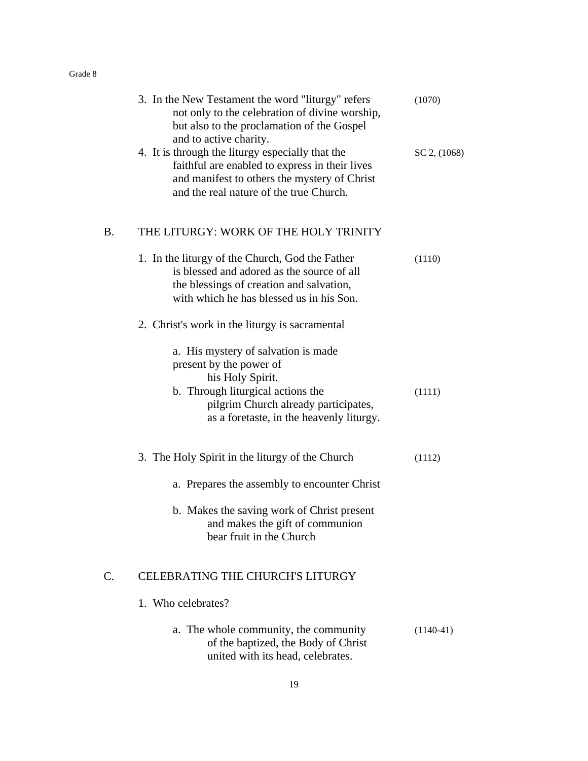|    | 3. In the New Testament the word "liturgy" refers<br>not only to the celebration of divine worship,<br>but also to the proclamation of the Gospel<br>and to active charity.                                 | (1070)           |
|----|-------------------------------------------------------------------------------------------------------------------------------------------------------------------------------------------------------------|------------------|
|    | 4. It is through the liturgy especially that the<br>faithful are enabled to express in their lives<br>and manifest to others the mystery of Christ<br>and the real nature of the true Church.               | $SC$ 2, $(1068)$ |
| В. | THE LITURGY: WORK OF THE HOLY TRINITY                                                                                                                                                                       |                  |
|    | 1. In the liturgy of the Church, God the Father<br>is blessed and adored as the source of all<br>the blessings of creation and salvation,<br>with which he has blessed us in his Son.                       | (1110)           |
|    | 2. Christ's work in the liturgy is sacramental                                                                                                                                                              |                  |
|    | a. His mystery of salvation is made<br>present by the power of<br>his Holy Spirit.<br>b. Through liturgical actions the<br>pilgrim Church already participates,<br>as a foretaste, in the heavenly liturgy. | (1111)           |
|    | 3. The Holy Spirit in the liturgy of the Church                                                                                                                                                             | (1112)           |
|    | a. Prepares the assembly to encounter Christ                                                                                                                                                                |                  |
|    | b. Makes the saving work of Christ present<br>and makes the gift of communion<br>bear fruit in the Church                                                                                                   |                  |
| C. | CELEBRATING THE CHURCH'S LITURGY                                                                                                                                                                            |                  |
|    | 1. Who celebrates?                                                                                                                                                                                          |                  |
|    | a. The whole community, the community<br>of the baptized, the Body of Christ<br>united with its head, celebrates.                                                                                           | $(1140-41)$      |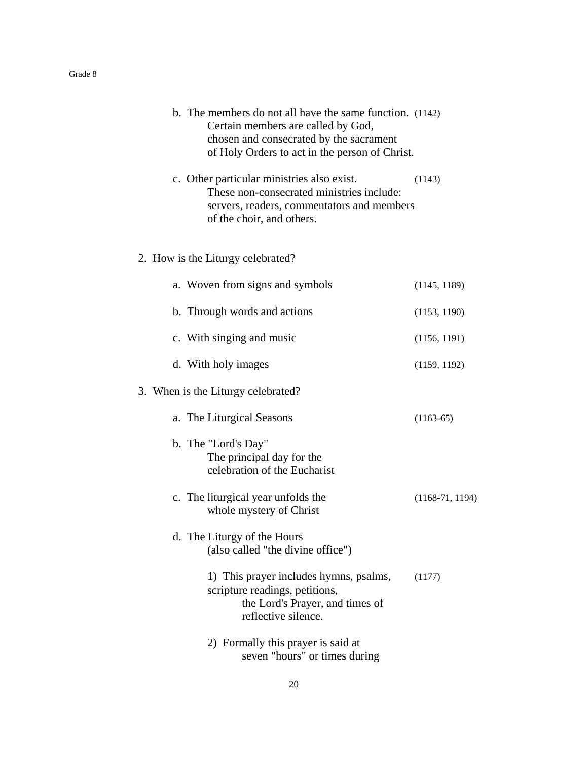|  | b. The members do not all have the same function. (1142)<br>Certain members are called by God,<br>chosen and consecrated by the sacrament<br>of Holy Orders to act in the person of Christ. |                   |
|--|---------------------------------------------------------------------------------------------------------------------------------------------------------------------------------------------|-------------------|
|  | c. Other particular ministries also exist.<br>These non-consecrated ministries include:<br>servers, readers, commentators and members<br>of the choir, and others.                          | (1143)            |
|  | 2. How is the Liturgy celebrated?                                                                                                                                                           |                   |
|  | a. Woven from signs and symbols                                                                                                                                                             | (1145, 1189)      |
|  | b. Through words and actions                                                                                                                                                                | (1153, 1190)      |
|  | c. With singing and music                                                                                                                                                                   | (1156, 1191)      |
|  | d. With holy images                                                                                                                                                                         | (1159, 1192)      |
|  | 3. When is the Liturgy celebrated?                                                                                                                                                          |                   |
|  | a. The Liturgical Seasons                                                                                                                                                                   | $(1163-65)$       |
|  | b. The "Lord's Day"<br>The principal day for the<br>celebration of the Eucharist                                                                                                            |                   |
|  | c. The liturgical year unfolds the<br>whole mystery of Christ                                                                                                                               | $(1168-71, 1194)$ |
|  | d. The Liturgy of the Hours<br>(also called "the divine office")                                                                                                                            |                   |
|  | 1) This prayer includes hymns, psalms,<br>scripture readings, petitions,<br>the Lord's Prayer, and times of<br>reflective silence.                                                          | (1177)            |
|  | 2) Formally this prayer is said at<br>seven "hours" or times during                                                                                                                         |                   |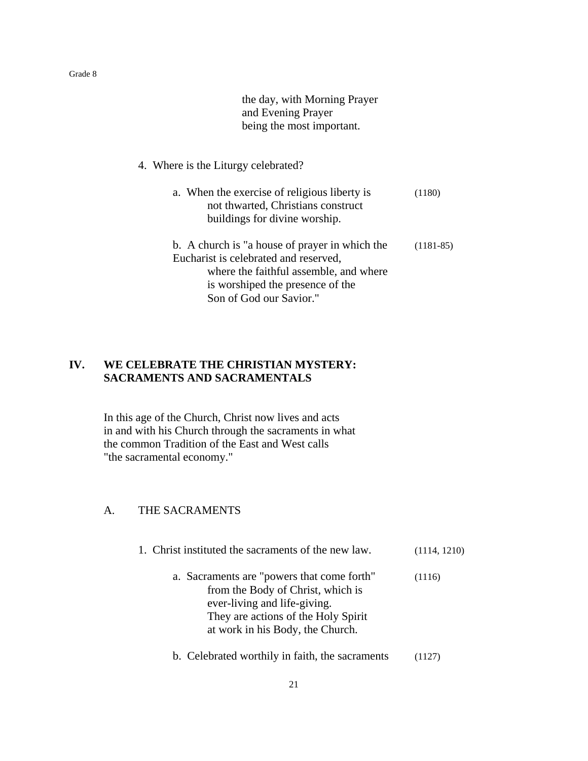the day, with Morning Prayer and Evening Prayer being the most important.

# 4. Where is the Liturgy celebrated?

| a. When the exercise of religious liberty is<br>not thwarted, Christians construct<br>buildings for divine worship.                                                                              | (1180)      |
|--------------------------------------------------------------------------------------------------------------------------------------------------------------------------------------------------|-------------|
| b. A church is "a house of prayer in which the<br>Eucharist is celebrated and reserved,<br>where the faithful assemble, and where<br>is worshiped the presence of the<br>Son of God our Savior." | $(1181-85)$ |

# **IV. WE CELEBRATE THE CHRISTIAN MYSTERY: SACRAMENTS AND SACRAMENTALS**

In this age of the Church, Christ now lives and acts in and with his Church through the sacraments in what the common Tradition of the East and West calls "the sacramental economy."

# A. THE SACRAMENTS

| 1. Christ instituted the sacraments of the new law.                                                                                                                                        | (1114, 1210) |
|--------------------------------------------------------------------------------------------------------------------------------------------------------------------------------------------|--------------|
| a. Sacraments are "powers that come forth"<br>from the Body of Christ, which is<br>ever-living and life-giving.<br>They are actions of the Holy Spirit<br>at work in his Body, the Church. | (1116)       |
| b. Celebrated worthily in faith, the sacraments                                                                                                                                            |              |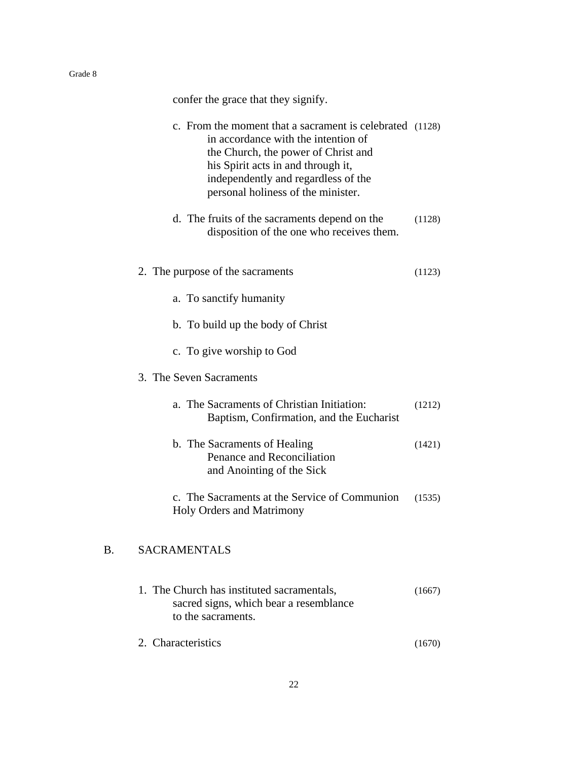confer the grace that they signify.

|    | c. From the moment that a sacrament is celebrated (1128)<br>in accordance with the intention of<br>the Church, the power of Christ and<br>his Spirit acts in and through it,<br>independently and regardless of the<br>personal holiness of the minister. |        |
|----|-----------------------------------------------------------------------------------------------------------------------------------------------------------------------------------------------------------------------------------------------------------|--------|
|    | d. The fruits of the sacraments depend on the<br>disposition of the one who receives them.                                                                                                                                                                | (1128) |
|    | 2. The purpose of the sacraments                                                                                                                                                                                                                          | (1123) |
|    | a. To sanctify humanity                                                                                                                                                                                                                                   |        |
|    | b. To build up the body of Christ                                                                                                                                                                                                                         |        |
|    | c. To give worship to God                                                                                                                                                                                                                                 |        |
|    | 3. The Seven Sacraments                                                                                                                                                                                                                                   |        |
|    | a. The Sacraments of Christian Initiation:<br>Baptism, Confirmation, and the Eucharist                                                                                                                                                                    | (1212) |
|    | b. The Sacraments of Healing<br>Penance and Reconciliation<br>and Anointing of the Sick                                                                                                                                                                   | (1421) |
|    | c. The Sacraments at the Service of Communion<br>Holy Orders and Matrimony                                                                                                                                                                                | (1535) |
| B. | <b>SACRAMENTALS</b>                                                                                                                                                                                                                                       |        |
|    | 1. The Church has instituted sacramentals,<br>sacred signs, which bear a resemblance<br>to the sacraments.                                                                                                                                                | (1667) |

2. Characteristics (1670)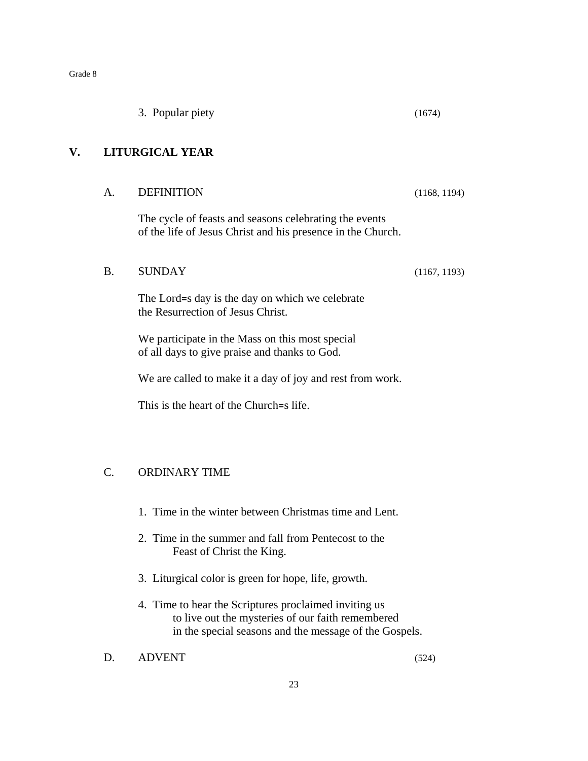|    |                  | 3. Popular piety                                                                                                      | (1674)       |
|----|------------------|-----------------------------------------------------------------------------------------------------------------------|--------------|
| V. |                  | <b>LITURGICAL YEAR</b>                                                                                                |              |
|    | A.               | <b>DEFINITION</b>                                                                                                     | (1168, 1194) |
|    |                  | The cycle of feasts and seasons celebrating the events<br>of the life of Jesus Christ and his presence in the Church. |              |
|    | <b>B.</b>        | <b>SUNDAY</b>                                                                                                         | (1167, 1193) |
|    |                  | The Lord=s day is the day on which we celebrate<br>the Resurrection of Jesus Christ.                                  |              |
|    |                  | We participate in the Mass on this most special<br>of all days to give praise and thanks to God.                      |              |
|    |                  | We are called to make it a day of joy and rest from work.                                                             |              |
|    |                  | This is the heart of the Church=s life.                                                                               |              |
|    |                  |                                                                                                                       |              |
|    | $\overline{C}$ . | <b>ORDINARY TIME</b>                                                                                                  |              |
|    |                  | 1. Time in the winter between Christmas time and Lent.                                                                |              |
|    |                  | 2. Time in the summer and fall from Pentecost to the<br>Feast of Christ the King.                                     |              |

- 3. Liturgical color is green for hope, life, growth.
- 4. Time to hear the Scriptures proclaimed inviting us to live out the mysteries of our faith remembered in the special seasons and the message of the Gospels.

D. ADVENT (524)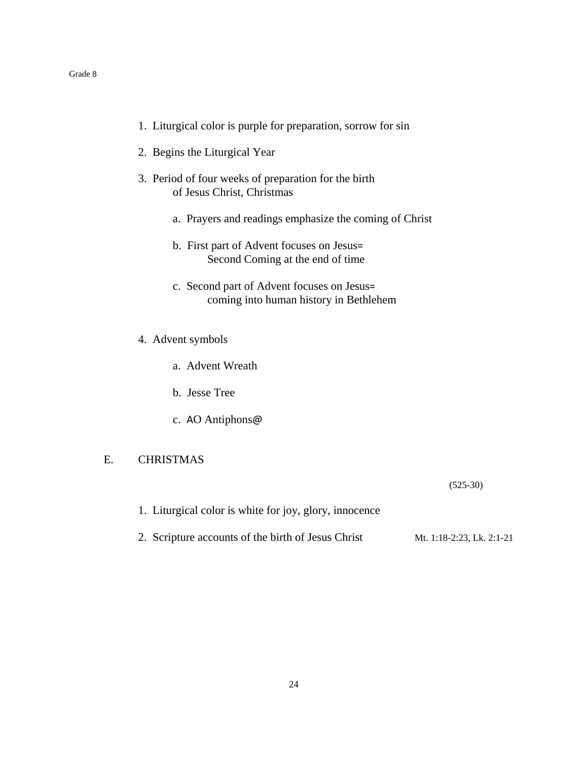- 1. Liturgical color is purple for preparation, sorrow for sin
- 2. Begins the Liturgical Year
- 3. Period of four weeks of preparation for the birth of Jesus Christ, Christmas
	- a. Prayers and readings emphasize the coming of Christ
	- b. First part of Advent focuses on Jesus= Second Coming at the end of time
	- c. Second part of Advent focuses on Jesus= coming into human history in Bethlehem
- 4. Advent symbols
	- a. Advent Wreath
	- b. Jesse Tree
	- c. AO Antiphons@

# E. CHRISTMAS

(525-30)

- 1. Liturgical color is white for joy, glory, innocence
- 2. Scripture accounts of the birth of Jesus Christ Mt. 1:18-2:23, Lk. 2:1-21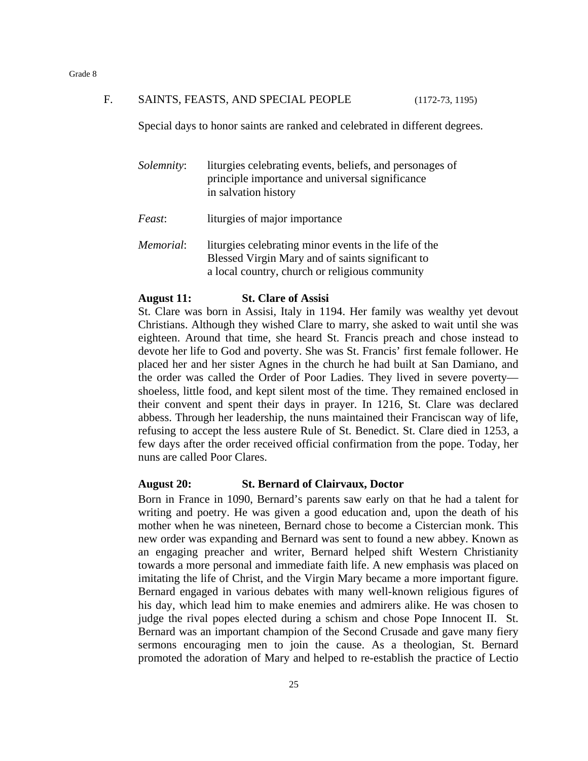#### F. SAINTS, FEASTS, AND SPECIAL PEOPLE (1172-73, 1195)

Special days to honor saints are ranked and celebrated in different degrees.

| <i>Solemnity</i> : | liturgies celebrating events, beliefs, and personages of<br>principle importance and universal significance<br>in salvation history |
|--------------------|-------------------------------------------------------------------------------------------------------------------------------------|
| Feast:             | liturgies of major importance                                                                                                       |

*Memorial*: liturgies celebrating minor events in the life of the Blessed Virgin Mary and of saints significant to a local country, church or religious community

#### **August 11: St. Clare of Assisi**

St. Clare was born in Assisi, Italy in 1194. Her family was wealthy yet devout Christians. Although they wished Clare to marry, she asked to wait until she was eighteen. Around that time, she heard St. Francis preach and chose instead to devote her life to God and poverty. She was St. Francis' first female follower. He placed her and her sister Agnes in the church he had built at San Damiano, and the order was called the Order of Poor Ladies. They lived in severe poverty shoeless, little food, and kept silent most of the time. They remained enclosed in their convent and spent their days in prayer. In 1216, St. Clare was declared abbess. Through her leadership, the nuns maintained their Franciscan way of life, refusing to accept the less austere Rule of St. Benedict. St. Clare died in 1253, a few days after the order received official confirmation from the pope. Today, her nuns are called Poor Clares.

#### **August 20: St. Bernard of Clairvaux, Doctor**

Born in France in 1090, Bernard's parents saw early on that he had a talent for writing and poetry. He was given a good education and, upon the death of his mother when he was nineteen, Bernard chose to become a Cistercian monk. This new order was expanding and Bernard was sent to found a new abbey. Known as an engaging preacher and writer, Bernard helped shift Western Christianity towards a more personal and immediate faith life. A new emphasis was placed on imitating the life of Christ, and the Virgin Mary became a more important figure. Bernard engaged in various debates with many well-known religious figures of his day, which lead him to make enemies and admirers alike. He was chosen to judge the rival popes elected during a schism and chose Pope Innocent II. St. Bernard was an important champion of the Second Crusade and gave many fiery sermons encouraging men to join the cause. As a theologian, St. Bernard promoted the adoration of Mary and helped to re-establish the practice of Lectio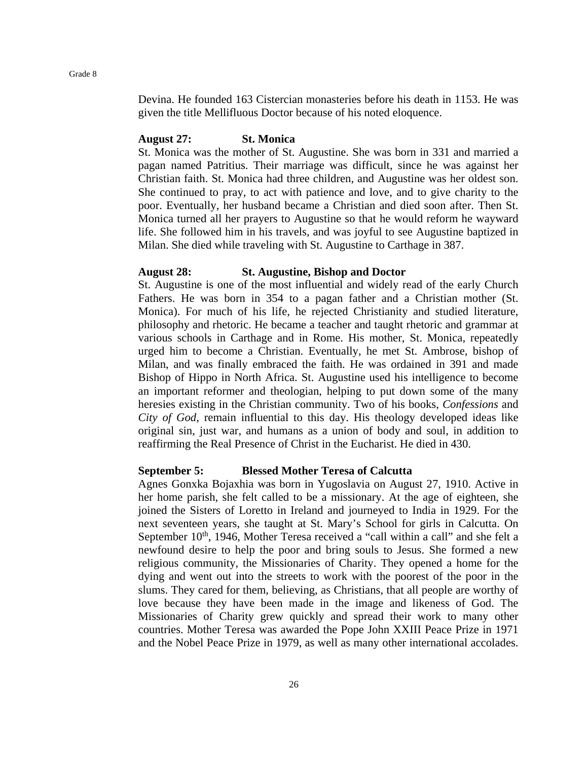Devina. He founded 163 Cistercian monasteries before his death in 1153. He was given the title Mellifluous Doctor because of his noted eloquence.

#### **August 27: St. Monica**

St. Monica was the mother of St. Augustine. She was born in 331 and married a pagan named Patritius. Their marriage was difficult, since he was against her Christian faith. St. Monica had three children, and Augustine was her oldest son. She continued to pray, to act with patience and love, and to give charity to the poor. Eventually, her husband became a Christian and died soon after. Then St. Monica turned all her prayers to Augustine so that he would reform he wayward life. She followed him in his travels, and was joyful to see Augustine baptized in Milan. She died while traveling with St. Augustine to Carthage in 387.

#### **August 28: St. Augustine, Bishop and Doctor**

St. Augustine is one of the most influential and widely read of the early Church Fathers. He was born in 354 to a pagan father and a Christian mother (St. Monica). For much of his life, he rejected Christianity and studied literature, philosophy and rhetoric. He became a teacher and taught rhetoric and grammar at various schools in Carthage and in Rome. His mother, St. Monica, repeatedly urged him to become a Christian. Eventually, he met St. Ambrose, bishop of Milan, and was finally embraced the faith. He was ordained in 391 and made Bishop of Hippo in North Africa. St. Augustine used his intelligence to become an important reformer and theologian, helping to put down some of the many heresies existing in the Christian community. Two of his books, *Confessions* and *City of God*, remain influential to this day. His theology developed ideas like original sin, just war, and humans as a union of body and soul, in addition to reaffirming the Real Presence of Christ in the Eucharist. He died in 430.

#### **September 5: Blessed Mother Teresa of Calcutta**

Agnes Gonxka Bojaxhia was born in Yugoslavia on August 27, 1910. Active in her home parish, she felt called to be a missionary. At the age of eighteen, she joined the Sisters of Loretto in Ireland and journeyed to India in 1929. For the next seventeen years, she taught at St. Mary's School for girls in Calcutta. On September  $10<sup>th</sup>$ , 1946, Mother Teresa received a "call within a call" and she felt a newfound desire to help the poor and bring souls to Jesus. She formed a new religious community, the Missionaries of Charity. They opened a home for the dying and went out into the streets to work with the poorest of the poor in the slums. They cared for them, believing, as Christians, that all people are worthy of love because they have been made in the image and likeness of God. The Missionaries of Charity grew quickly and spread their work to many other countries. Mother Teresa was awarded the Pope John XXIII Peace Prize in 1971 and the Nobel Peace Prize in 1979, as well as many other international accolades.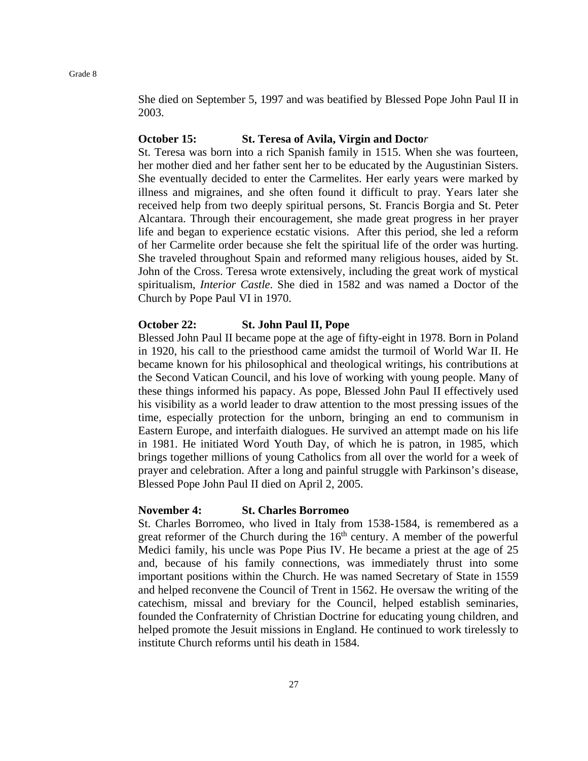She died on September 5, 1997 and was beatified by Blessed Pope John Paul II in 2003.

#### **October 15: St. Teresa of Avila, Virgin and Docto***r*

St. Teresa was born into a rich Spanish family in 1515. When she was fourteen, her mother died and her father sent her to be educated by the Augustinian Sisters. She eventually decided to enter the Carmelites. Her early years were marked by illness and migraines, and she often found it difficult to pray. Years later she received help from two deeply spiritual persons, St. Francis Borgia and St. Peter Alcantara. Through their encouragement, she made great progress in her prayer life and began to experience ecstatic visions. After this period, she led a reform of her Carmelite order because she felt the spiritual life of the order was hurting. She traveled throughout Spain and reformed many religious houses, aided by St. John of the Cross. Teresa wrote extensively, including the great work of mystical spiritualism, *Interior Castle*. She died in 1582 and was named a Doctor of the Church by Pope Paul VI in 1970.

#### **October 22: St. John Paul II, Pope**

Blessed John Paul II became pope at the age of fifty-eight in 1978. Born in Poland in 1920, his call to the priesthood came amidst the turmoil of World War II. He became known for his philosophical and theological writings, his contributions at the Second Vatican Council, and his love of working with young people. Many of these things informed his papacy. As pope, Blessed John Paul II effectively used his visibility as a world leader to draw attention to the most pressing issues of the time, especially protection for the unborn, bringing an end to communism in Eastern Europe, and interfaith dialogues. He survived an attempt made on his life in 1981. He initiated Word Youth Day, of which he is patron, in 1985, which brings together millions of young Catholics from all over the world for a week of prayer and celebration. After a long and painful struggle with Parkinson's disease, Blessed Pope John Paul II died on April 2, 2005.

#### **November 4: St. Charles Borromeo**

St. Charles Borromeo, who lived in Italy from 1538-1584, is remembered as a great reformer of the Church during the  $16<sup>th</sup>$  century. A member of the powerful Medici family, his uncle was Pope Pius IV. He became a priest at the age of 25 and, because of his family connections, was immediately thrust into some important positions within the Church. He was named Secretary of State in 1559 and helped reconvene the Council of Trent in 1562. He oversaw the writing of the catechism, missal and breviary for the Council, helped establish seminaries, founded the Confraternity of Christian Doctrine for educating young children, and helped promote the Jesuit missions in England. He continued to work tirelessly to institute Church reforms until his death in 1584.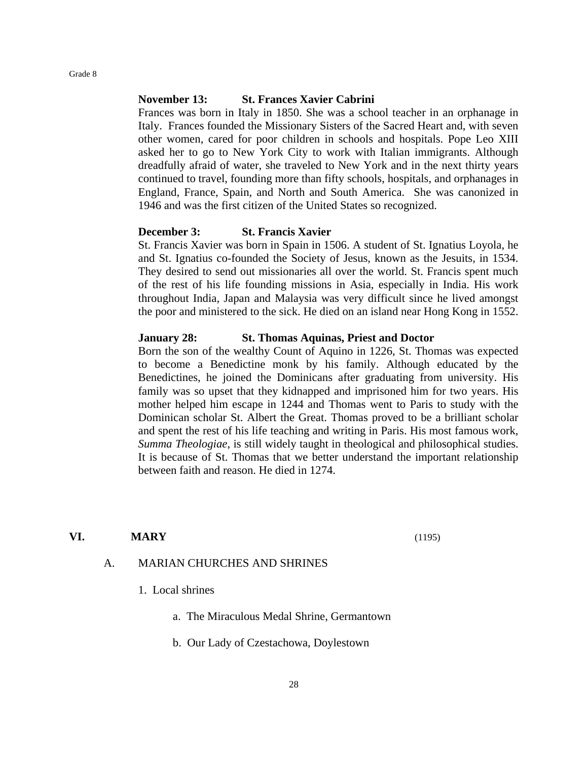#### **November 13: St. Frances Xavier Cabrini**

Frances was born in Italy in 1850. She was a school teacher in an orphanage in Italy. Frances founded the Missionary Sisters of the Sacred Heart and, with seven other women, cared for poor children in schools and hospitals. Pope Leo XIII asked her to go to New York City to work with Italian immigrants. Although dreadfully afraid of water, she traveled to New York and in the next thirty years continued to travel, founding more than fifty schools, hospitals, and orphanages in England, France, Spain, and North and South America. She was canonized in 1946 and was the first citizen of the United States so recognized.

#### **December 3: St. Francis Xavier**

St. Francis Xavier was born in Spain in 1506. A student of St. Ignatius Loyola, he and St. Ignatius co-founded the Society of Jesus, known as the Jesuits, in 1534. They desired to send out missionaries all over the world. St. Francis spent much of the rest of his life founding missions in Asia, especially in India. His work throughout India, Japan and Malaysia was very difficult since he lived amongst the poor and ministered to the sick. He died on an island near Hong Kong in 1552.

#### **January 28: St. Thomas Aquinas, Priest and Doctor**

Born the son of the wealthy Count of Aquino in 1226, St. Thomas was expected to become a Benedictine monk by his family. Although educated by the Benedictines, he joined the Dominicans after graduating from university. His family was so upset that they kidnapped and imprisoned him for two years. His mother helped him escape in 1244 and Thomas went to Paris to study with the Dominican scholar St. Albert the Great. Thomas proved to be a brilliant scholar and spent the rest of his life teaching and writing in Paris. His most famous work, *Summa Theologiae*, is still widely taught in theological and philosophical studies. It is because of St. Thomas that we better understand the important relationship between faith and reason. He died in 1274.

#### **VI. MARY** (1195)

#### A. MARIAN CHURCHES AND SHRINES

- 1. Local shrines
	- a. The Miraculous Medal Shrine, Germantown
	- b. Our Lady of Czestachowa, Doylestown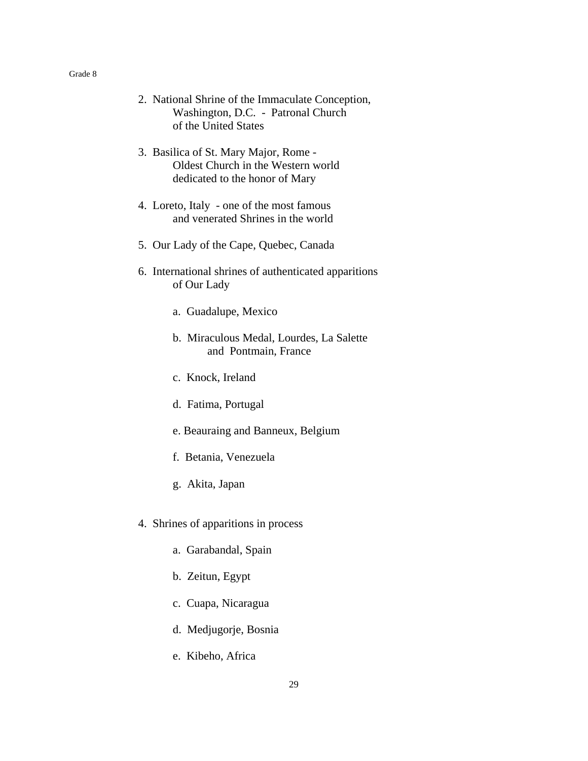- 2. National Shrine of the Immaculate Conception, Washington, D.C. - Patronal Church of the United States
- 3. Basilica of St. Mary Major, Rome Oldest Church in the Western world dedicated to the honor of Mary
- 4. Loreto, Italy one of the most famous and venerated Shrines in the world
- 5. Our Lady of the Cape, Quebec, Canada
- 6. International shrines of authenticated apparitions of Our Lady
	- a. Guadalupe, Mexico
	- b. Miraculous Medal, Lourdes, La Salette and Pontmain, France
	- c. Knock, Ireland
	- d. Fatima, Portugal
	- e. Beauraing and Banneux, Belgium
	- f. Betania, Venezuela
	- g. Akita, Japan
- 4. Shrines of apparitions in process
	- a. Garabandal, Spain
	- b. Zeitun, Egypt
	- c. Cuapa, Nicaragua
	- d. Medjugorje, Bosnia
	- e. Kibeho, Africa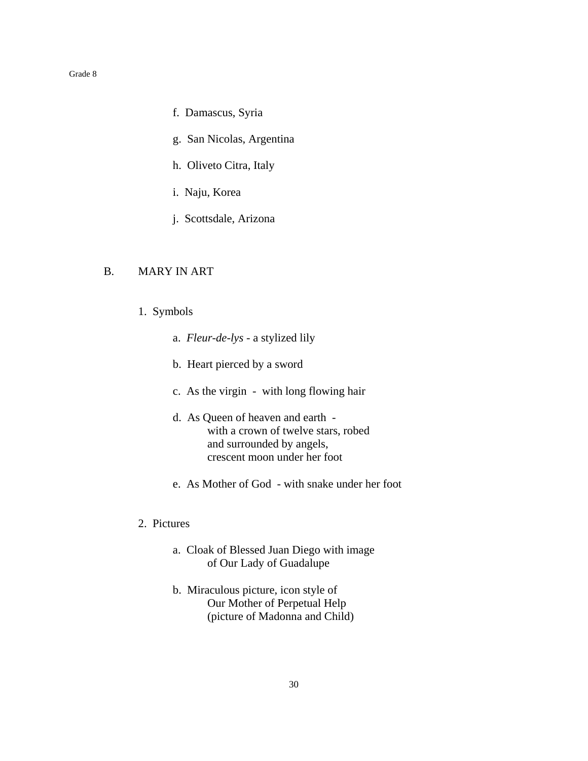- f. Damascus, Syria
- g. San Nicolas, Argentina
- h. Oliveto Citra, Italy
- i. Naju, Korea
- j. Scottsdale, Arizona

# B. MARY IN ART

- 1. Symbols
	- a. *Fleur-de-lys* a stylized lily
	- b. Heart pierced by a sword
	- c. As the virgin with long flowing hair
	- d. As Queen of heaven and earth with a crown of twelve stars, robed and surrounded by angels, crescent moon under her foot
	- e. As Mother of God with snake under her foot

# 2. Pictures

- a. Cloak of Blessed Juan Diego with image of Our Lady of Guadalupe
- b. Miraculous picture, icon style of Our Mother of Perpetual Help (picture of Madonna and Child)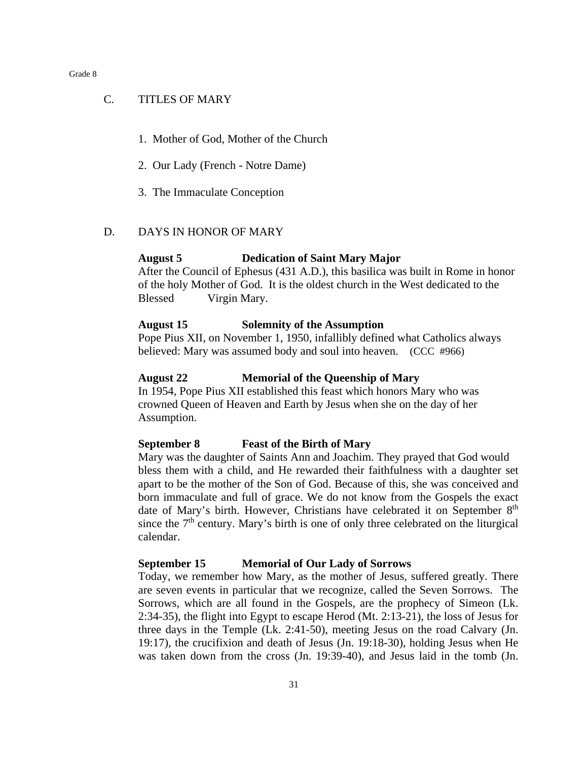#### C. TITLES OF MARY

- 1. Mother of God, Mother of the Church
- 2. Our Lady (French Notre Dame)
- 3. The Immaculate Conception

#### D. DAYS IN HONOR OF MARY

#### **August 5 Dedication of Saint Mary Major**

After the Council of Ephesus (431 A.D.), this basilica was built in Rome in honor of the holy Mother of God. It is the oldest church in the West dedicated to the Blessed Virgin Mary.

#### **August 15 Solemnity of the Assumption**

Pope Pius XII, on November 1, 1950, infallibly defined what Catholics always believed: Mary was assumed body and soul into heaven. (CCC #966)

#### **August 22 Memorial of the Queenship of Mary**

In 1954, Pope Pius XII established this feast which honors Mary who was crowned Queen of Heaven and Earth by Jesus when she on the day of her Assumption.

#### **September 8 Feast of the Birth of Mary**

Mary was the daughter of Saints Ann and Joachim. They prayed that God would bless them with a child, and He rewarded their faithfulness with a daughter set apart to be the mother of the Son of God. Because of this, she was conceived and born immaculate and full of grace. We do not know from the Gospels the exact date of Mary's birth. However, Christians have celebrated it on September 8<sup>th</sup> since the  $7<sup>th</sup>$  century. Mary's birth is one of only three celebrated on the liturgical calendar.

#### **September 15 Memorial of Our Lady of Sorrows**

Today, we remember how Mary, as the mother of Jesus, suffered greatly. There are seven events in particular that we recognize, called the Seven Sorrows. The Sorrows, which are all found in the Gospels, are the prophecy of Simeon (Lk. 2:34-35), the flight into Egypt to escape Herod (Mt. 2:13-21), the loss of Jesus for three days in the Temple (Lk. 2:41-50), meeting Jesus on the road Calvary (Jn. 19:17), the crucifixion and death of Jesus (Jn. 19:18-30), holding Jesus when He was taken down from the cross (Jn. 19:39-40), and Jesus laid in the tomb (Jn.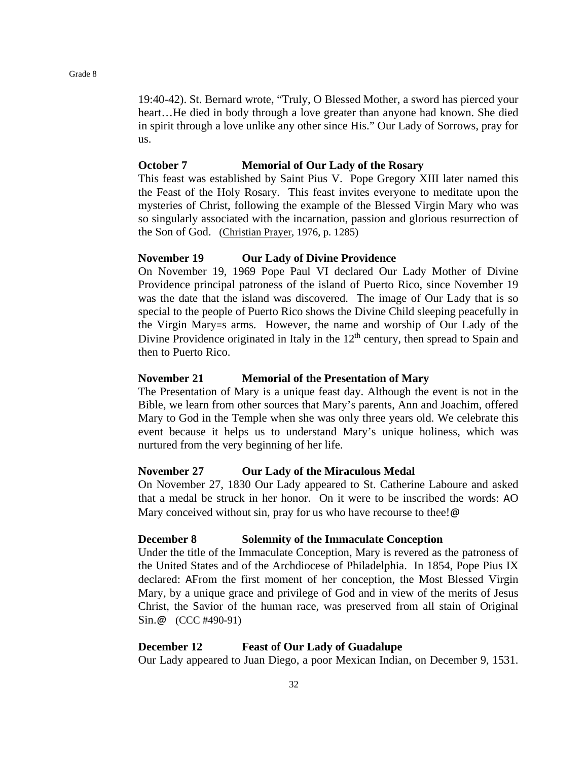19:40-42). St. Bernard wrote, "Truly, O Blessed Mother, a sword has pierced your heart...He died in body through a love greater than anyone had known. She died in spirit through a love unlike any other since His." Our Lady of Sorrows, pray for us.

#### **October 7 Memorial of Our Lady of the Rosary**

This feast was established by Saint Pius V. Pope Gregory XIII later named this the Feast of the Holy Rosary. This feast invites everyone to meditate upon the mysteries of Christ, following the example of the Blessed Virgin Mary who was so singularly associated with the incarnation, passion and glorious resurrection of the Son of God. (Christian Prayer, 1976, p. 1285)

#### **November 19 Our Lady of Divine Providence**

On November 19, 1969 Pope Paul VI declared Our Lady Mother of Divine Providence principal patroness of the island of Puerto Rico, since November 19 was the date that the island was discovered. The image of Our Lady that is so special to the people of Puerto Rico shows the Divine Child sleeping peacefully in the Virgin Mary=s arms. However, the name and worship of Our Lady of the Divine Providence originated in Italy in the  $12<sup>th</sup>$  century, then spread to Spain and then to Puerto Rico.

#### **November 21 Memorial of the Presentation of Mary**

The Presentation of Mary is a unique feast day. Although the event is not in the Bible, we learn from other sources that Mary's parents, Ann and Joachim, offered Mary to God in the Temple when she was only three years old. We celebrate this event because it helps us to understand Mary's unique holiness, which was nurtured from the very beginning of her life.

#### **November 27 Our Lady of the Miraculous Medal**

On November 27, 1830 Our Lady appeared to St. Catherine Laboure and asked that a medal be struck in her honor. On it were to be inscribed the words: AO Mary conceived without sin, pray for us who have recourse to thee!@

#### **December 8 Solemnity of the Immaculate Conception**

Under the title of the Immaculate Conception, Mary is revered as the patroness of the United States and of the Archdiocese of Philadelphia. In 1854, Pope Pius IX declared: AFrom the first moment of her conception, the Most Blessed Virgin Mary, by a unique grace and privilege of God and in view of the merits of Jesus Christ, the Savior of the human race, was preserved from all stain of Original Sin.@ (CCC #490-91)

#### **December 12 Feast of Our Lady of Guadalupe**

Our Lady appeared to Juan Diego, a poor Mexican Indian, on December 9, 1531.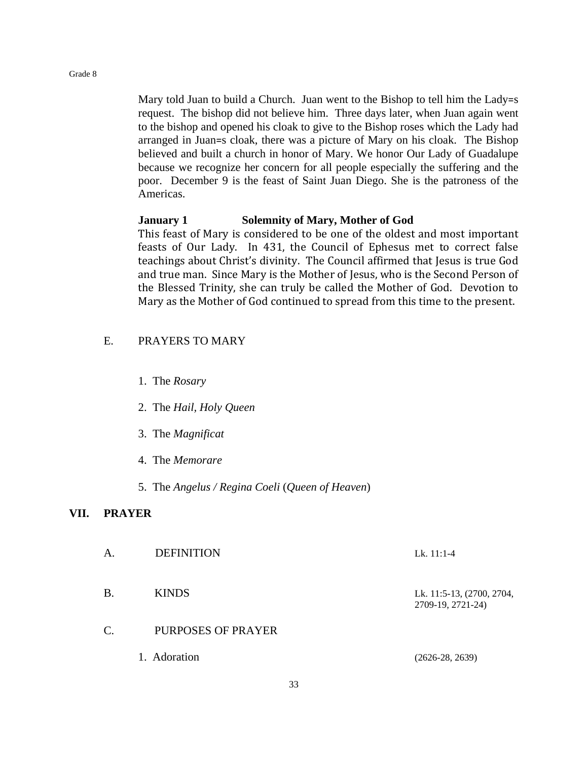Mary told Juan to build a Church. Juan went to the Bishop to tell him the Lady=s request. The bishop did not believe him. Three days later, when Juan again went to the bishop and opened his cloak to give to the Bishop roses which the Lady had arranged in Juan=s cloak, there was a picture of Mary on his cloak. The Bishop believed and built a church in honor of Mary. We honor Our Lady of Guadalupe because we recognize her concern for all people especially the suffering and the poor. December 9 is the feast of Saint Juan Diego. She is the patroness of the Americas.

### **January 1 Solemnity of Mary, Mother of God**

This feast of Mary is considered to be one of the oldest and most important feasts of Our Lady. In 431, the Council of Ephesus met to correct false teachings about Christ's divinity. The Council affirmed that Jesus is true God and true man. Since Mary is the Mother of Jesus, who is the Second Person of the Blessed Trinity, she can truly be called the Mother of God. Devotion to Mary as the Mother of God continued to spread from this time to the present.

### E. PRAYERS TO MARY

- 1. The *Rosary*
- 2. The *Hail, Holy Queen*
- 3. The *Magnificat*
- 4. The *Memorare*
- 5. The *Angelus / Regina Coeli* (*Queen of Heaven*)

#### **VII. PRAYER**

| A. | <b>DEFINITION</b>  | Lk. $11:1-4$                                   |
|----|--------------------|------------------------------------------------|
| Β. | <b>KINDS</b>       | Lk. 11:5-13, (2700, 2704,<br>2709-19, 2721-24) |
| C. | PURPOSES OF PRAYER |                                                |
|    | 1. Adoration       | $(2626-28, 2639)$                              |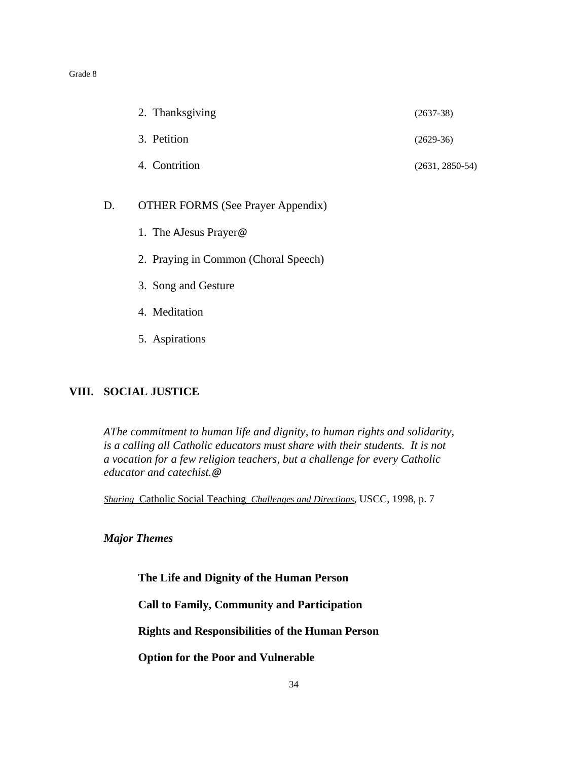| 2. Thanksgiving | $(2637-38)$       |
|-----------------|-------------------|
| 3. Petition     | $(2629-36)$       |
| 4. Contrition   | $(2631, 2850-54)$ |

# D. OTHER FORMS (See Prayer Appendix)

- 1. The AJesus Prayer@
- 2. Praying in Common (Choral Speech)
- 3. Song and Gesture
- 4. Meditation
- 5. Aspirations

# **VIII. SOCIAL JUSTICE**

*AThe commitment to human life and dignity, to human rights and solidarity, is a calling all Catholic educators must share with their students. It is not a vocation for a few religion teachers, but a challenge for every Catholic educator and catechist.@*

*Sharing* Catholic Social Teaching *Challenges and Directions*, USCC, 1998, p. 7

*Major Themes*

**The Life and Dignity of the Human Person**

**Call to Family, Community and Participation**

**Rights and Responsibilities of the Human Person**

**Option for the Poor and Vulnerable**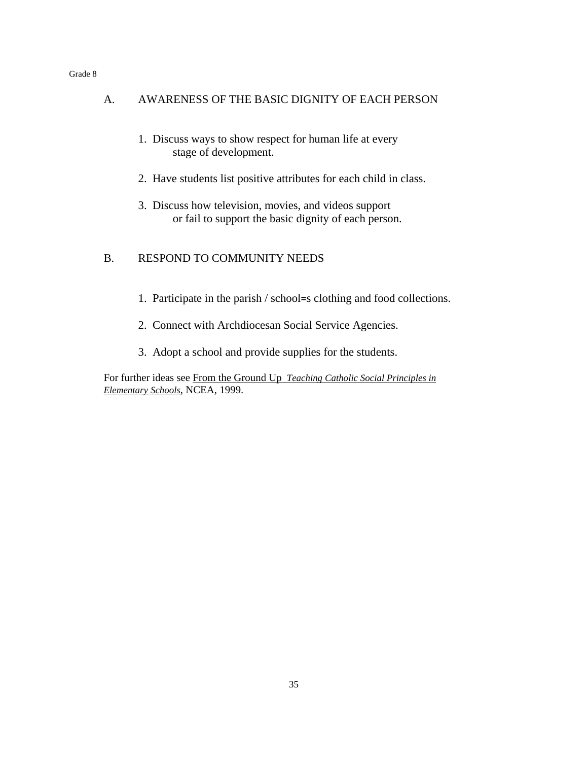| $\mathsf{A}$ . | AWARENESS OF THE BASIC DIGNITY OF EACH PERSON                                                                 |
|----------------|---------------------------------------------------------------------------------------------------------------|
|                | 1. Discuss ways to show respect for human life at every<br>stage of development.                              |
|                | 2. Have students list positive attributes for each child in class.                                            |
|                | 3. Discuss how television, movies, and videos support<br>or fail to support the basic dignity of each person. |
| $\mathbf{B}$ . | <b>RESPOND TO COMMUNITY NEEDS</b>                                                                             |
|                | 1. Participate in the parish / school=s clothing and food collections.                                        |
|                | 2. Connect with Archdiocesan Social Service Agencies.                                                         |

3. Adopt a school and provide supplies for the students.

For further ideas see From the Ground Up *Teaching Catholic Social Principles in Elementary Schools*, NCEA, 1999.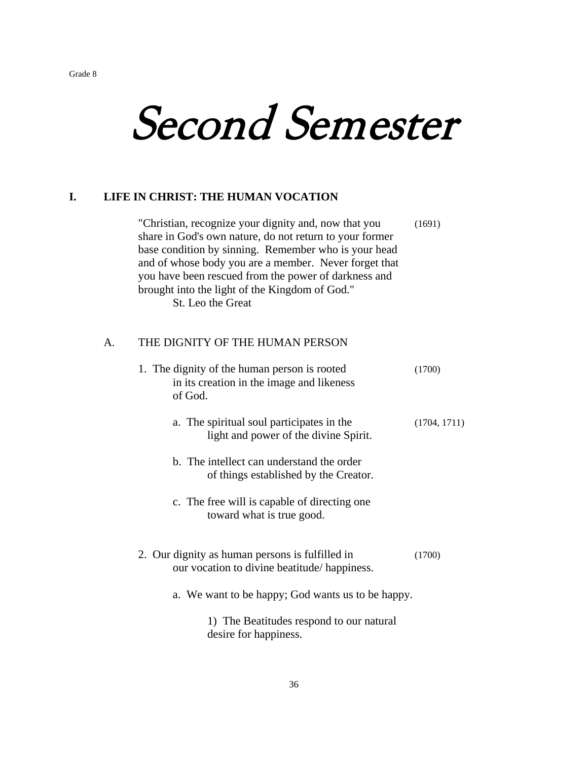# Second Semester

# **I. LIFE IN CHRIST: THE HUMAN VOCATION**

"Christian, recognize your dignity and, now that you (1691) share in God's own nature, do not return to your former base condition by sinning. Remember who is your head and of whose body you are a member. Never forget that you have been rescued from the power of darkness and brought into the light of the Kingdom of God." St. Leo the Great

# A. THE DIGNITY OF THE HUMAN PERSON

| 1. The dignity of the human person is rooted<br>in its creation in the image and likeness<br>of God. | (1700)       |
|------------------------------------------------------------------------------------------------------|--------------|
| a. The spiritual soul participates in the<br>light and power of the divine Spirit.                   | (1704, 1711) |
| b. The intellect can understand the order<br>of things established by the Creator.                   |              |
| c. The free will is capable of directing one<br>toward what is true good.                            |              |
| 2. Our dignity as human persons is fulfilled in<br>our vocation to divine beatitude/happiness.       | (1700)       |
| a. We want to be happy; God wants us to be happy.                                                    |              |
| 1) The Beatitudes respond to our natural<br>desire for happiness.                                    |              |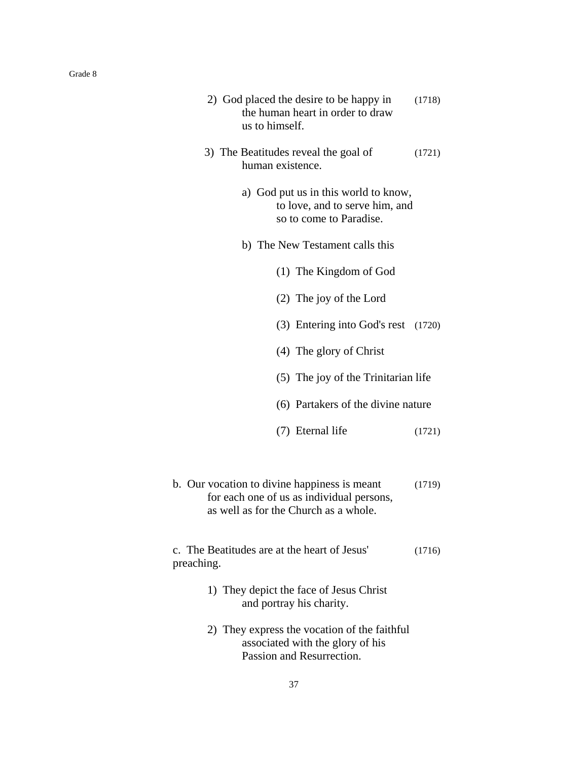| 2) God placed the desire to be happy in<br>the human heart in order to draw<br>us to himself.                                      | (1718) |
|------------------------------------------------------------------------------------------------------------------------------------|--------|
| 3) The Beatitudes reveal the goal of<br>human existence.                                                                           | (1721) |
| a) God put us in this world to know,<br>to love, and to serve him, and<br>so to come to Paradise.                                  |        |
| b) The New Testament calls this                                                                                                    |        |
| (1) The Kingdom of God                                                                                                             |        |
| (2) The joy of the Lord                                                                                                            |        |
| (3) Entering into God's rest (1720)                                                                                                |        |
| (4) The glory of Christ                                                                                                            |        |
| (5) The joy of the Trinitarian life                                                                                                |        |
| (6) Partakers of the divine nature                                                                                                 |        |
| (7) Eternal life                                                                                                                   | (1721) |
|                                                                                                                                    |        |
| b. Our vocation to divine happiness is meant<br>for each one of us as individual persons,<br>as well as for the Church as a whole. | (1719) |
| c. The Beatitudes are at the heart of Jesus'<br>preaching.                                                                         | (1716) |
| 1) They depict the face of Jesus Christ<br>and portray his charity.                                                                |        |
| 2) They express the vocation of the faithful<br>associated with the glory of his<br>Passion and Resurrection.                      |        |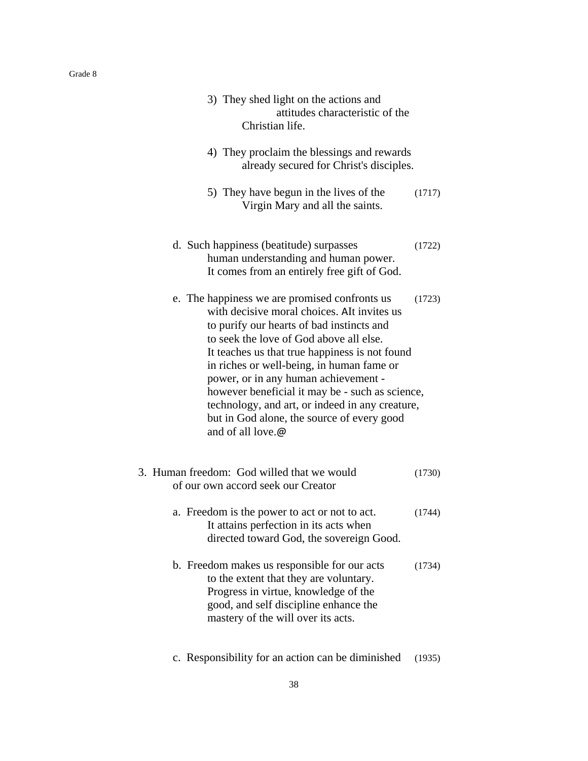| 3) They shed light on the actions and<br>attitudes characteristic of the<br>Christian life.<br>4) They proclaim the blessings and rewards                                                                                                                                                                                                                                                                                                                                                            |        |
|------------------------------------------------------------------------------------------------------------------------------------------------------------------------------------------------------------------------------------------------------------------------------------------------------------------------------------------------------------------------------------------------------------------------------------------------------------------------------------------------------|--------|
| already secured for Christ's disciples.                                                                                                                                                                                                                                                                                                                                                                                                                                                              |        |
| 5) They have begun in the lives of the<br>Virgin Mary and all the saints.                                                                                                                                                                                                                                                                                                                                                                                                                            | (1717) |
| d. Such happiness (beatitude) surpasses<br>human understanding and human power.<br>It comes from an entirely free gift of God.                                                                                                                                                                                                                                                                                                                                                                       | (1722) |
| e. The happiness we are promised confronts us<br>with decisive moral choices. AIt invites us<br>to purify our hearts of bad instincts and<br>to seek the love of God above all else.<br>It teaches us that true happiness is not found<br>in riches or well-being, in human fame or<br>power, or in any human achievement -<br>however beneficial it may be - such as science,<br>technology, and art, or indeed in any creature,<br>but in God alone, the source of every good<br>and of all love.@ | (1723) |
| 3. Human freedom: God willed that we would<br>of our own accord seek our Creator                                                                                                                                                                                                                                                                                                                                                                                                                     | (1730) |
| a. Freedom is the power to act or not to act.<br>It attains perfection in its acts when<br>directed toward God, the sovereign Good.                                                                                                                                                                                                                                                                                                                                                                  | (1744) |
| b. Freedom makes us responsible for our acts<br>to the extent that they are voluntary.<br>Progress in virtue, knowledge of the<br>good, and self discipline enhance the<br>mastery of the will over its acts.                                                                                                                                                                                                                                                                                        | (1734) |

c. Responsibility for an action can be diminished (1935)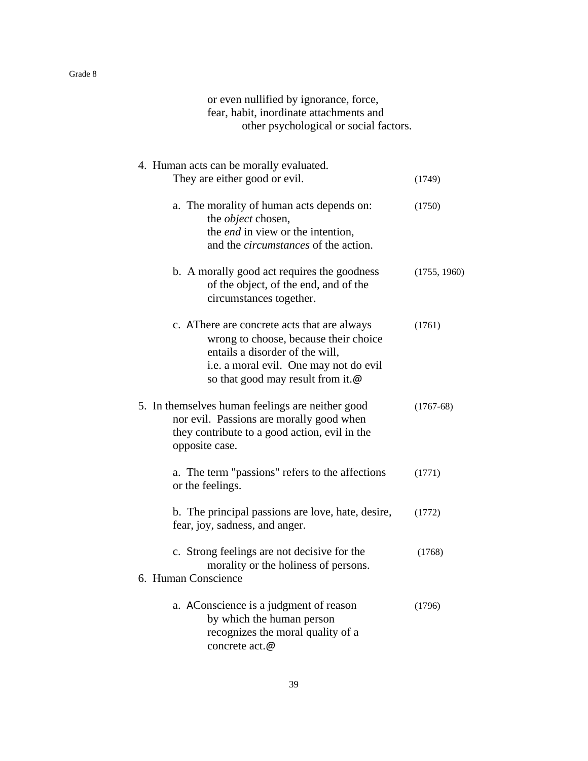| or even nullified by ignorance, force,<br>fear, habit, inordinate attachments and<br>other psychological or social factors.                                                                            |              |
|--------------------------------------------------------------------------------------------------------------------------------------------------------------------------------------------------------|--------------|
| 4. Human acts can be morally evaluated.<br>They are either good or evil.                                                                                                                               | (1749)       |
| a. The morality of human acts depends on:<br>the <i>object</i> chosen,<br>the <i>end</i> in view or the intention,<br>and the <i>circumstances</i> of the action.                                      | (1750)       |
| b. A morally good act requires the goodness<br>of the object, of the end, and of the<br>circumstances together.                                                                                        | (1755, 1960) |
| c. AThere are concrete acts that are always<br>wrong to choose, because their choice<br>entails a disorder of the will,<br>i.e. a moral evil. One may not do evil<br>so that good may result from it.@ | (1761)       |
| 5. In themselves human feelings are neither good<br>nor evil. Passions are morally good when<br>they contribute to a good action, evil in the<br>opposite case.                                        | $(1767-68)$  |
| a. The term "passions" refers to the affections<br>or the feelings.                                                                                                                                    | (1771)       |
| b. The principal passions are love, hate, desire,<br>fear, joy, sadness, and anger.                                                                                                                    | (1772)       |
| c. Strong feelings are not decisive for the<br>morality or the holiness of persons.<br>6. Human Conscience                                                                                             | (1768)       |
| a. A Conscience is a judgment of reason<br>by which the human person<br>recognizes the moral quality of a<br>concrete act.@                                                                            | (1796)       |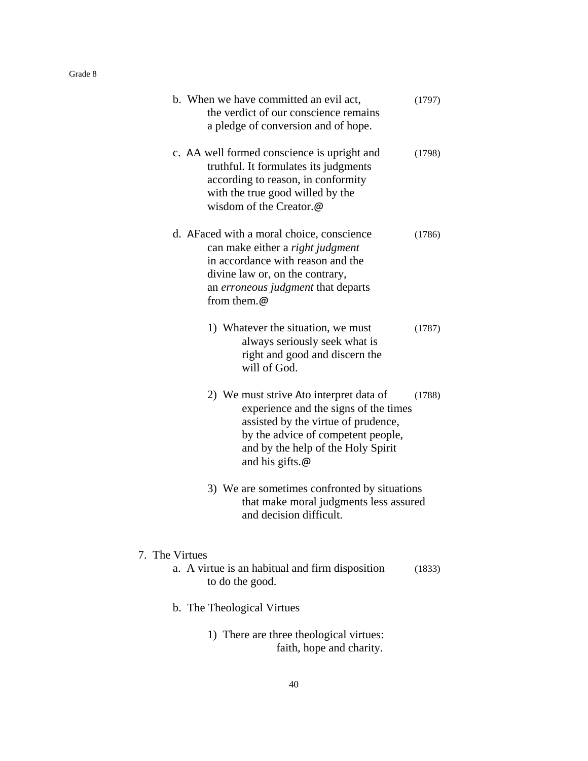| b. When we have committed an evil act,<br>the verdict of our conscience remains<br>a pledge of conversion and of hope.                                                                                                         | (1797) |
|--------------------------------------------------------------------------------------------------------------------------------------------------------------------------------------------------------------------------------|--------|
| c. AA well formed conscience is upright and<br>truthful. It formulates its judgments<br>according to reason, in conformity<br>with the true good willed by the<br>wisdom of the Creator.@                                      | (1798) |
| d. A Faced with a moral choice, conscience<br>can make either a right judgment<br>in accordance with reason and the<br>divine law or, on the contrary,<br>an <i>erroneous judgment</i> that departs<br>from them.@             | (1786) |
| 1) Whatever the situation, we must<br>always seriously seek what is<br>right and good and discern the<br>will of God.                                                                                                          | (1787) |
| 2) We must strive Ato interpret data of<br>experience and the signs of the times<br>assisted by the virtue of prudence,<br>by the advice of competent people,<br>and by the help of the Holy Spirit<br>and his gifts. $\omega$ | (1788) |
| 3) We are sometimes confronted by situations<br>that make moral judgments less assured<br>and decision difficult.                                                                                                              |        |
| 7. The Virtues                                                                                                                                                                                                                 |        |
| a. A virtue is an habitual and firm disposition<br>to do the good.                                                                                                                                                             | (1833) |
| b. The Theological Virtues                                                                                                                                                                                                     |        |
| 1) There are three theological virtues:<br>faith, hope and charity.                                                                                                                                                            |        |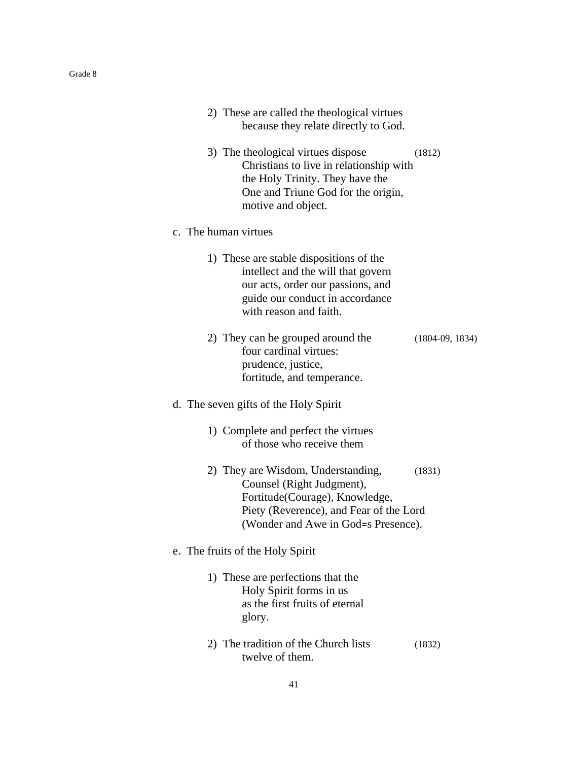|                                       | 2) These are called the theological virtues<br>because they relate directly to God.                                                                                                            |  |
|---------------------------------------|------------------------------------------------------------------------------------------------------------------------------------------------------------------------------------------------|--|
|                                       | 3) The theological virtues dispose<br>(1812)<br>Christians to live in relationship with<br>the Holy Trinity. They have the<br>One and Triune God for the origin,<br>motive and object.         |  |
| c. The human virtues                  |                                                                                                                                                                                                |  |
|                                       | 1) These are stable dispositions of the<br>intellect and the will that govern<br>our acts, order our passions, and<br>guide our conduct in accordance<br>with reason and faith.                |  |
|                                       | 2) They can be grouped around the<br>$(1804-09, 1834)$<br>four cardinal virtues:<br>prudence, justice,<br>fortitude, and temperance.                                                           |  |
| d. The seven gifts of the Holy Spirit |                                                                                                                                                                                                |  |
|                                       | 1) Complete and perfect the virtues<br>of those who receive them                                                                                                                               |  |
|                                       | 2) They are Wisdom, Understanding,<br>(1831)<br>Counsel (Right Judgment),<br>Fortitude (Courage), Knowledge,<br>Piety (Reverence), and Fear of the Lord<br>(Wonder and Awe in God=s Presence). |  |
| e. The fruits of the Holy Spirit      |                                                                                                                                                                                                |  |
| glory.                                | 1) These are perfections that the<br>Holy Spirit forms in us<br>as the first fruits of eternal                                                                                                 |  |
|                                       | 2) The tradition of the Church lists<br>(1832)<br>twelve of them.                                                                                                                              |  |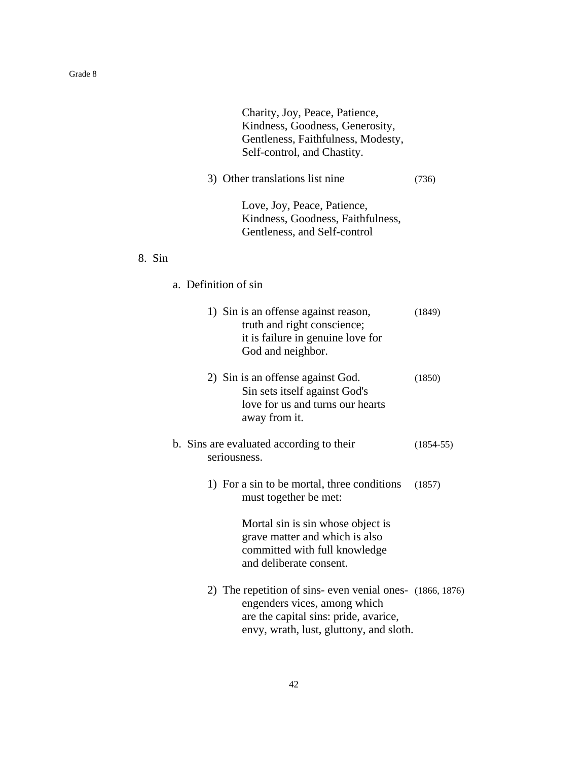| Charity, Joy, Peace, Patience,<br>Kindness, Goodness, Generosity,<br>Gentleness, Faithfulness, Modesty,<br>Self-control, and Chastity. |             |
|----------------------------------------------------------------------------------------------------------------------------------------|-------------|
| 3) Other translations list nine                                                                                                        | (736)       |
| Love, Joy, Peace, Patience,<br>Kindness, Goodness, Faithfulness,<br>Gentleness, and Self-control                                       |             |
| 8. Sin                                                                                                                                 |             |
| a. Definition of sin                                                                                                                   |             |
| 1) Sin is an offense against reason,<br>truth and right conscience;<br>it is failure in genuine love for<br>God and neighbor.          | (1849)      |
| 2) Sin is an offense against God.<br>Sin sets itself against God's<br>love for us and turns our hearts<br>away from it.                | (1850)      |
| b. Sins are evaluated according to their<br>seriousness.                                                                               | $(1854-55)$ |
| 1) For a sin to be mortal, three conditions<br>must together be met:                                                                   | (1857)      |
| Mortal sin is sin whose object is<br>grave matter and which is also<br>committed with full knowledge<br>and deliberate consent.        |             |
| 2) The repetition of sins- even venial ones- (1866, 1876)<br>angondors vices among which                                               |             |

 engenders vices, among which are the capital sins: pride, avarice, envy, wrath, lust, gluttony, and sloth.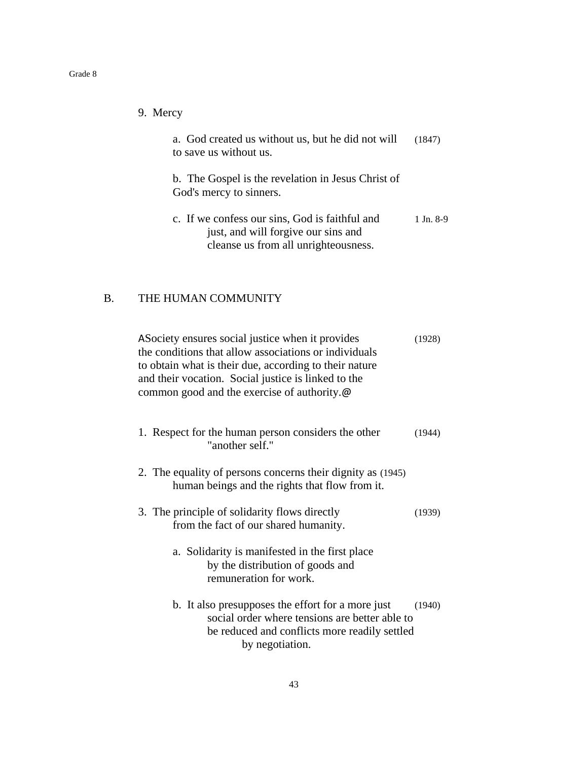| 9. Mercy                                                                                                                      |           |
|-------------------------------------------------------------------------------------------------------------------------------|-----------|
| a. God created us without us, but he did not will<br>to save us without us.                                                   | (1847)    |
| b. The Gospel is the revelation in Jesus Christ of<br>God's mercy to sinners.                                                 |           |
| c. If we confess our sins, God is faithful and<br>just, and will forgive our sins and<br>cleanse us from all unrighteousness. | 1 Jn. 8-9 |
|                                                                                                                               |           |

# B. THE HUMAN COMMUNITY

| A Society ensures social justice when it provides<br>the conditions that allow associations or individuals<br>to obtain what is their due, according to their nature<br>and their vocation. Social justice is linked to the<br>common good and the exercise of authority.@ | (1928) |
|----------------------------------------------------------------------------------------------------------------------------------------------------------------------------------------------------------------------------------------------------------------------------|--------|
| 1. Respect for the human person considers the other<br>"another self."                                                                                                                                                                                                     | (1944) |
| 2. The equality of persons concerns their dignity as (1945)<br>human beings and the rights that flow from it.                                                                                                                                                              |        |
| 3. The principle of solidarity flows directly<br>from the fact of our shared humanity.                                                                                                                                                                                     | (1939) |
| a. Solidarity is manifested in the first place<br>by the distribution of goods and<br>remuneration for work.                                                                                                                                                               |        |
| b. It also presupposes the effort for a more just<br>social order where tensions are better able to<br>be reduced and conflicts more readily settled<br>by negotiation.                                                                                                    | (1940) |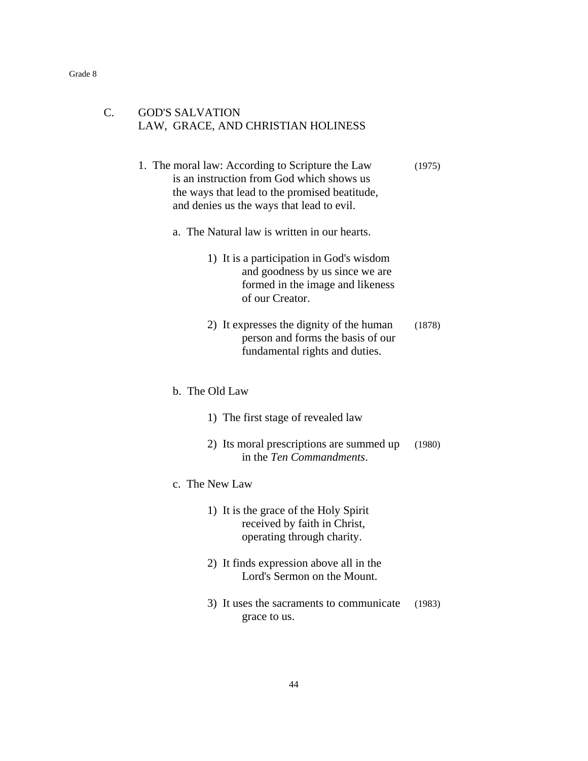## C. GOD'S SALVATION LAW, GRACE, AND CHRISTIAN HOLINESS

- 1. The moral law: According to Scripture the Law (1975) is an instruction from God which shows us the ways that lead to the promised beatitude, and denies us the ways that lead to evil.
	- a. The Natural law is written in our hearts.
		- 1) It is a participation in God's wisdom and goodness by us since we are formed in the image and likeness of our Creator.
		- 2) It expresses the dignity of the human (1878) person and forms the basis of our fundamental rights and duties.
	- b. The Old Law
		- 1) The first stage of revealed law
		- 2) Its moral prescriptions are summed up (1980) in the *Ten Commandments*.
	- c. The New Law
		- 1) It is the grace of the Holy Spirit received by faith in Christ, operating through charity.
		- 2) It finds expression above all in the Lord's Sermon on the Mount.
		- 3) It uses the sacraments to communicate (1983) grace to us.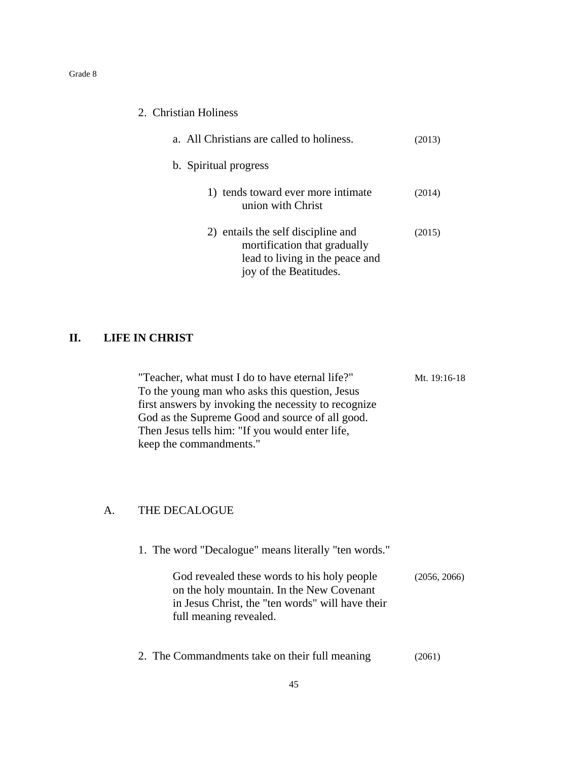| 2. Christian Holiness                                                                                                           |        |
|---------------------------------------------------------------------------------------------------------------------------------|--------|
| a. All Christians are called to holiness.                                                                                       | (2013) |
| b. Spiritual progress                                                                                                           |        |
| 1) tends toward ever more intimate<br>union with Christ                                                                         | (2014) |
| 2) entails the self discipline and<br>mortification that gradually<br>lead to living in the peace and<br>joy of the Beatitudes. | (2015) |

## **II. LIFE IN CHRIST**

| "Teacher, what must I do to have eternal life?"      | Mt. 19:16-18 |
|------------------------------------------------------|--------------|
| To the young man who asks this question, Jesus       |              |
| first answers by invoking the necessity to recognize |              |
| God as the Supreme Good and source of all good.      |              |
| Then Jesus tells him: "If you would enter life,      |              |
| keep the commandments."                              |              |

# A. THE DECALOGUE

|  | 1. The word "Decalogue" means literally "ten words." |  |  |
|--|------------------------------------------------------|--|--|
|  |                                                      |  |  |

| God revealed these words to his holy people      | (2056, 2066) |
|--------------------------------------------------|--------------|
| on the holy mountain. In the New Covenant        |              |
| in Jesus Christ, the "ten words" will have their |              |
| full meaning revealed.                           |              |

2. The Commandments take on their full meaning (2061)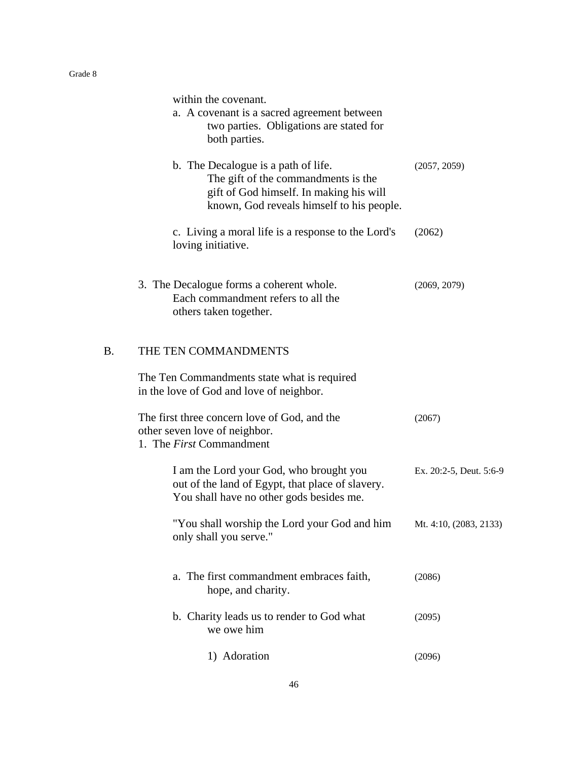|           | within the covenant.<br>a. A covenant is a sacred agreement between<br>two parties. Obligations are stated for<br>both parties.                                    |                         |
|-----------|--------------------------------------------------------------------------------------------------------------------------------------------------------------------|-------------------------|
|           | b. The Decalogue is a path of life.<br>The gift of the commandments is the<br>gift of God himself. In making his will<br>known, God reveals himself to his people. | (2057, 2059)            |
|           | c. Living a moral life is a response to the Lord's<br>loving initiative.                                                                                           | (2062)                  |
|           | 3. The Decalogue forms a coherent whole.<br>Each commandment refers to all the<br>others taken together.                                                           | (2069, 2079)            |
| <b>B.</b> | THE TEN COMMANDMENTS                                                                                                                                               |                         |
|           | The Ten Commandments state what is required<br>in the love of God and love of neighbor.                                                                            |                         |
|           | The first three concern love of God, and the<br>other seven love of neighbor.<br>1. The <i>First</i> Commandment                                                   | (2067)                  |
|           | I am the Lord your God, who brought you<br>out of the land of Egypt, that place of slavery.<br>You shall have no other gods besides me.                            | Ex. 20:2-5, Deut. 5:6-9 |
|           | "You shall worship the Lord your God and him<br>only shall you serve."                                                                                             | Mt. 4:10, (2083, 2133)  |
|           | a. The first commandment embraces faith,<br>hope, and charity.                                                                                                     | (2086)                  |
|           | b. Charity leads us to render to God what<br>we owe him                                                                                                            | (2095)                  |
|           | 1) Adoration                                                                                                                                                       | (2096)                  |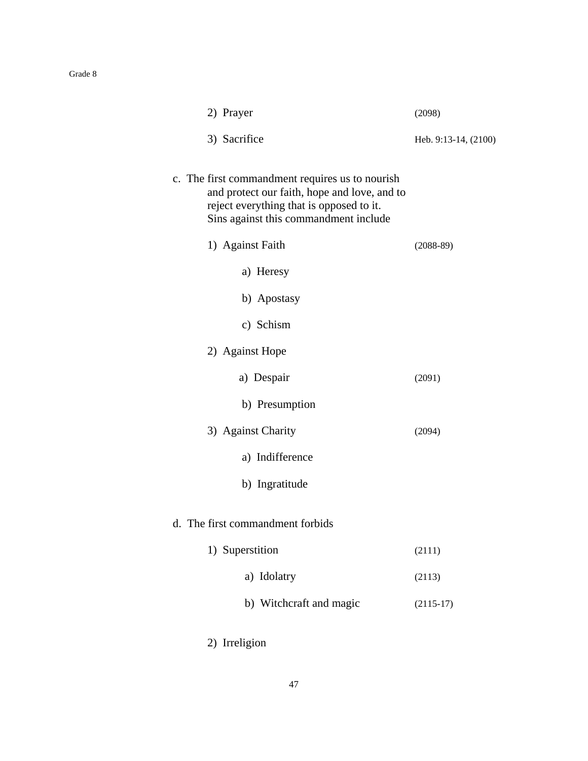| 2) Prayer                                                                                                                                                                            | (2098)               |
|--------------------------------------------------------------------------------------------------------------------------------------------------------------------------------------|----------------------|
| 3) Sacrifice                                                                                                                                                                         | Heb. 9:13-14, (2100) |
| c. The first commandment requires us to nourish<br>and protect our faith, hope and love, and to<br>reject everything that is opposed to it.<br>Sins against this commandment include |                      |
| 1) Against Faith                                                                                                                                                                     | $(2088-89)$          |
| a) Heresy                                                                                                                                                                            |                      |
| b) Apostasy                                                                                                                                                                          |                      |
| c) Schism                                                                                                                                                                            |                      |
| 2) Against Hope                                                                                                                                                                      |                      |
| a) Despair                                                                                                                                                                           | (2091)               |
| b) Presumption                                                                                                                                                                       |                      |
| 3) Against Charity                                                                                                                                                                   | (2094)               |
| a) Indifference                                                                                                                                                                      |                      |
| b) Ingratitude                                                                                                                                                                       |                      |
| d. The first commandment forbids                                                                                                                                                     |                      |
| 1) Superstition                                                                                                                                                                      | (2111)               |
| a) Idolatry                                                                                                                                                                          | (2113)               |
| b) Witchcraft and magic                                                                                                                                                              | $(2115-17)$          |
| 2) Irreligion                                                                                                                                                                        |                      |

### 47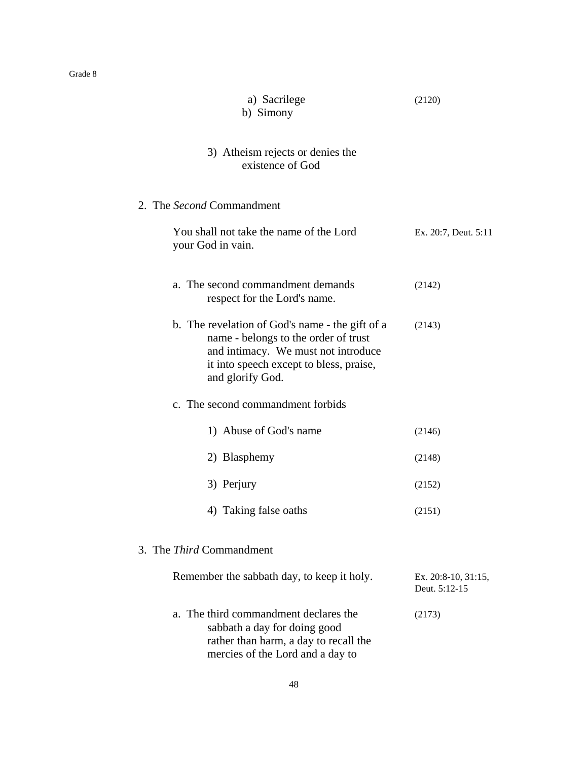| a) Sacrilege<br>b) Simony                                                                                                                                                                     | (2120)                               |
|-----------------------------------------------------------------------------------------------------------------------------------------------------------------------------------------------|--------------------------------------|
| 3) Atheism rejects or denies the<br>existence of God                                                                                                                                          |                                      |
| 2. The Second Commandment                                                                                                                                                                     |                                      |
| You shall not take the name of the Lord<br>your God in vain.                                                                                                                                  | Ex. 20:7, Deut. 5:11                 |
| a. The second commandment demands<br>respect for the Lord's name.                                                                                                                             | (2142)                               |
| b. The revelation of God's name - the gift of a<br>name - belongs to the order of trust<br>and intimacy. We must not introduce<br>it into speech except to bless, praise,<br>and glorify God. | (2143)                               |
| c. The second commandment forbids                                                                                                                                                             |                                      |
| 1) Abuse of God's name                                                                                                                                                                        | (2146)                               |
| 2) Blasphemy                                                                                                                                                                                  | (2148)                               |
| 3) Perjury                                                                                                                                                                                    | (2152)                               |
| 4) Taking false oaths                                                                                                                                                                         | (2151)                               |
| 3. The <i>Third</i> Commandment                                                                                                                                                               |                                      |
| Remember the sabbath day, to keep it holy.                                                                                                                                                    | Ex. 20:8-10, 31:15,<br>Deut. 5:12-15 |
| a. The third commandment declares the<br>sabbath a day for doing good<br>rather than harm, a day to recall the<br>mercies of the Lord and a day to                                            | (2173)                               |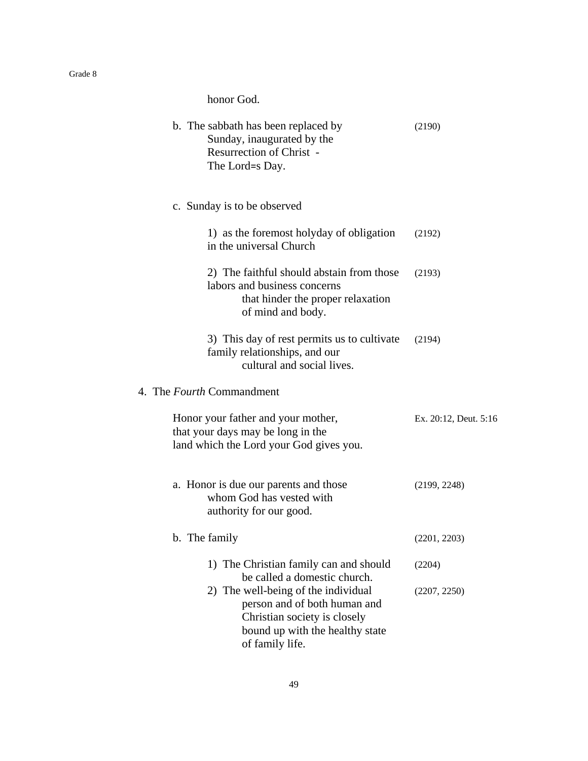honor God.

| b. The sabbath has been replaced by<br>Sunday, inaugurated by the<br><b>Resurrection of Christ -</b><br>The Lord=s Day.                                   | (2190)                |
|-----------------------------------------------------------------------------------------------------------------------------------------------------------|-----------------------|
| c. Sunday is to be observed                                                                                                                               |                       |
| 1) as the foremost holyday of obligation<br>in the universal Church                                                                                       | (2192)                |
| 2) The faithful should abstain from those<br>labors and business concerns<br>that hinder the proper relaxation<br>of mind and body.                       | (2193)                |
| 3) This day of rest permits us to cultivate<br>family relationships, and our<br>cultural and social lives.                                                | (2194)                |
| 4. The <i>Fourth</i> Commandment                                                                                                                          |                       |
| Honor your father and your mother,<br>that your days may be long in the<br>land which the Lord your God gives you.                                        | Ex. 20:12, Deut. 5:16 |
| a. Honor is due our parents and those<br>whom God has vested with<br>authority for our good.                                                              | (2199, 2248)          |
| b. The family                                                                                                                                             | (2201, 2203)          |
| 1) The Christian family can and should<br>be called a domestic church.                                                                                    | (2204)                |
| 2) The well-being of the individual<br>person and of both human and<br>Christian society is closely<br>bound up with the healthy state<br>of family life. | (2207, 2250)          |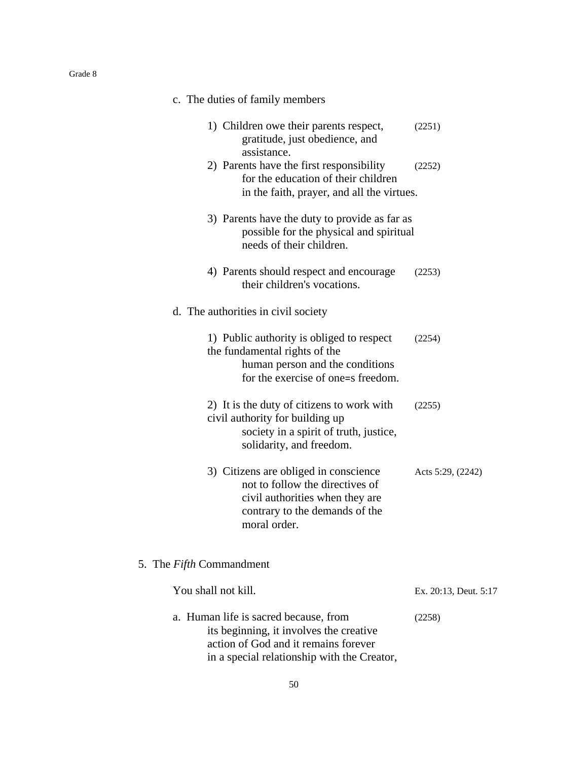| c. The duties of family members                                                                                                                                                    |  |
|------------------------------------------------------------------------------------------------------------------------------------------------------------------------------------|--|
| 1) Children owe their parents respect,<br>(2251)<br>gratitude, just obedience, and<br>assistance.                                                                                  |  |
| 2) Parents have the first responsibility<br>(2252)<br>for the education of their children<br>in the faith, prayer, and all the virtues.                                            |  |
| 3) Parents have the duty to provide as far as<br>possible for the physical and spiritual<br>needs of their children.                                                               |  |
| 4) Parents should respect and encourage<br>(2253)<br>their children's vocations.                                                                                                   |  |
| d. The authorities in civil society                                                                                                                                                |  |
| 1) Public authority is obliged to respect<br>(2254)<br>the fundamental rights of the<br>human person and the conditions<br>for the exercise of one=s freedom.                      |  |
| 2) It is the duty of citizens to work with<br>(2255)<br>civil authority for building up<br>society in a spirit of truth, justice,<br>solidarity, and freedom.                      |  |
| 3) Citizens are obliged in conscience<br>Acts 5:29, (2242)<br>not to follow the directives of<br>civil authorities when they are<br>contrary to the demands of the<br>moral order. |  |
| 5. The Fifth Commandment                                                                                                                                                           |  |
| You shall not kill.<br>Ex. 20:13, Deut. 5:17                                                                                                                                       |  |
| a. Human life is sacred because, from<br>(2258)<br>its beginning, it involves the creative<br>action of God and it remains forever<br>in a special relationship with the Creator,  |  |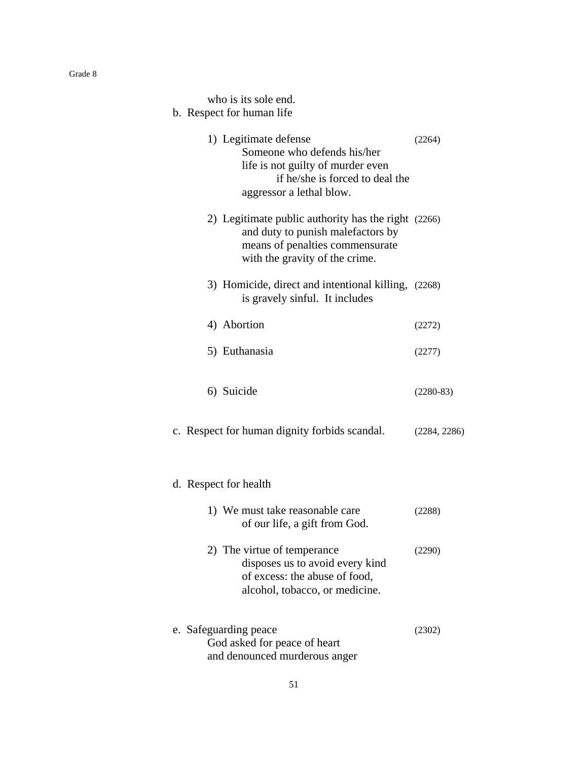| who is its sole end.<br>b. Respect for human life                                                                                                             |              |  |  |  |
|---------------------------------------------------------------------------------------------------------------------------------------------------------------|--------------|--|--|--|
| 1) Legitimate defense<br>Someone who defends his/her<br>life is not guilty of murder even<br>if he/she is forced to deal the<br>aggressor a lethal blow.      | (2264)       |  |  |  |
| 2) Legitimate public authority has the right (2266)<br>and duty to punish malefactors by<br>means of penalties commensurate<br>with the gravity of the crime. |              |  |  |  |
| 3) Homicide, direct and intentional killing, (2268)<br>is gravely sinful. It includes                                                                         |              |  |  |  |
| 4) Abortion                                                                                                                                                   | (2272)       |  |  |  |
| 5) Euthanasia                                                                                                                                                 | (2277)       |  |  |  |
| 6) Suicide                                                                                                                                                    | $(2280-83)$  |  |  |  |
| c. Respect for human dignity forbids scandal.                                                                                                                 | (2284, 2286) |  |  |  |
| d. Respect for health                                                                                                                                         |              |  |  |  |
| 1) We must take reasonable care<br>of our life, a gift from God.                                                                                              | (2288)       |  |  |  |
| 2) The virtue of temperance<br>disposes us to avoid every kind<br>of excess: the abuse of food,<br>alcohol, tobacco, or medicine.                             | (2290)       |  |  |  |
| e. Safeguarding peace<br>God asked for peace of heart<br>and denounced murderous anger                                                                        | (2302)       |  |  |  |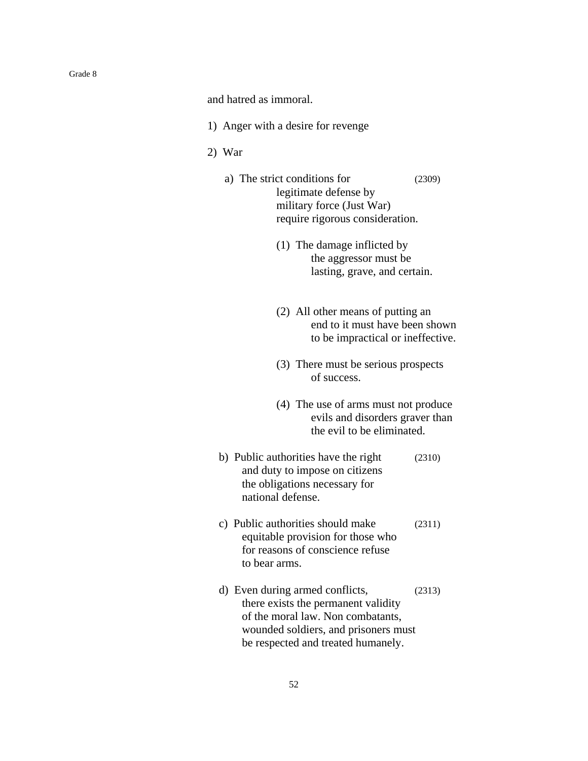and hatred as immoral.

- 1) Anger with a desire for revenge
- 2) War
	- a) The strict conditions for (2309) legitimate defense by military force (Just War) require rigorous consideration.
		- (1) The damage inflicted by the aggressor must be lasting, grave, and certain.
		- (2) All other means of putting an end to it must have been shown to be impractical or ineffective.
		- (3) There must be serious prospects of success.
		- (4) The use of arms must not produce evils and disorders graver than the evil to be eliminated.
	- b) Public authorities have the right (2310) and duty to impose on citizens the obligations necessary for national defense.
	- c) Public authorities should make (2311) equitable provision for those who for reasons of conscience refuse to bear arms.
	- d) Even during armed conflicts, (2313) there exists the permanent validity of the moral law. Non combatants, wounded soldiers, and prisoners must be respected and treated humanely.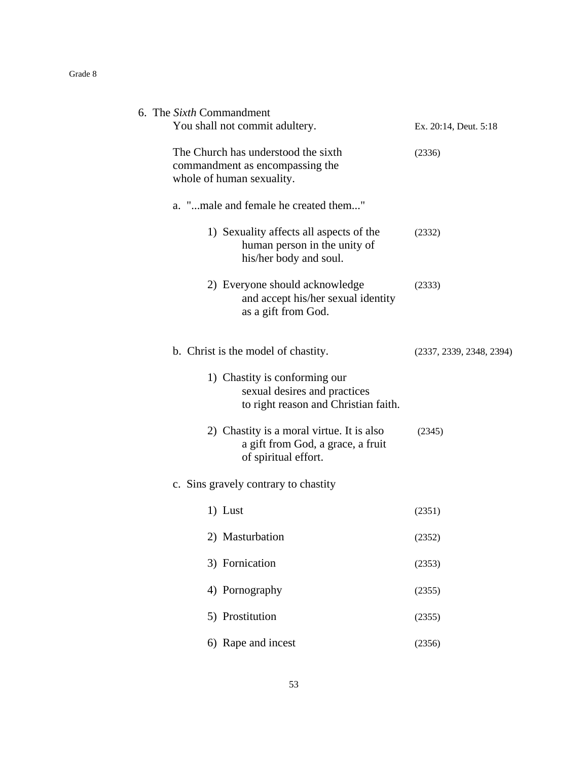| 6. The Sixth Commandment                                                                               |                          |
|--------------------------------------------------------------------------------------------------------|--------------------------|
| You shall not commit adultery.                                                                         | Ex. 20:14, Deut. 5:18    |
| The Church has understood the sixth<br>commandment as encompassing the                                 | (2336)                   |
| whole of human sexuality.                                                                              |                          |
| a. "male and female he created them"                                                                   |                          |
| 1) Sexuality affects all aspects of the<br>human person in the unity of<br>his/her body and soul.      | (2332)                   |
| 2) Everyone should acknowledge<br>and accept his/her sexual identity<br>as a gift from God.            | (2333)                   |
| b. Christ is the model of chastity.                                                                    | (2337, 2339, 2348, 2394) |
| 1) Chastity is conforming our<br>sexual desires and practices<br>to right reason and Christian faith.  |                          |
| 2) Chastity is a moral virtue. It is also<br>a gift from God, a grace, a fruit<br>of spiritual effort. | (2345)                   |
| c. Sins gravely contrary to chastity                                                                   |                          |
| 1) Lust                                                                                                | (2351)                   |
| 2) Masturbation                                                                                        | (2352)                   |
| 3) Fornication                                                                                         | (2353)                   |
| 4) Pornography                                                                                         | (2355)                   |
| 5) Prostitution                                                                                        | (2355)                   |
| 6) Rape and incest                                                                                     | (2356)                   |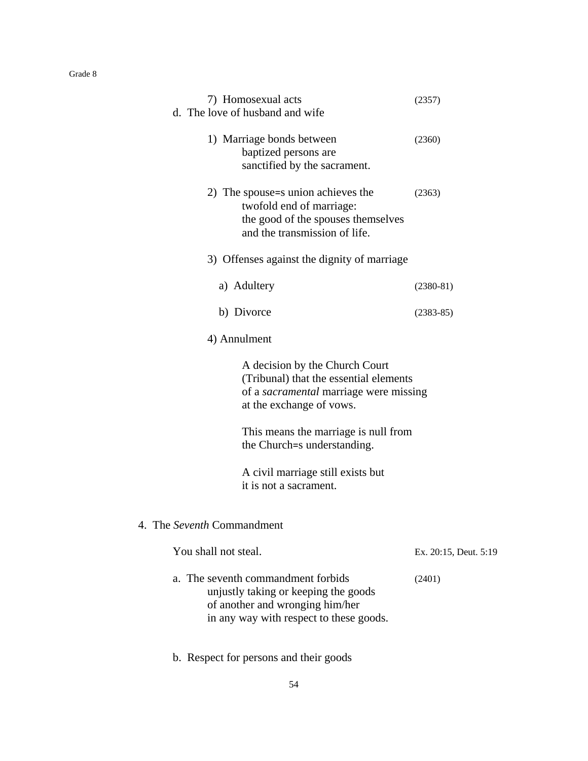| пade |  |
|------|--|
|------|--|

| 7) Homosexual acts<br>d. The love of husband and wife                                                                                                    | (2357)                |
|----------------------------------------------------------------------------------------------------------------------------------------------------------|-----------------------|
| 1) Marriage bonds between<br>baptized persons are<br>sanctified by the sacrament.                                                                        | (2360)                |
| 2) The spouse=s union achieves the<br>twofold end of marriage:<br>the good of the spouses themselves<br>and the transmission of life.                    | (2363)                |
| 3) Offenses against the dignity of marriage                                                                                                              |                       |
| a) Adultery                                                                                                                                              | $(2380-81)$           |
| b) Divorce                                                                                                                                               | $(2383-85)$           |
| 4) Annulment                                                                                                                                             |                       |
| A decision by the Church Court<br>(Tribunal) that the essential elements<br>of a sacramental marriage were missing<br>at the exchange of vows.           |                       |
| This means the marriage is null from<br>the Church=s understanding.                                                                                      |                       |
| A civil marriage still exists but<br>it is not a sacrament.                                                                                              |                       |
| The Seventh Commandment<br>4.                                                                                                                            |                       |
| You shall not steal.                                                                                                                                     | Ex. 20:15, Deut. 5:19 |
| a. The seventh commandment forbids<br>unjustly taking or keeping the goods<br>of another and wronging him/her<br>in any way with respect to these goods. | (2401)                |

b. Respect for persons and their goods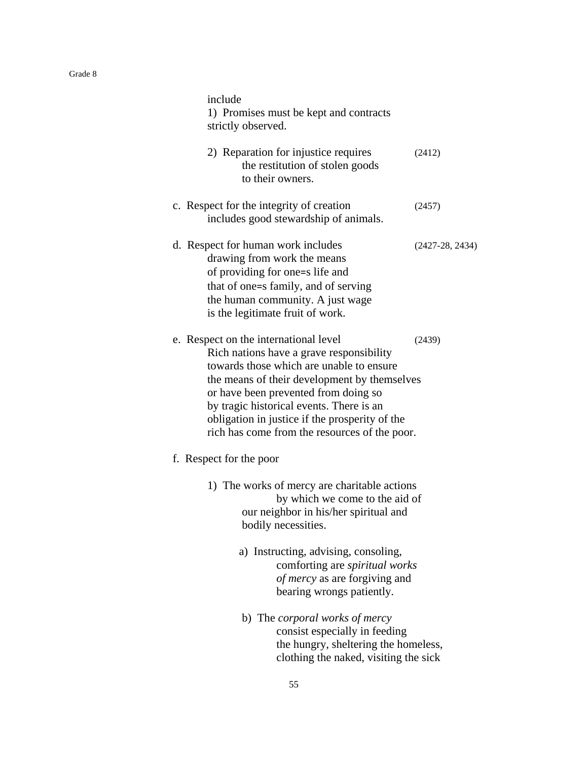| include<br>1) Promises must be kept and contracts<br>strictly observed.                                                                                                                                                                                                                                                                                              |                   |
|----------------------------------------------------------------------------------------------------------------------------------------------------------------------------------------------------------------------------------------------------------------------------------------------------------------------------------------------------------------------|-------------------|
| 2) Reparation for injustice requires<br>the restitution of stolen goods<br>to their owners.                                                                                                                                                                                                                                                                          | (2412)            |
| c. Respect for the integrity of creation<br>includes good stewardship of animals.                                                                                                                                                                                                                                                                                    | (2457)            |
| d. Respect for human work includes<br>drawing from work the means<br>of providing for one=s life and<br>that of one=s family, and of serving<br>the human community. A just wage<br>is the legitimate fruit of work.                                                                                                                                                 | $(2427-28, 2434)$ |
| e. Respect on the international level<br>Rich nations have a grave responsibility<br>towards those which are unable to ensure<br>the means of their development by themselves<br>or have been prevented from doing so<br>by tragic historical events. There is an<br>obligation in justice if the prosperity of the<br>rich has come from the resources of the poor. | (2439)            |
| f. Respect for the poor                                                                                                                                                                                                                                                                                                                                              |                   |
| 1) The works of mercy are charitable actions<br>by which we come to the aid of<br>our neighbor in his/her spiritual and<br>bodily necessities.                                                                                                                                                                                                                       |                   |
| a) Instructing, advising, consoling,<br>comforting are spiritual works<br>of mercy as are forgiving and<br>bearing wrongs patiently.                                                                                                                                                                                                                                 |                   |
| b) The <i>corporal works of mercy</i><br>consist especially in feeding<br>the hungry, sheltering the homeless,<br>clothing the naked, visiting the sick                                                                                                                                                                                                              |                   |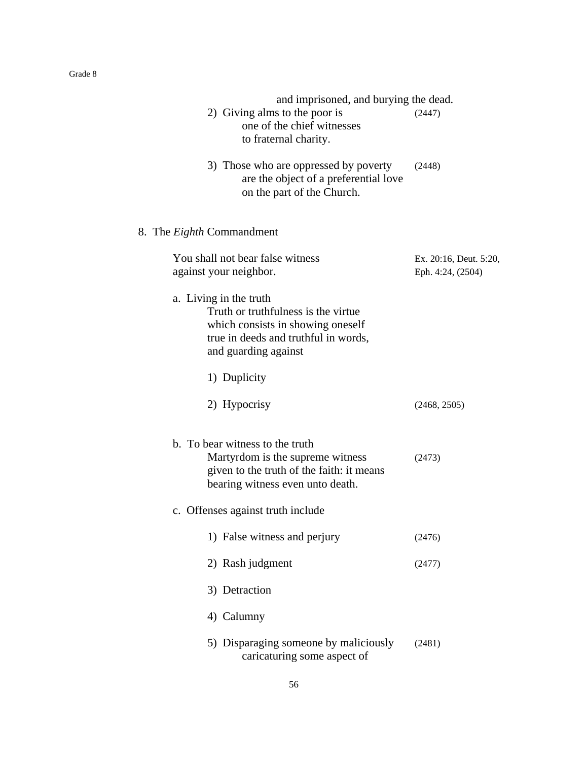| and imprisoned, and burying the dead.                                                                                                                               |                                             |
|---------------------------------------------------------------------------------------------------------------------------------------------------------------------|---------------------------------------------|
| 2) Giving alms to the poor is<br>one of the chief witnesses<br>to fraternal charity.                                                                                | (2447)                                      |
| 3) Those who are oppressed by poverty<br>are the object of a preferential love<br>on the part of the Church.                                                        | (2448)                                      |
| 8. The <i>Eighth</i> Commandment                                                                                                                                    |                                             |
| You shall not bear false witness<br>against your neighbor.                                                                                                          | Ex. 20:16, Deut. 5:20,<br>Eph. 4:24, (2504) |
| a. Living in the truth<br>Truth or truthfulness is the virtue.<br>which consists in showing oneself<br>true in deeds and truthful in words,<br>and guarding against |                                             |
| 1) Duplicity                                                                                                                                                        |                                             |
| 2) Hypocrisy                                                                                                                                                        | (2468, 2505)                                |
| b. To bear witness to the truth<br>Martyrdom is the supreme witness<br>given to the truth of the faith: it means<br>bearing witness even unto death.                | (2473)                                      |
| c. Offenses against truth include                                                                                                                                   |                                             |
| 1) False witness and perjury                                                                                                                                        | (2476)                                      |
| 2) Rash judgment                                                                                                                                                    | (2477)                                      |
| 3) Detraction                                                                                                                                                       |                                             |
| 4) Calumny                                                                                                                                                          |                                             |
| 5) Disparaging someone by maliciously<br>caricaturing some aspect of                                                                                                | (2481)                                      |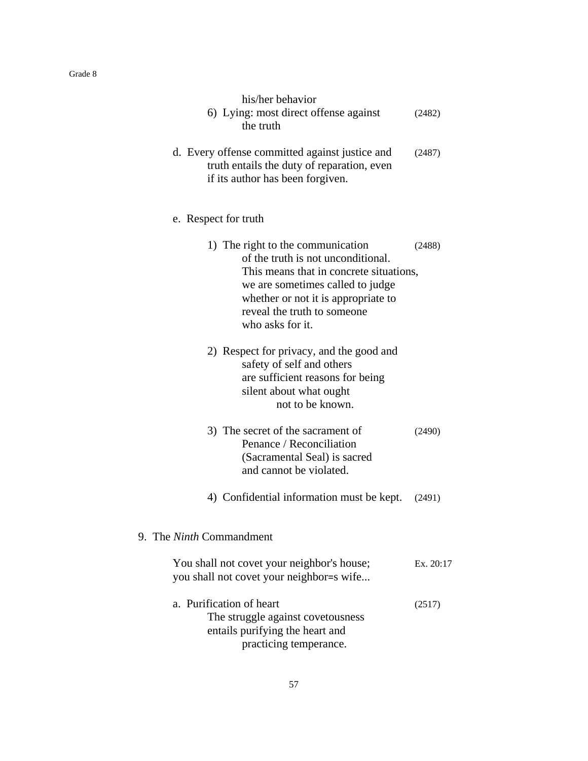|--|--|

| his/her behavior<br>6) Lying: most direct offense against<br>the truth                                                                                                                                                                           | (2482)    |
|--------------------------------------------------------------------------------------------------------------------------------------------------------------------------------------------------------------------------------------------------|-----------|
| d. Every offense committed against justice and<br>truth entails the duty of reparation, even<br>if its author has been forgiven.                                                                                                                 | (2487)    |
| e. Respect for truth                                                                                                                                                                                                                             |           |
| 1) The right to the communication<br>of the truth is not unconditional.<br>This means that in concrete situations,<br>we are sometimes called to judge<br>whether or not it is appropriate to<br>reveal the truth to someone<br>who asks for it. | (2488)    |
| 2) Respect for privacy, and the good and<br>safety of self and others<br>are sufficient reasons for being<br>silent about what ought<br>not to be known.                                                                                         |           |
| 3) The secret of the sacrament of<br>Penance / Reconciliation<br>(Sacramental Seal) is sacred<br>and cannot be violated.                                                                                                                         | (2490)    |
| 4) Confidential information must be kept.                                                                                                                                                                                                        | (2491)    |
| 9. The <i>Ninth</i> Commandment                                                                                                                                                                                                                  |           |
| You shall not covet your neighbor's house;<br>you shall not covet your neighbor=s wife                                                                                                                                                           | Ex. 20:17 |
| a. Purification of heart<br>The struggle against covetousness<br>entails purifying the heart and<br>practicing temperance.                                                                                                                       | (2517)    |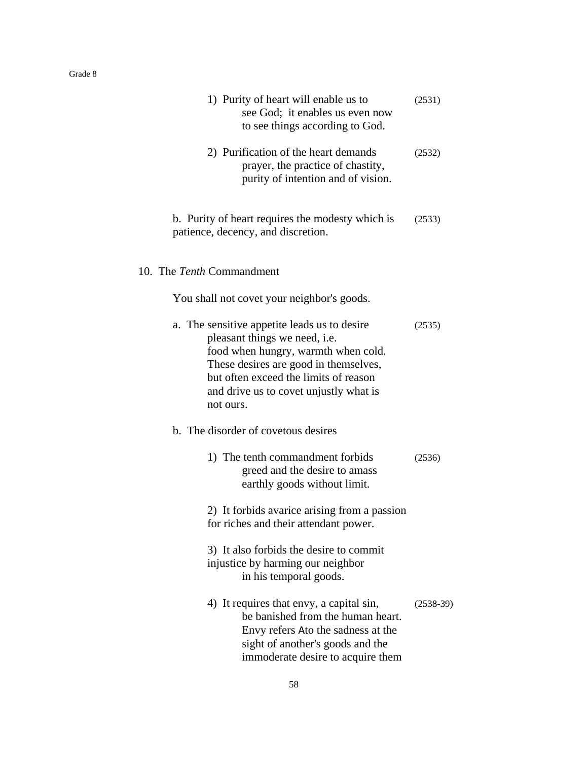| 1) Purity of heart will enable us to<br>see God; it enables us even now<br>to see things according to God.                                                                                                                                                    | (2531)      |
|---------------------------------------------------------------------------------------------------------------------------------------------------------------------------------------------------------------------------------------------------------------|-------------|
| 2) Purification of the heart demands<br>prayer, the practice of chastity,<br>purity of intention and of vision.                                                                                                                                               | (2532)      |
| b. Purity of heart requires the modesty which is<br>patience, decency, and discretion.                                                                                                                                                                        | (2533)      |
| 10. The Tenth Commandment                                                                                                                                                                                                                                     |             |
| You shall not covet your neighbor's goods.                                                                                                                                                                                                                    |             |
| a. The sensitive appetite leads us to desire<br>pleasant things we need, i.e.<br>food when hungry, warmth when cold.<br>These desires are good in themselves,<br>but often exceed the limits of reason<br>and drive us to covet unjustly what is<br>not ours. | (2535)      |
| b. The disorder of covetous desires                                                                                                                                                                                                                           |             |
| 1) The tenth commandment forbids<br>greed and the desire to amass<br>earthly goods without limit.                                                                                                                                                             | (2536)      |
| 2) It forbids avarice arising from a passion<br>for riches and their attendant power.                                                                                                                                                                         |             |
| 3) It also forbids the desire to commit<br>injustice by harming our neighbor<br>in his temporal goods.                                                                                                                                                        |             |
| 4) It requires that envy, a capital sin,<br>be banished from the human heart.<br>Envy refers Ato the sadness at the<br>sight of another's goods and the<br>immoderate desire to acquire them                                                                  | $(2538-39)$ |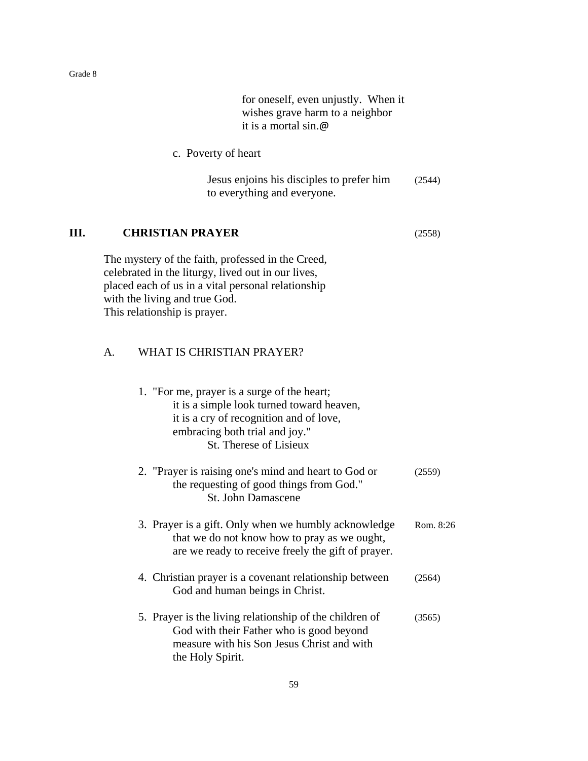for oneself, even unjustly. When it wishes grave harm to a neighbor it is a mortal sin.@

c. Poverty of heart

Jesus enjoins his disciples to prefer him (2544) to everything and everyone.

### **III. CHRISTIAN PRAYER** (2558)

The mystery of the faith, professed in the Creed, celebrated in the liturgy, lived out in our lives, placed each of us in a vital personal relationship with the living and true God. This relationship is prayer.

## A. WHAT IS CHRISTIAN PRAYER?

| 1. "For me, prayer is a surge of the heart;<br>it is a simple look turned toward heaven,<br>it is a cry of recognition and of love,<br>embracing both trial and joy."<br>St. Therese of Lisieux |           |
|-------------------------------------------------------------------------------------------------------------------------------------------------------------------------------------------------|-----------|
| 2. "Prayer is raising one's mind and heart to God or<br>the requesting of good things from God."<br><b>St. John Damascene</b>                                                                   | (2559)    |
| 3. Prayer is a gift. Only when we humbly acknowledge<br>that we do not know how to pray as we ought,<br>are we ready to receive freely the gift of prayer.                                      | Rom. 8:26 |
| 4. Christian prayer is a covenant relationship between<br>God and human beings in Christ.                                                                                                       | (2564)    |
| 5. Prayer is the living relationship of the children of<br>God with their Father who is good beyond<br>measure with his Son Jesus Christ and with<br>the Holy Spirit.                           | (3565)    |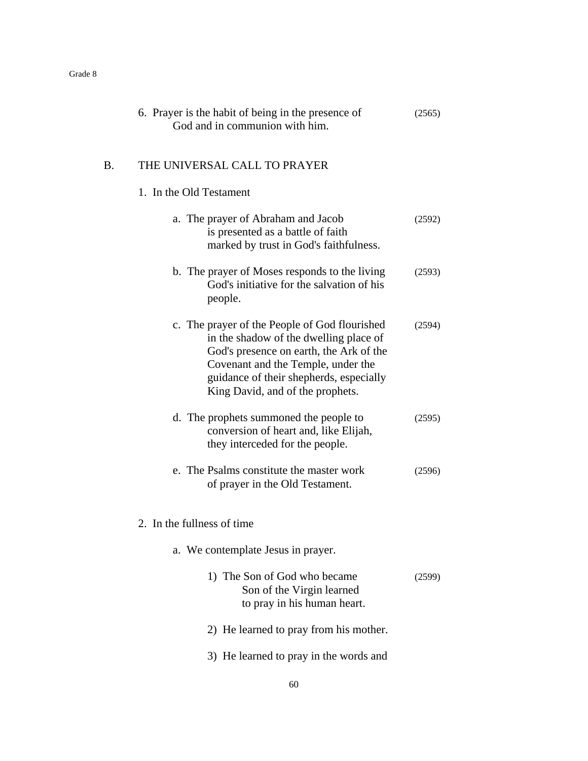|    | 6. Prayer is the habit of being in the presence of<br>God and in communion with him.                                                                                                                                                                    | (2565) |
|----|---------------------------------------------------------------------------------------------------------------------------------------------------------------------------------------------------------------------------------------------------------|--------|
| B. | THE UNIVERSAL CALL TO PRAYER                                                                                                                                                                                                                            |        |
|    | 1. In the Old Testament                                                                                                                                                                                                                                 |        |
|    | a. The prayer of Abraham and Jacob<br>is presented as a battle of faith<br>marked by trust in God's faithfulness.                                                                                                                                       | (2592) |
|    | b. The prayer of Moses responds to the living<br>God's initiative for the salvation of his<br>people.                                                                                                                                                   | (2593) |
|    | c. The prayer of the People of God flourished<br>in the shadow of the dwelling place of<br>God's presence on earth, the Ark of the<br>Covenant and the Temple, under the<br>guidance of their shepherds, especially<br>King David, and of the prophets. | (2594) |
|    | d. The prophets summoned the people to<br>conversion of heart and, like Elijah,<br>they interceded for the people.                                                                                                                                      | (2595) |
|    | e. The Psalms constitute the master work<br>of prayer in the Old Testament.                                                                                                                                                                             | (2596) |
|    | 2. In the fullness of time                                                                                                                                                                                                                              |        |
|    | a. We contemplate Jesus in prayer.                                                                                                                                                                                                                      |        |
|    | 1) The Son of God who became<br>Son of the Virgin learned<br>to pray in his human heart.                                                                                                                                                                | (2599) |
|    | 2) He learned to pray from his mother.                                                                                                                                                                                                                  |        |
|    | 3) He learned to pray in the words and                                                                                                                                                                                                                  |        |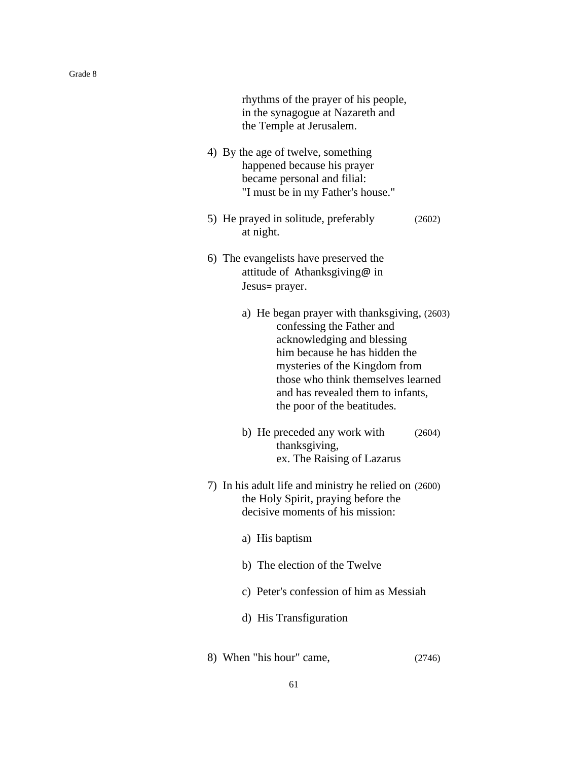| rhythms of the prayer of his people,<br>in the synagogue at Nazareth and<br>the Temple at Jerusalem.                                                                                                                                                                                |        |
|-------------------------------------------------------------------------------------------------------------------------------------------------------------------------------------------------------------------------------------------------------------------------------------|--------|
| 4) By the age of twelve, something<br>happened because his prayer<br>became personal and filial:<br>"I must be in my Father's house."                                                                                                                                               |        |
| 5) He prayed in solitude, preferably<br>at night.                                                                                                                                                                                                                                   | (2602) |
| 6) The evangelists have preserved the<br>attitude of Athanksgiving@ in<br>Jesus= prayer.                                                                                                                                                                                            |        |
| a) He began prayer with thanksgiving, (2603)<br>confessing the Father and<br>acknowledging and blessing<br>him because he has hidden the<br>mysteries of the Kingdom from<br>those who think themselves learned<br>and has revealed them to infants,<br>the poor of the beatitudes. |        |
| b) He preceded any work with<br>thanksgiving,<br>ex. The Raising of Lazarus                                                                                                                                                                                                         | (2604) |
| 7) In his adult life and ministry he relied on (2600)<br>the Holy Spirit, praying before the<br>decisive moments of his mission:                                                                                                                                                    |        |
| a) His baptism                                                                                                                                                                                                                                                                      |        |
| b) The election of the Twelve                                                                                                                                                                                                                                                       |        |
| c) Peter's confession of him as Messiah                                                                                                                                                                                                                                             |        |
| d) His Transfiguration                                                                                                                                                                                                                                                              |        |
| 8) When "his hour" came,                                                                                                                                                                                                                                                            | (2746) |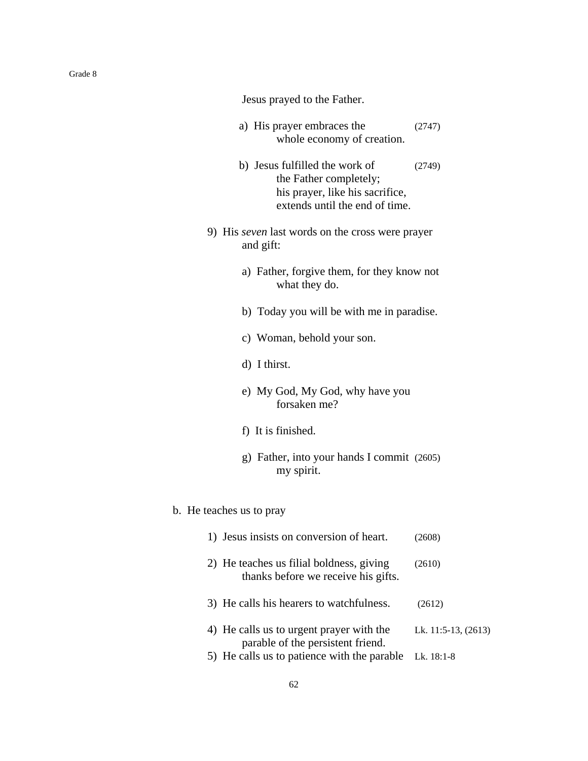Jesus prayed to the Father.

- a) His prayer embraces the (2747) whole economy of creation.
- b) Jesus fulfilled the work of (2749) the Father completely; his prayer, like his sacrifice, extends until the end of time.
- 9) His *seven* last words on the cross were prayer and gift:
	- a) Father, forgive them, for they know not what they do.
	- b) Today you will be with me in paradise.
	- c) Woman, behold your son.
	- d) I thirst.
	- e) My God, My God, why have you forsaken me?
	- f) It is finished.
	- g) Father, into your hands I commit (2605) my spirit.

#### b. He teaches us to pray

| 1) Jesus insists on conversion of heart.                                        | (2608)                   |
|---------------------------------------------------------------------------------|--------------------------|
| 2) He teaches us filial boldness, giving<br>thanks before we receive his gifts. | (2610)                   |
| 3) He calls his hearers to watchfulness.                                        | (2612)                   |
| 4) He calls us to urgent prayer with the<br>parable of the persistent friend.   | Lk. $11:5-13$ , $(2613)$ |
| 5) He calls us to patience with the parable                                     | Lk. 18:1-8               |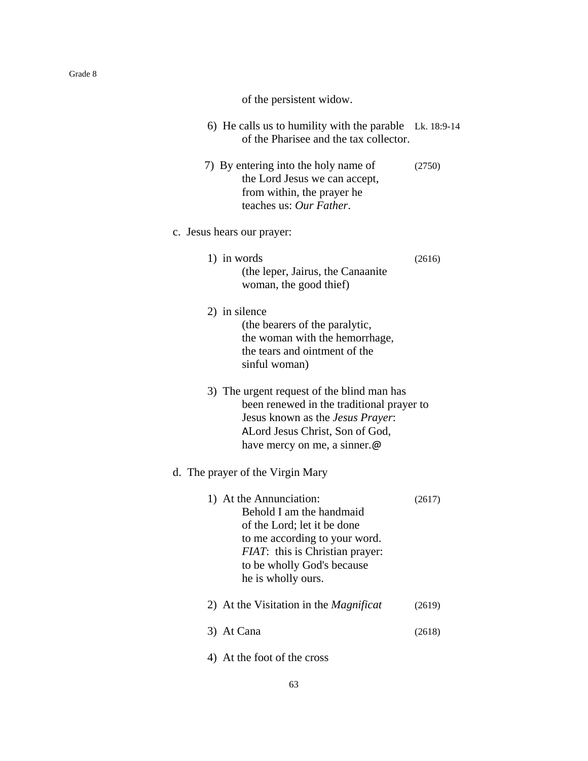of the persistent widow.

| 6) He calls us to humility with the parable Lk. 18:9-14 |  |
|---------------------------------------------------------|--|
| of the Pharisee and the tax collector.                  |  |

 7) By entering into the holy name of (2750) the Lord Jesus we can accept, from within, the prayer he teaches us: *Our Father*.

### c. Jesus hears our prayer:

- 1) in words (2616) (the leper, Jairus, the Canaanite woman, the good thief)
- 2) in silence

(the bearers of the paralytic, the woman with the hemorrhage, the tears and ointment of the sinful woman)

3) The urgent request of the blind man has been renewed in the traditional prayer to Jesus known as the *Jesus Prayer*: ALord Jesus Christ, Son of God, have mercy on me, a sinner.@

### d. The prayer of the Virgin Mary

| 1) At the Annunciation:<br>Behold I am the handmaid<br>of the Lord; let it be done<br>to me according to your word.<br><i>FIAT</i> : this is Christian prayer:<br>to be wholly God's because<br>he is wholly ours. |        |
|--------------------------------------------------------------------------------------------------------------------------------------------------------------------------------------------------------------------|--------|
| 2) At the Visitation in the <i>Magnificat</i>                                                                                                                                                                      | (2619) |
| At Cana                                                                                                                                                                                                            |        |

4) At the foot of the cross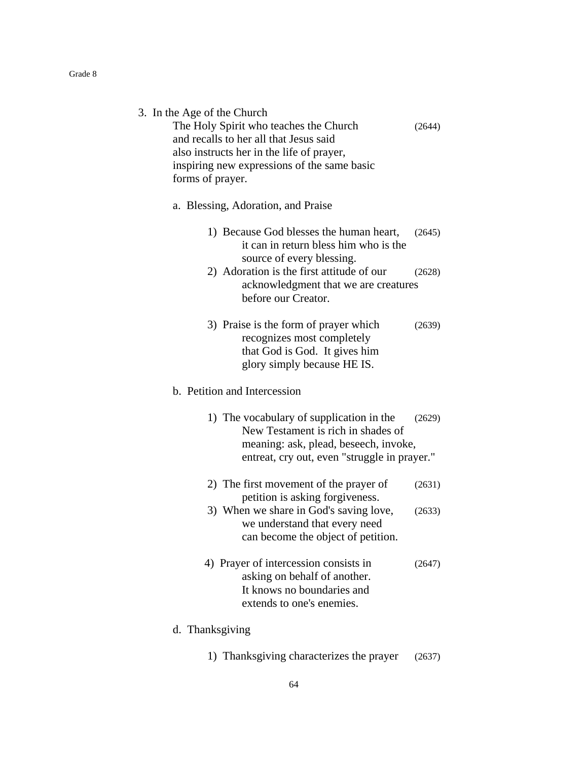|  |  | 3. In the Age of the Church |
|--|--|-----------------------------|
|--|--|-----------------------------|

The Holy Spirit who teaches the Church (2644) and recalls to her all that Jesus said also instructs her in the life of prayer, inspiring new expressions of the same basic forms of prayer.

#### a. Blessing, Adoration, and Praise

| 1) Because God blesses the human heart, (2645) |  |
|------------------------------------------------|--|
| it can in return bless him who is the          |  |
| source of every blessing.                      |  |

- 2) Adoration is the first attitude of our (2628) acknowledgment that we are creatures before our Creator.
- 3) Praise is the form of prayer which (2639) recognizes most completely that God is God. It gives him glory simply because HE IS.

### b. Petition and Intercession

- 1) The vocabulary of supplication in the (2629) New Testament is rich in shades of meaning: ask, plead, beseech, invoke, entreat, cry out, even "struggle in prayer."
- 2) The first movement of the prayer of (2631) petition is asking forgiveness.
- 3) When we share in God's saving love, (2633) we understand that every need can become the object of petition.
- 4) Prayer of intercession consists in (2647) asking on behalf of another. It knows no boundaries and extends to one's enemies.

#### d. Thanksgiving

1) Thanksgiving characterizes the prayer (2637)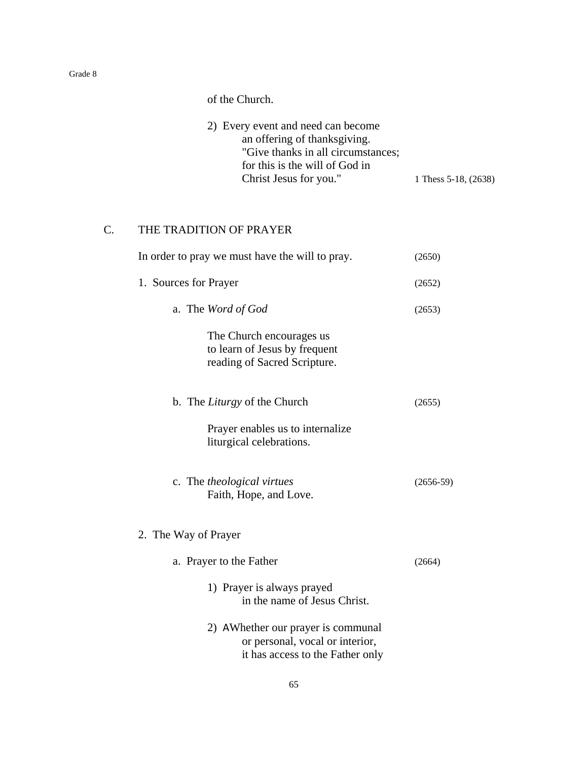of the Church.

| 2) Every event and need can become |                      |
|------------------------------------|----------------------|
| an offering of thanksgiving.       |                      |
| "Give thanks in all circumstances; |                      |
| for this is the will of God in     |                      |
| Christ Jesus for you."             | 1 Thess 5-18, (2638) |

## C. THE TRADITION OF PRAYER

| In order to pray we must have the will to pray.                                                           | (2650)      |
|-----------------------------------------------------------------------------------------------------------|-------------|
| 1. Sources for Prayer                                                                                     |             |
| a. The Word of God                                                                                        | (2653)      |
| The Church encourages us<br>to learn of Jesus by frequent<br>reading of Sacred Scripture.                 |             |
| b. The Liturgy of the Church                                                                              | (2655)      |
| Prayer enables us to internalize<br>liturgical celebrations.                                              |             |
| c. The theological virtues<br>Faith, Hope, and Love.                                                      | $(2656-59)$ |
| 2. The Way of Prayer                                                                                      |             |
| a. Prayer to the Father                                                                                   | (2664)      |
| 1) Prayer is always prayed<br>in the name of Jesus Christ.                                                |             |
| 2) AWhether our prayer is communal<br>or personal, vocal or interior,<br>it has access to the Father only |             |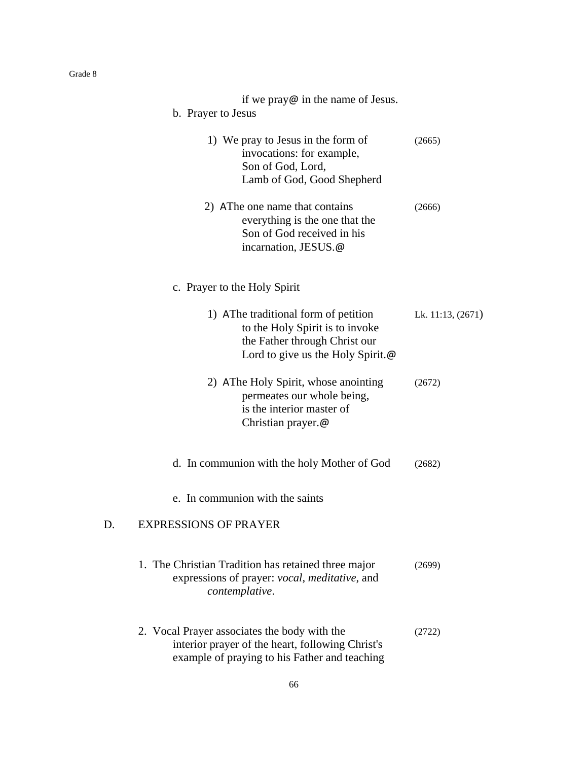| if we pray $\omega$ in the name of Jesus.<br>b. Prayer to Jesus                                                                                       |                   |
|-------------------------------------------------------------------------------------------------------------------------------------------------------|-------------------|
| 1) We pray to Jesus in the form of<br>invocations: for example,<br>Son of God, Lord,<br>Lamb of God, Good Shepherd                                    | (2665)            |
| 2) AThe one name that contains<br>everything is the one that the<br>Son of God received in his<br>incarnation, JESUS.@                                | (2666)            |
| c. Prayer to the Holy Spirit                                                                                                                          |                   |
| 1) AThe traditional form of petition<br>to the Holy Spirit is to invoke<br>the Father through Christ our<br>Lord to give us the Holy Spirit. $\omega$ | Lk. 11:13, (2671) |
| 2) AThe Holy Spirit, whose anointing<br>permeates our whole being,<br>is the interior master of<br>Christian prayer.@                                 | (2672)            |
| d. In communion with the holy Mother of God                                                                                                           | (2682)            |
| e. In communion with the saints                                                                                                                       |                   |
| <b>EXPRESSIONS OF PRAYER</b><br>D.                                                                                                                    |                   |
| 1. The Christian Tradition has retained three major<br>expressions of prayer: vocal, meditative, and<br>contemplative.                                | (2699)            |
| 2. Vocal Prayer associates the body with the<br>interior prayer of the heart, following Christ's<br>example of praying to his Father and teaching     | (2722)            |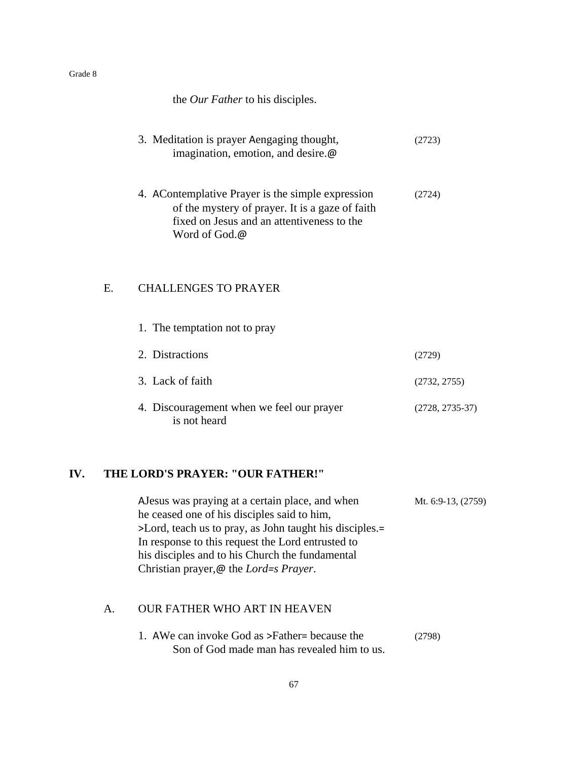|    | the Our Father to his disciples.                                                                                                                                    |                   |
|----|---------------------------------------------------------------------------------------------------------------------------------------------------------------------|-------------------|
|    | 3. Meditation is prayer Aengaging thought,<br>imagination, emotion, and desire.@                                                                                    | (2723)            |
|    | 4. AContemplative Prayer is the simple expression<br>of the mystery of prayer. It is a gaze of faith<br>fixed on Jesus and an attentiveness to the<br>Word of God.@ | (2724)            |
| Е. | <b>CHALLENGES TO PRAYER</b>                                                                                                                                         |                   |
|    | 1. The temptation not to pray                                                                                                                                       |                   |
|    | 2. Distractions                                                                                                                                                     | (2729)            |
|    | 3. Lack of faith                                                                                                                                                    | (2732, 2755)      |
|    | 4. Discouragement when we feel our prayer<br>is not heard                                                                                                           | $(2728, 2735-37)$ |

## **IV. THE LORD'S PRAYER: "OUR FATHER!"**

AJesus was praying at a certain place, and when Mt. 6:9-13, (2759) he ceased one of his disciples said to him, >Lord, teach us to pray, as John taught his disciples.= In response to this request the Lord entrusted to his disciples and to his Church the fundamental Christian prayer,@ the *Lord=s Prayer*.

### A. OUR FATHER WHO ART IN HEAVEN

| 1. AWe can invoke God as >Father= because the | (2798) |
|-----------------------------------------------|--------|
| Son of God made man has revealed him to us.   |        |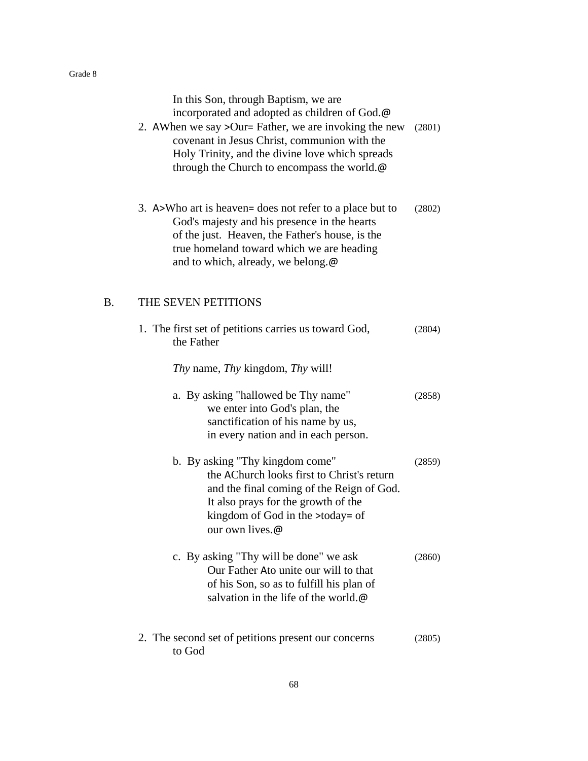|    | In this Son, through Baptism, we are<br>incorporated and adopted as children of God.@<br>2. AWhen we say > Our= Father, we are invoking the new<br>covenant in Jesus Christ, communion with the<br>Holy Trinity, and the divine love which spreads<br>through the Church to encompass the world.@ | (2801) |
|----|---------------------------------------------------------------------------------------------------------------------------------------------------------------------------------------------------------------------------------------------------------------------------------------------------|--------|
|    | 3. A>Who art is heaven= does not refer to a place but to<br>God's majesty and his presence in the hearts<br>of the just. Heaven, the Father's house, is the<br>true homeland toward which we are heading<br>and to which, already, we belong.@                                                    | (2802) |
| В. | THE SEVEN PETITIONS                                                                                                                                                                                                                                                                               |        |
|    | 1. The first set of petitions carries us toward God,<br>the Father                                                                                                                                                                                                                                | (2804) |
|    | <i>Thy</i> name, <i>Thy</i> kingdom, <i>Thy</i> will!                                                                                                                                                                                                                                             |        |
|    | a. By asking "hallowed be Thy name"<br>we enter into God's plan, the<br>sanctification of his name by us,<br>in every nation and in each person.                                                                                                                                                  | (2858) |
|    | b. By asking "Thy kingdom come"<br>the AChurch looks first to Christ's return<br>and the final coming of the Reign of God.<br>It also prays for the growth of the<br>kingdom of God in the >today= of<br>our own lives.@                                                                          | (2859) |
|    | c. By asking "Thy will be done" we ask<br>Our Father Ato unite our will to that<br>of his Son, so as to fulfill his plan of<br>salvation in the life of the world.@                                                                                                                               | (2860) |
|    | 2. The second set of petitions present our concerns<br>to God                                                                                                                                                                                                                                     | (2805) |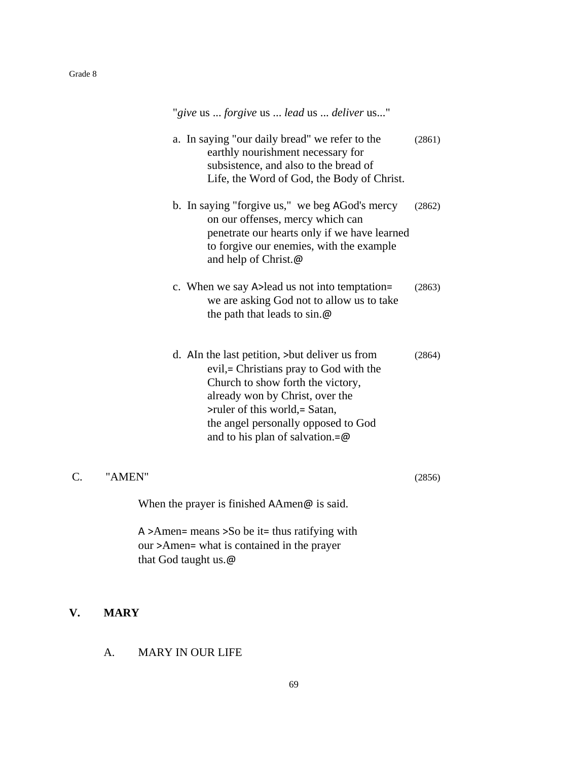|                 | "give us  forgive us  lead us  deliver us"                                                                                                                                                                                                                                       |        |
|-----------------|----------------------------------------------------------------------------------------------------------------------------------------------------------------------------------------------------------------------------------------------------------------------------------|--------|
|                 | a. In saying "our daily bread" we refer to the<br>earthly nourishment necessary for<br>subsistence, and also to the bread of<br>Life, the Word of God, the Body of Christ.                                                                                                       | (2861) |
|                 | b. In saying "forgive us," we beg AGod's mercy<br>on our offenses, mercy which can<br>penetrate our hearts only if we have learned<br>to forgive our enemies, with the example<br>and help of Christ.@                                                                           | (2862) |
|                 | c. When we say A lead us not into temptation=<br>we are asking God not to allow us to take<br>the path that leads to $sin \omega$                                                                                                                                                | (2863) |
|                 | d. AIn the last petition, > but deliver us from<br>evil,= Christians pray to God with the<br>Church to show forth the victory,<br>already won by Christ, over the<br>>ruler of this world, = Satan,<br>the angel personally opposed to God<br>and to his plan of salvation.= $@$ | (2864) |
| $\mathcal{C}$ . | "AMEN"                                                                                                                                                                                                                                                                           | (2856) |
|                 | When the prayer is finished $A$ Amen $\omega$ is said.                                                                                                                                                                                                                           |        |
|                 | A >Amen= means >So be it= thus ratifying with<br>our >Amen= what is contained in the prayer<br>that God taught us.@                                                                                                                                                              |        |

# **V. MARY**

# A. MARY IN OUR LIFE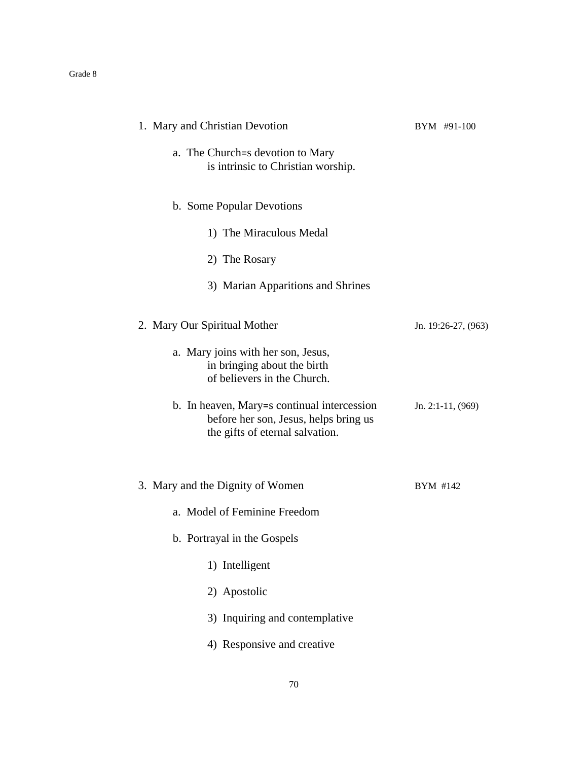| 1. Mary and Christian Devotion                                                                                          | BYM #91-100         |
|-------------------------------------------------------------------------------------------------------------------------|---------------------|
| a. The Church=s devotion to Mary<br>is intrinsic to Christian worship.                                                  |                     |
| b. Some Popular Devotions                                                                                               |                     |
| 1) The Miraculous Medal                                                                                                 |                     |
| 2) The Rosary                                                                                                           |                     |
| 3) Marian Apparitions and Shrines                                                                                       |                     |
| 2. Mary Our Spiritual Mother                                                                                            | Jn. 19:26-27, (963) |
| a. Mary joins with her son, Jesus,<br>in bringing about the birth<br>of believers in the Church.                        |                     |
| b. In heaven, Mary=s continual intercession<br>before her son, Jesus, helps bring us<br>the gifts of eternal salvation. | Jn. 2:1-11, $(969)$ |
| 3. Mary and the Dignity of Women                                                                                        | BYM #142            |
| a. Model of Feminine Freedom                                                                                            |                     |
| b. Portrayal in the Gospels                                                                                             |                     |
| 1) Intelligent                                                                                                          |                     |
| 2) Apostolic                                                                                                            |                     |
| 3) Inquiring and contemplative                                                                                          |                     |
| 4) Responsive and creative                                                                                              |                     |
|                                                                                                                         |                     |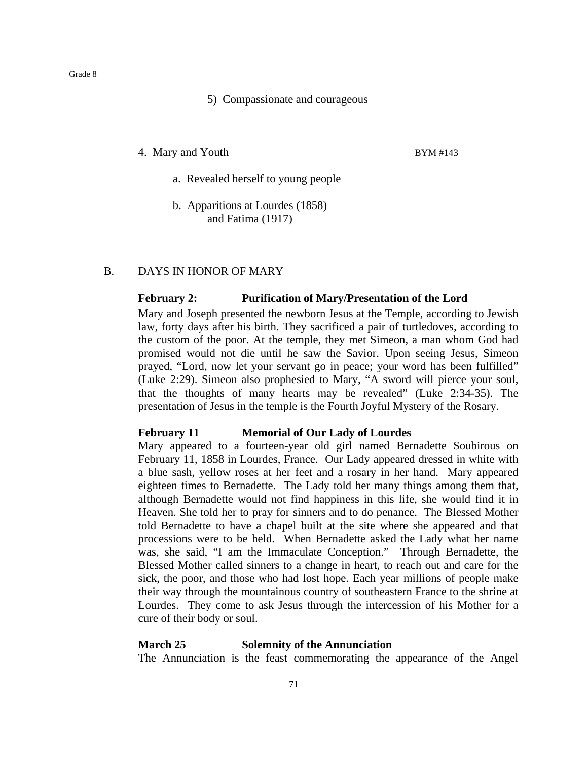#### 5) Compassionate and courageous

4. Mary and Youth BYM #143

- a. Revealed herself to young people
- b. Apparitions at Lourdes (1858) and Fatima (1917)

### B. DAYS IN HONOR OF MARY

#### **February 2: Purification of Mary/Presentation of the Lord**

Mary and Joseph presented the newborn Jesus at the Temple, according to Jewish law, forty days after his birth. They sacrificed a pair of turtledoves, according to the custom of the poor. At the temple, they met Simeon, a man whom God had promised would not die until he saw the Savior. Upon seeing Jesus, Simeon prayed, "Lord, now let your servant go in peace; your word has been fulfilled" (Luke 2:29). Simeon also prophesied to Mary, "A sword will pierce your soul, that the thoughts of many hearts may be revealed" (Luke 2:34-35). The presentation of Jesus in the temple is the Fourth Joyful Mystery of the Rosary.

### **February 11 Memorial of Our Lady of Lourdes**

Mary appeared to a fourteen-year old girl named Bernadette Soubirous on February 11, 1858 in Lourdes, France. Our Lady appeared dressed in white with a blue sash, yellow roses at her feet and a rosary in her hand. Mary appeared eighteen times to Bernadette. The Lady told her many things among them that, although Bernadette would not find happiness in this life, she would find it in Heaven. She told her to pray for sinners and to do penance. The Blessed Mother told Bernadette to have a chapel built at the site where she appeared and that processions were to be held. When Bernadette asked the Lady what her name was, she said, "I am the Immaculate Conception." Through Bernadette, the Blessed Mother called sinners to a change in heart, to reach out and care for the sick, the poor, and those who had lost hope. Each year millions of people make their way through the mountainous country of southeastern France to the shrine at Lourdes. They come to ask Jesus through the intercession of his Mother for a cure of their body or soul.

### **March 25 Solemnity of the Annunciation**

The Annunciation is the feast commemorating the appearance of the Angel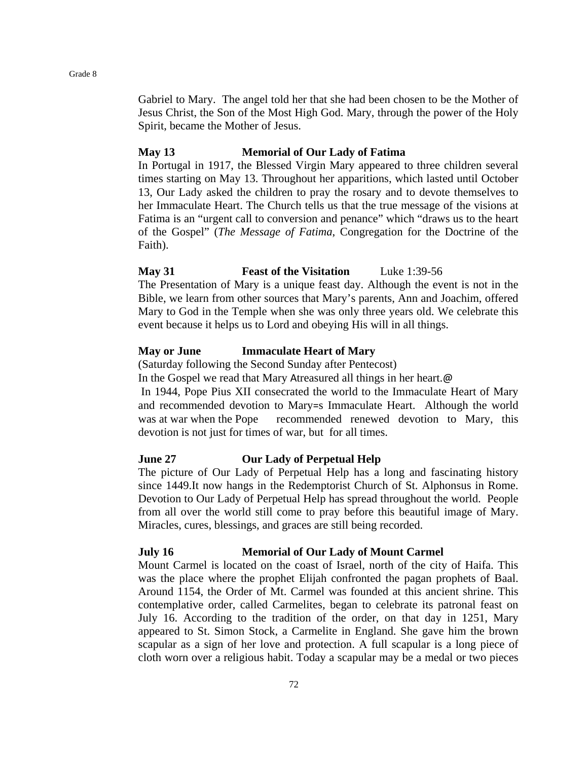Gabriel to Mary. The angel told her that she had been chosen to be the Mother of Jesus Christ, the Son of the Most High God. Mary, through the power of the Holy Spirit, became the Mother of Jesus.

### **May 13 Memorial of Our Lady of Fatima**

In Portugal in 1917, the Blessed Virgin Mary appeared to three children several times starting on May 13. Throughout her apparitions, which lasted until October 13, Our Lady asked the children to pray the rosary and to devote themselves to her Immaculate Heart. The Church tells us that the true message of the visions at Fatima is an "urgent call to conversion and penance" which "draws us to the heart of the Gospel" (*The Message of Fatima*, Congregation for the Doctrine of the Faith).

### **May 31 Feast of the Visitation** Luke 1:39-56

The Presentation of Mary is a unique feast day. Although the event is not in the Bible, we learn from other sources that Mary's parents, Ann and Joachim, offered Mary to God in the Temple when she was only three years old. We celebrate this event because it helps us to Lord and obeying His will in all things.

### **May or June Immaculate Heart of Mary**

(Saturday following the Second Sunday after Pentecost)

In the Gospel we read that Mary Atreasured all things in her heart.@

In 1944, Pope Pius XII consecrated the world to the Immaculate Heart of Mary and recommended devotion to Mary=s Immaculate Heart. Although the world was at war when the Pope recommended renewed devotion to Mary, this devotion is not just for times of war, but for all times.

### **June 27 Our Lady of Perpetual Help**

The picture of Our Lady of Perpetual Help has a long and fascinating history since 1449.It now hangs in the Redemptorist Church of St. Alphonsus in Rome. Devotion to Our Lady of Perpetual Help has spread throughout the world. People from all over the world still come to pray before this beautiful image of Mary. Miracles, cures, blessings, and graces are still being recorded.

### **July 16 Memorial of Our Lady of Mount Carmel**

Mount Carmel is located on the coast of Israel, north of the city of Haifa. This was the place where the prophet Elijah confronted the pagan prophets of Baal. Around 1154, the Order of Mt. Carmel was founded at this ancient shrine. This contemplative order, called Carmelites, began to celebrate its patronal feast on July 16. According to the tradition of the order, on that day in 1251, Mary appeared to St. Simon Stock, a Carmelite in England. She gave him the brown scapular as a sign of her love and protection. A full scapular is a long piece of cloth worn over a religious habit. Today a scapular may be a medal or two pieces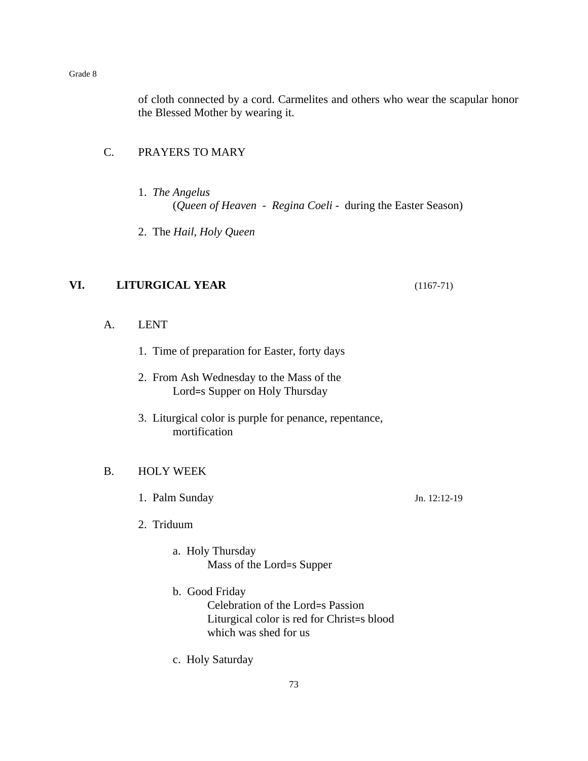of cloth connected by a cord. Carmelites and others who wear the scapular honor the Blessed Mother by wearing it.

# C. PRAYERS TO MARY

- 1. *The Angelus* (*Queen of Heaven* - *Regina Coeli* - during the Easter Season)
- 2. The *Hail, Holy Queen*

# **VI. LITURGICAL YEAR** (1167-71)

- A. LENT
	- 1. Time of preparation for Easter, forty days
	- 2. From Ash Wednesday to the Mass of the Lord=s Supper on Holy Thursday
	- 3. Liturgical color is purple for penance, repentance, mortification

## B. HOLY WEEK

- 1. Palm Sunday Jn. 12:12-19
- 2. Triduum
	- a. Holy Thursday Mass of the Lord=s Supper
	- b. Good Friday Celebration of the Lord=s Passion Liturgical color is red for Christ=s blood which was shed for us
	- c. Holy Saturday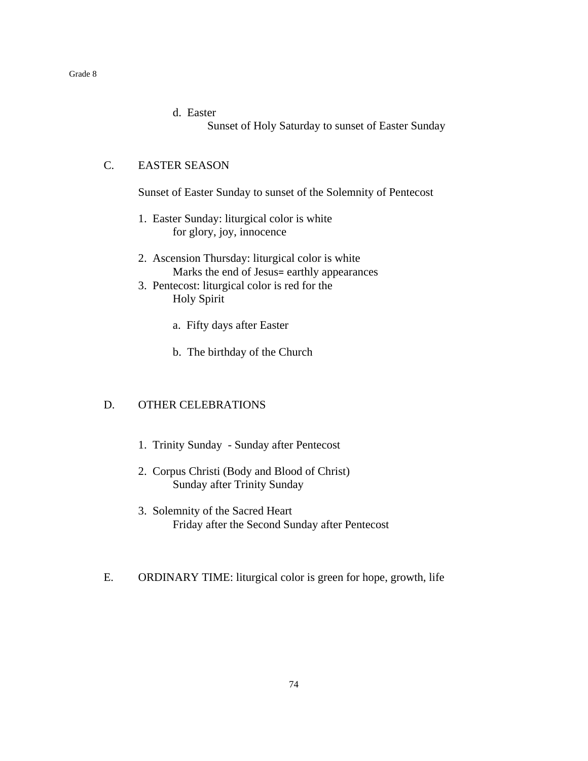d. Easter Sunset of Holy Saturday to sunset of Easter Sunday

## C. EASTER SEASON

Sunset of Easter Sunday to sunset of the Solemnity of Pentecost

- 1. Easter Sunday: liturgical color is white for glory, joy, innocence
- 2. Ascension Thursday: liturgical color is white Marks the end of Jesus= earthly appearances
- 3. Pentecost: liturgical color is red for the Holy Spirit
	- a. Fifty days after Easter
	- b. The birthday of the Church

# D. OTHER CELEBRATIONS

- 1. Trinity Sunday Sunday after Pentecost
- 2. Corpus Christi (Body and Blood of Christ) Sunday after Trinity Sunday
- 3. Solemnity of the Sacred Heart Friday after the Second Sunday after Pentecost
- E. ORDINARY TIME: liturgical color is green for hope, growth, life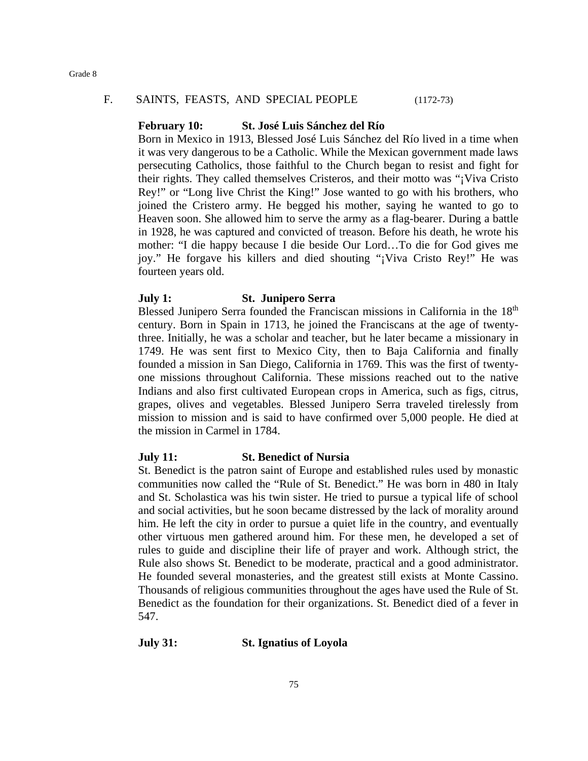### F. SAINTS, FEASTS, AND SPECIAL PEOPLE (1172-73)

## **February 10: St. José Luis Sánchez del Río**

Born in Mexico in 1913, Blessed José Luis Sánchez del Río lived in a time when it was very dangerous to be a Catholic. While the Mexican government made laws persecuting Catholics, those faithful to the Church began to resist and fight for their rights. They called themselves Cristeros, and their motto was "¡Viva Cristo Rey!" or "Long live Christ the King!" Jose wanted to go with his brothers, who joined the Cristero army. He begged his mother, saying he wanted to go to Heaven soon. She allowed him to serve the army as a flag-bearer. During a battle in 1928, he was captured and convicted of treason. Before his death, he wrote his mother: "I die happy because I die beside Our Lord…To die for God gives me joy." He forgave his killers and died shouting "¡Viva Cristo Rey!" He was fourteen years old.

### **July 1: St. Junipero Serra**

Blessed Junipero Serra founded the Franciscan missions in California in the 18<sup>th</sup> century. Born in Spain in 1713, he joined the Franciscans at the age of twentythree. Initially, he was a scholar and teacher, but he later became a missionary in 1749. He was sent first to Mexico City, then to Baja California and finally founded a mission in San Diego, California in 1769. This was the first of twentyone missions throughout California. These missions reached out to the native Indians and also first cultivated European crops in America, such as figs, citrus, grapes, olives and vegetables. Blessed Junipero Serra traveled tirelessly from mission to mission and is said to have confirmed over 5,000 people. He died at the mission in Carmel in 1784.

## **July 11: St. Benedict of Nursia**

St. Benedict is the patron saint of Europe and established rules used by monastic communities now called the "Rule of St. Benedict." He was born in 480 in Italy and St. Scholastica was his twin sister. He tried to pursue a typical life of school and social activities, but he soon became distressed by the lack of morality around him. He left the city in order to pursue a quiet life in the country, and eventually other virtuous men gathered around him. For these men, he developed a set of rules to guide and discipline their life of prayer and work. Although strict, the Rule also shows St. Benedict to be moderate, practical and a good administrator. He founded several monasteries, and the greatest still exists at Monte Cassino. Thousands of religious communities throughout the ages have used the Rule of St. Benedict as the foundation for their organizations. St. Benedict died of a fever in 547.

### **July 31: St. Ignatius of Loyola**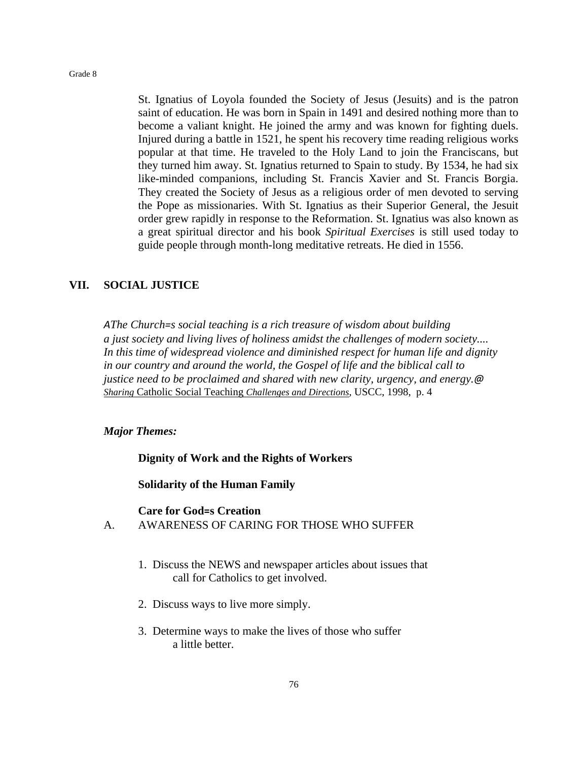St. Ignatius of Loyola founded the Society of Jesus (Jesuits) and is the patron saint of education. He was born in Spain in 1491 and desired nothing more than to become a valiant knight. He joined the army and was known for fighting duels. Injured during a battle in 1521, he spent his recovery time reading religious works popular at that time. He traveled to the Holy Land to join the Franciscans, but they turned him away. St. Ignatius returned to Spain to study. By 1534, he had six like-minded companions, including St. Francis Xavier and St. Francis Borgia. They created the Society of Jesus as a religious order of men devoted to serving the Pope as missionaries. With St. Ignatius as their Superior General, the Jesuit order grew rapidly in response to the Reformation. St. Ignatius was also known as a great spiritual director and his book *Spiritual Exercises* is still used today to guide people through month-long meditative retreats. He died in 1556.

### **VII. SOCIAL JUSTICE**

*AThe Church=s social teaching is a rich treasure of wisdom about building a just society and living lives of holiness amidst the challenges of modern society.... In this time of widespread violence and diminished respect for human life and dignity in our country and around the world, the Gospel of life and the biblical call to justice need to be proclaimed and shared with new clarity, urgency, and energy.@ Sharing* Catholic Social Teaching *Challenges and Directions,* USCC, 1998, p. 4

#### *Major Themes:*

**Dignity of Work and the Rights of Workers**

**Solidarity of the Human Family**

#### **Care for God=s Creation**

- A. AWARENESS OF CARING FOR THOSE WHO SUFFER
	- 1. Discuss the NEWS and newspaper articles about issues that call for Catholics to get involved.
	- 2. Discuss ways to live more simply.
	- 3. Determine ways to make the lives of those who suffer a little better.